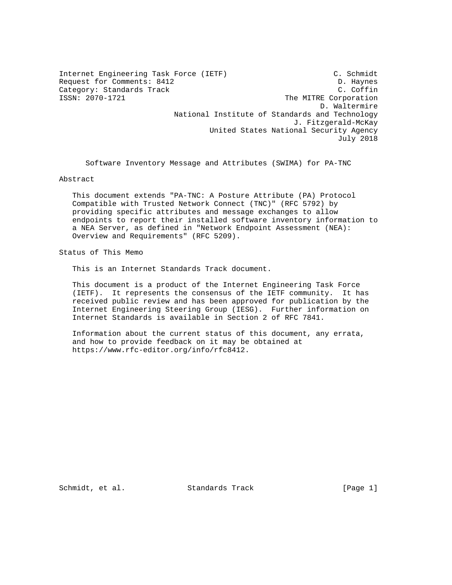Internet Engineering Task Force (IETF) C. Schmidt Request for Comments: 8412 D. Haynes Category: Standards Track<br>ISSN: 2070-1721 C. Coffin<br>The MITRE Corporation The MITRE Corporation D. Waltermire National Institute of Standards and Technology J. Fitzgerald-McKay United States National Security Agency July 2018

Software Inventory Message and Attributes (SWIMA) for PA-TNC

Abstract

 This document extends "PA-TNC: A Posture Attribute (PA) Protocol Compatible with Trusted Network Connect (TNC)" (RFC 5792) by providing specific attributes and message exchanges to allow endpoints to report their installed software inventory information to a NEA Server, as defined in "Network Endpoint Assessment (NEA): Overview and Requirements" (RFC 5209).

Status of This Memo

This is an Internet Standards Track document.

 This document is a product of the Internet Engineering Task Force (IETF). It represents the consensus of the IETF community. It has received public review and has been approved for publication by the Internet Engineering Steering Group (IESG). Further information on Internet Standards is available in Section 2 of RFC 7841.

 Information about the current status of this document, any errata, and how to provide feedback on it may be obtained at https://www.rfc-editor.org/info/rfc8412.

Schmidt, et al. Standards Track [Page 1]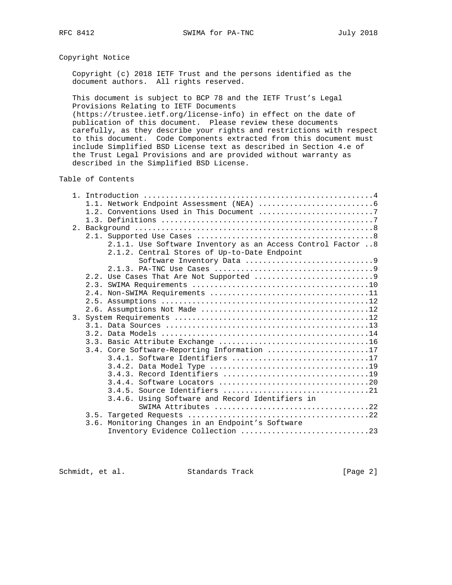# Copyright Notice

 Copyright (c) 2018 IETF Trust and the persons identified as the document authors. All rights reserved.

 This document is subject to BCP 78 and the IETF Trust's Legal Provisions Relating to IETF Documents

 (https://trustee.ietf.org/license-info) in effect on the date of publication of this document. Please review these documents carefully, as they describe your rights and restrictions with respect to this document. Code Components extracted from this document must include Simplified BSD License text as described in Section 4.e of the Trust Legal Provisions and are provided without warranty as described in the Simplified BSD License.

Table of Contents

| 2.1.1. Use Software Inventory as an Access Control Factor  8 |
|--------------------------------------------------------------|
| 2.1.2. Central Stores of Up-to-Date Endpoint                 |
| Software Inventory Data 9                                    |
|                                                              |
|                                                              |
|                                                              |
|                                                              |
|                                                              |
|                                                              |
|                                                              |
|                                                              |
|                                                              |
|                                                              |
| 3.4. Core Software-Reporting Information 17                  |
| 3.4.1. Software Identifiers 17                               |
|                                                              |
|                                                              |
|                                                              |
|                                                              |
| 3.4.6. Using Software and Record Identifiers in              |
| SWIMA Attributes 22                                          |
|                                                              |
| 3.6. Monitoring Changes in an Endpoint's Software            |
| Inventory Evidence Collection 23                             |

Schmidt, et al. Standards Track [Page 2]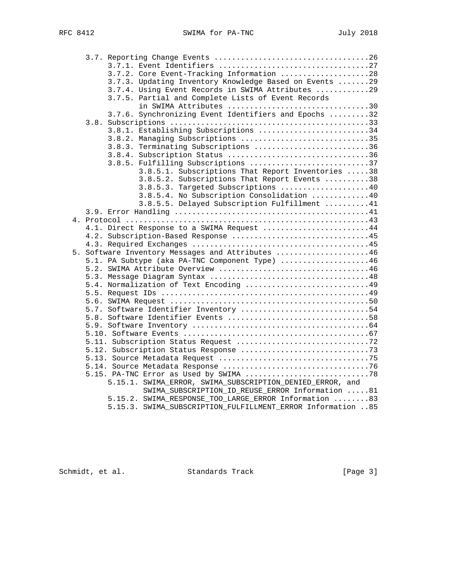|  | 3.7.2. Core Event-Tracking Information 28                    |
|--|--------------------------------------------------------------|
|  | 3.7.3. Updating Inventory Knowledge Based on Events  29      |
|  | 3.7.4. Using Event Records in SWIMA Attributes 29            |
|  | 3.7.5. Partial and Complete Lists of Event Records           |
|  | in SWIMA Attributes 30                                       |
|  | 3.7.6. Synchronizing Event Identifiers and Epochs 32         |
|  |                                                              |
|  | 3.8.1. Establishing Subscriptions 34                         |
|  | 3.8.2. Managing Subscriptions 35                             |
|  | 3.8.3. Terminating Subscriptions 36                          |
|  | 3.8.4. Subscription Status 36                                |
|  | 3.8.5. Fulfilling Subscriptions 37                           |
|  | 3.8.5.1. Subscriptions That Report Inventories 38            |
|  | 3.8.5.2. Subscriptions That Report Events 38                 |
|  | 3.8.5.3. Targeted Subscriptions 40                           |
|  | 3.8.5.4. No Subscription Consolidation 40                    |
|  | 3.8.5.5. Delayed Subscription Fulfillment 41                 |
|  |                                                              |
|  |                                                              |
|  | 4.1. Direct Response to a SWIMA Request 44                   |
|  |                                                              |
|  | 4.2. Subscription-Based Response 45                          |
|  |                                                              |
|  | 5. Software Inventory Messages and Attributes 46             |
|  | 5.1. PA Subtype (aka PA-TNC Component Type) 46               |
|  |                                                              |
|  |                                                              |
|  | 5.4. Normalization of Text Encoding 49                       |
|  |                                                              |
|  |                                                              |
|  | 5.7. Software Identifier Inventory 54                        |
|  |                                                              |
|  |                                                              |
|  |                                                              |
|  |                                                              |
|  |                                                              |
|  |                                                              |
|  |                                                              |
|  |                                                              |
|  | 5.15.1. SWIMA_ERROR, SWIMA_SUBSCRIPTION_DENIED_ERROR, and    |
|  | SWIMA_SUBSCRIPTION_ID_REUSE_ERROR Information 81             |
|  | 5.15.2. SWIMA_RESPONSE_TOO_LARGE_ERROR Information 83        |
|  | 5.15.3. SWIMA_SUBSCRIPTION_FULFILLMENT_ERROR Information  85 |

Schmidt, et al. Standards Track [Page 3]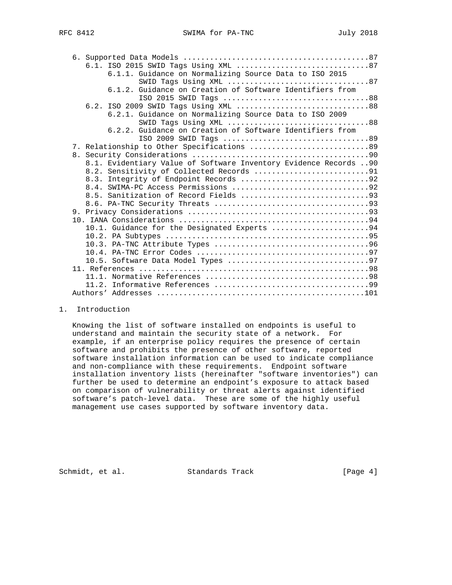|  | 6.1.1. Guidance on Normalizing Source Data to ISO 2015           |
|--|------------------------------------------------------------------|
|  | SWID Tags Using XML 87                                           |
|  | 6.1.2. Guidance on Creation of Software Identifiers from         |
|  | ISO 2015 SWID Tags 88                                            |
|  | 6.2. ISO 2009 SWID Tags Using XML 88                             |
|  | 6.2.1. Guidance on Normalizing Source Data to ISO 2009           |
|  | SWID Tags Using XML 88                                           |
|  | 6.2.2. Guidance on Creation of Software Identifiers from         |
|  |                                                                  |
|  | 7. Relationship to Other Specifications  89                      |
|  |                                                                  |
|  | 8.1. Evidentiary Value of Software Inventory Evidence Records 90 |
|  |                                                                  |
|  | 8.3. Integrity of Endpoint Records 92                            |
|  |                                                                  |
|  |                                                                  |
|  |                                                                  |
|  |                                                                  |
|  |                                                                  |
|  | 10.1. Guidance for the Designated Experts 94                     |
|  |                                                                  |
|  |                                                                  |
|  |                                                                  |
|  |                                                                  |
|  |                                                                  |
|  |                                                                  |
|  |                                                                  |
|  |                                                                  |

## 1. Introduction

 Knowing the list of software installed on endpoints is useful to understand and maintain the security state of a network. For example, if an enterprise policy requires the presence of certain software and prohibits the presence of other software, reported software installation information can be used to indicate compliance and non-compliance with these requirements. Endpoint software installation inventory lists (hereinafter "software inventories") can further be used to determine an endpoint's exposure to attack based on comparison of vulnerability or threat alerts against identified software's patch-level data. These are some of the highly useful management use cases supported by software inventory data.

Schmidt, et al. Standards Track [Page 4]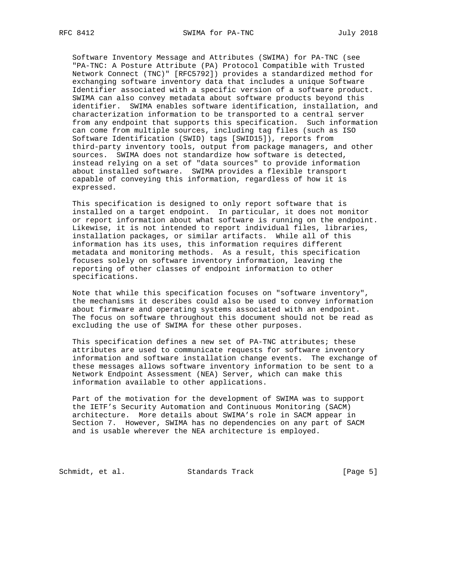Software Inventory Message and Attributes (SWIMA) for PA-TNC (see "PA-TNC: A Posture Attribute (PA) Protocol Compatible with Trusted Network Connect (TNC)" [RFC5792]) provides a standardized method for exchanging software inventory data that includes a unique Software Identifier associated with a specific version of a software product. SWIMA can also convey metadata about software products beyond this identifier. SWIMA enables software identification, installation, and characterization information to be transported to a central server from any endpoint that supports this specification. Such information can come from multiple sources, including tag files (such as ISO Software Identification (SWID) tags [SWID15]), reports from third-party inventory tools, output from package managers, and other sources. SWIMA does not standardize how software is detected, instead relying on a set of "data sources" to provide information about installed software. SWIMA provides a flexible transport capable of conveying this information, regardless of how it is expressed.

 This specification is designed to only report software that is installed on a target endpoint. In particular, it does not monitor or report information about what software is running on the endpoint. Likewise, it is not intended to report individual files, libraries, installation packages, or similar artifacts. While all of this information has its uses, this information requires different metadata and monitoring methods. As a result, this specification focuses solely on software inventory information, leaving the reporting of other classes of endpoint information to other specifications.

 Note that while this specification focuses on "software inventory", the mechanisms it describes could also be used to convey information about firmware and operating systems associated with an endpoint. The focus on software throughout this document should not be read as excluding the use of SWIMA for these other purposes.

 This specification defines a new set of PA-TNC attributes; these attributes are used to communicate requests for software inventory information and software installation change events. The exchange of these messages allows software inventory information to be sent to a Network Endpoint Assessment (NEA) Server, which can make this information available to other applications.

 Part of the motivation for the development of SWIMA was to support the IETF's Security Automation and Continuous Monitoring (SACM) architecture. More details about SWIMA's role in SACM appear in Section 7. However, SWIMA has no dependencies on any part of SACM and is usable wherever the NEA architecture is employed.

Schmidt, et al. Standards Track [Page 5]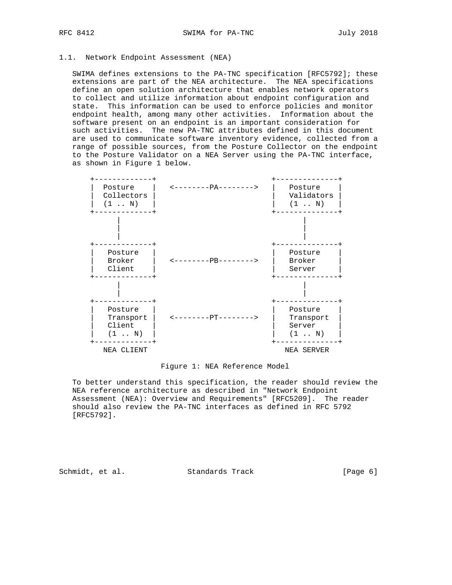# 1.1. Network Endpoint Assessment (NEA)

 SWIMA defines extensions to the PA-TNC specification [RFC5792]; these extensions are part of the NEA architecture. The NEA specifications define an open solution architecture that enables network operators to collect and utilize information about endpoint configuration and state. This information can be used to enforce policies and monitor endpoint health, among many other activities. Information about the software present on an endpoint is an important consideration for such activities. The new PA-TNC attributes defined in this document are used to communicate software inventory evidence, collected from a range of possible sources, from the Posture Collector on the endpoint to the Posture Validator on a NEA Server using the PA-TNC interface, as shown in Figure 1 below.



Figure 1: NEA Reference Model

 To better understand this specification, the reader should review the NEA reference architecture as described in "Network Endpoint Assessment (NEA): Overview and Requirements" [RFC5209]. The reader should also review the PA-TNC interfaces as defined in RFC 5792 [RFC5792].

Schmidt, et al. Standards Track [Page 6]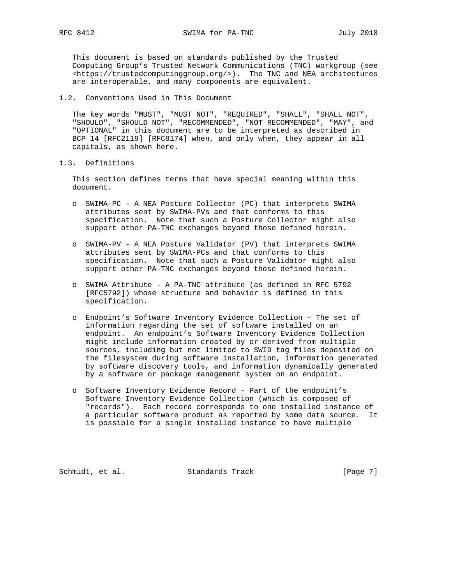This document is based on standards published by the Trusted Computing Group's Trusted Network Communications (TNC) workgroup (see <https://trustedcomputinggroup.org/>). The TNC and NEA architectures are interoperable, and many components are equivalent.

1.2. Conventions Used in This Document

 The key words "MUST", "MUST NOT", "REQUIRED", "SHALL", "SHALL NOT", "SHOULD", "SHOULD NOT", "RECOMMENDED", "NOT RECOMMENDED", "MAY", and "OPTIONAL" in this document are to be interpreted as described in BCP 14 [RFC2119] [RFC8174] when, and only when, they appear in all capitals, as shown here.

1.3. Definitions

 This section defines terms that have special meaning within this document.

- o SWIMA-PC A NEA Posture Collector (PC) that interprets SWIMA attributes sent by SWIMA-PVs and that conforms to this specification. Note that such a Posture Collector might also support other PA-TNC exchanges beyond those defined herein.
- o SWIMA-PV A NEA Posture Validator (PV) that interprets SWIMA attributes sent by SWIMA-PCs and that conforms to this specification. Note that such a Posture Validator might also support other PA-TNC exchanges beyond those defined herein.
- o SWIMA Attribute A PA-TNC attribute (as defined in RFC 5792 [RFC5792]) whose structure and behavior is defined in this specification.
- o Endpoint's Software Inventory Evidence Collection The set of information regarding the set of software installed on an endpoint. An endpoint's Software Inventory Evidence Collection might include information created by or derived from multiple sources, including but not limited to SWID tag files deposited on the filesystem during software installation, information generated by software discovery tools, and information dynamically generated by a software or package management system on an endpoint.
- o Software Inventory Evidence Record Part of the endpoint's Software Inventory Evidence Collection (which is composed of "records"). Each record corresponds to one installed instance of a particular software product as reported by some data source. It is possible for a single installed instance to have multiple

Schmidt, et al. Standards Track [Page 7]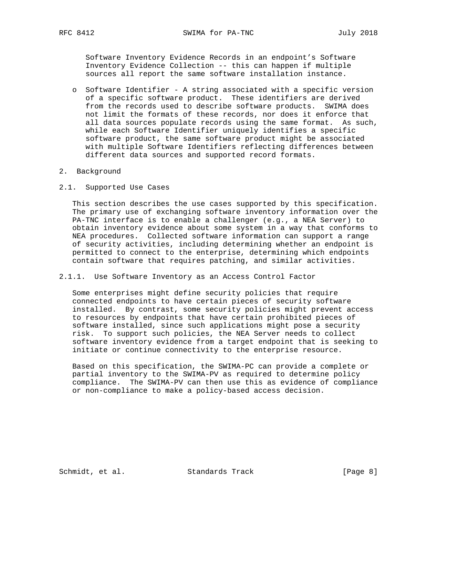Software Inventory Evidence Records in an endpoint's Software Inventory Evidence Collection -- this can happen if multiple sources all report the same software installation instance.

 o Software Identifier - A string associated with a specific version of a specific software product. These identifiers are derived from the records used to describe software products. SWIMA does not limit the formats of these records, nor does it enforce that all data sources populate records using the same format. As such, while each Software Identifier uniquely identifies a specific software product, the same software product might be associated with multiple Software Identifiers reflecting differences between different data sources and supported record formats.

#### 2. Background

2.1. Supported Use Cases

 This section describes the use cases supported by this specification. The primary use of exchanging software inventory information over the PA-TNC interface is to enable a challenger (e.g., a NEA Server) to obtain inventory evidence about some system in a way that conforms to NEA procedures. Collected software information can support a range of security activities, including determining whether an endpoint is permitted to connect to the enterprise, determining which endpoints contain software that requires patching, and similar activities.

2.1.1. Use Software Inventory as an Access Control Factor

 Some enterprises might define security policies that require connected endpoints to have certain pieces of security software installed. By contrast, some security policies might prevent access to resources by endpoints that have certain prohibited pieces of software installed, since such applications might pose a security risk. To support such policies, the NEA Server needs to collect software inventory evidence from a target endpoint that is seeking to initiate or continue connectivity to the enterprise resource.

 Based on this specification, the SWIMA-PC can provide a complete or partial inventory to the SWIMA-PV as required to determine policy compliance. The SWIMA-PV can then use this as evidence of compliance or non-compliance to make a policy-based access decision.

Schmidt, et al. Standards Track [Page 8]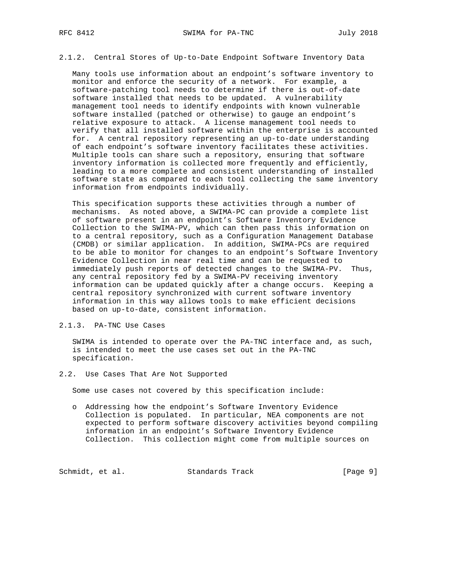## 2.1.2. Central Stores of Up-to-Date Endpoint Software Inventory Data

 Many tools use information about an endpoint's software inventory to monitor and enforce the security of a network. For example, a software-patching tool needs to determine if there is out-of-date software installed that needs to be updated. A vulnerability management tool needs to identify endpoints with known vulnerable software installed (patched or otherwise) to gauge an endpoint's relative exposure to attack. A license management tool needs to verify that all installed software within the enterprise is accounted for. A central repository representing an up-to-date understanding of each endpoint's software inventory facilitates these activities. Multiple tools can share such a repository, ensuring that software inventory information is collected more frequently and efficiently, leading to a more complete and consistent understanding of installed software state as compared to each tool collecting the same inventory information from endpoints individually.

 This specification supports these activities through a number of mechanisms. As noted above, a SWIMA-PC can provide a complete list of software present in an endpoint's Software Inventory Evidence Collection to the SWIMA-PV, which can then pass this information on to a central repository, such as a Configuration Management Database (CMDB) or similar application. In addition, SWIMA-PCs are required to be able to monitor for changes to an endpoint's Software Inventory Evidence Collection in near real time and can be requested to immediately push reports of detected changes to the SWIMA-PV. Thus, any central repository fed by a SWIMA-PV receiving inventory information can be updated quickly after a change occurs. Keeping a central repository synchronized with current software inventory information in this way allows tools to make efficient decisions based on up-to-date, consistent information.

## 2.1.3. PA-TNC Use Cases

 SWIMA is intended to operate over the PA-TNC interface and, as such, is intended to meet the use cases set out in the PA-TNC specification.

#### 2.2. Use Cases That Are Not Supported

Some use cases not covered by this specification include:

 o Addressing how the endpoint's Software Inventory Evidence Collection is populated. In particular, NEA components are not expected to perform software discovery activities beyond compiling information in an endpoint's Software Inventory Evidence Collection. This collection might come from multiple sources on

Schmidt, et al. Standards Track [Page 9]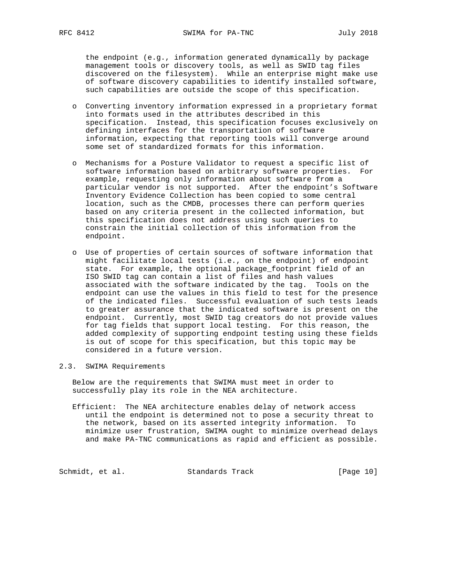the endpoint (e.g., information generated dynamically by package management tools or discovery tools, as well as SWID tag files discovered on the filesystem). While an enterprise might make use of software discovery capabilities to identify installed software, such capabilities are outside the scope of this specification.

- o Converting inventory information expressed in a proprietary format into formats used in the attributes described in this specification. Instead, this specification focuses exclusively on defining interfaces for the transportation of software information, expecting that reporting tools will converge around some set of standardized formats for this information.
- o Mechanisms for a Posture Validator to request a specific list of software information based on arbitrary software properties. For example, requesting only information about software from a particular vendor is not supported. After the endpoint's Software Inventory Evidence Collection has been copied to some central location, such as the CMDB, processes there can perform queries based on any criteria present in the collected information, but this specification does not address using such queries to constrain the initial collection of this information from the endpoint.
- o Use of properties of certain sources of software information that might facilitate local tests (i.e., on the endpoint) of endpoint state. For example, the optional package\_footprint field of an ISO SWID tag can contain a list of files and hash values associated with the software indicated by the tag. Tools on the endpoint can use the values in this field to test for the presence of the indicated files. Successful evaluation of such tests leads to greater assurance that the indicated software is present on the endpoint. Currently, most SWID tag creators do not provide values for tag fields that support local testing. For this reason, the added complexity of supporting endpoint testing using these fields is out of scope for this specification, but this topic may be considered in a future version.

# 2.3. SWIMA Requirements

 Below are the requirements that SWIMA must meet in order to successfully play its role in the NEA architecture.

 Efficient: The NEA architecture enables delay of network access until the endpoint is determined not to pose a security threat to the network, based on its asserted integrity information. To minimize user frustration, SWIMA ought to minimize overhead delays and make PA-TNC communications as rapid and efficient as possible.

Schmidt, et al. Standards Track [Page 10]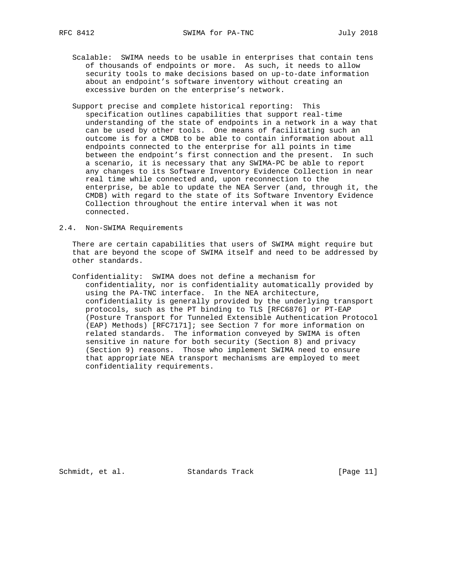- Scalable: SWIMA needs to be usable in enterprises that contain tens of thousands of endpoints or more. As such, it needs to allow security tools to make decisions based on up-to-date information about an endpoint's software inventory without creating an excessive burden on the enterprise's network.
- Support precise and complete historical reporting: This specification outlines capabilities that support real-time understanding of the state of endpoints in a network in a way that can be used by other tools. One means of facilitating such an outcome is for a CMDB to be able to contain information about all endpoints connected to the enterprise for all points in time between the endpoint's first connection and the present. In such a scenario, it is necessary that any SWIMA-PC be able to report any changes to its Software Inventory Evidence Collection in near real time while connected and, upon reconnection to the enterprise, be able to update the NEA Server (and, through it, the CMDB) with regard to the state of its Software Inventory Evidence Collection throughout the entire interval when it was not connected.
- 2.4. Non-SWIMA Requirements

 There are certain capabilities that users of SWIMA might require but that are beyond the scope of SWIMA itself and need to be addressed by other standards.

 Confidentiality: SWIMA does not define a mechanism for confidentiality, nor is confidentiality automatically provided by using the PA-TNC interface. In the NEA architecture, confidentiality is generally provided by the underlying transport protocols, such as the PT binding to TLS [RFC6876] or PT-EAP (Posture Transport for Tunneled Extensible Authentication Protocol (EAP) Methods) [RFC7171]; see Section 7 for more information on related standards. The information conveyed by SWIMA is often sensitive in nature for both security (Section 8) and privacy (Section 9) reasons. Those who implement SWIMA need to ensure that appropriate NEA transport mechanisms are employed to meet confidentiality requirements.

Schmidt, et al. Standards Track [Page 11]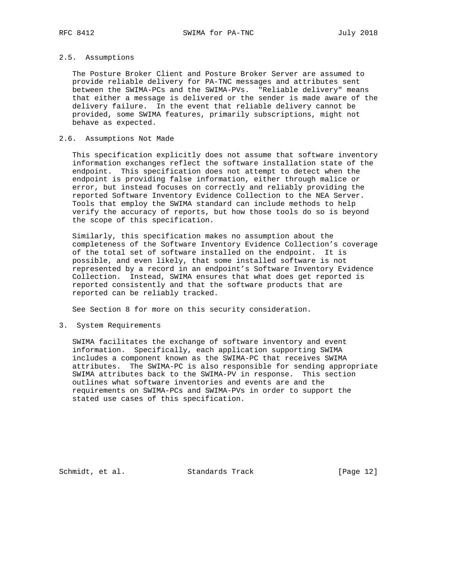# 2.5. Assumptions

 The Posture Broker Client and Posture Broker Server are assumed to provide reliable delivery for PA-TNC messages and attributes sent between the SWIMA-PCs and the SWIMA-PVs. "Reliable delivery" means that either a message is delivered or the sender is made aware of the delivery failure. In the event that reliable delivery cannot be provided, some SWIMA features, primarily subscriptions, might not behave as expected.

# 2.6. Assumptions Not Made

 This specification explicitly does not assume that software inventory information exchanges reflect the software installation state of the endpoint. This specification does not attempt to detect when the endpoint is providing false information, either through malice or error, but instead focuses on correctly and reliably providing the reported Software Inventory Evidence Collection to the NEA Server. Tools that employ the SWIMA standard can include methods to help verify the accuracy of reports, but how those tools do so is beyond the scope of this specification.

 Similarly, this specification makes no assumption about the completeness of the Software Inventory Evidence Collection's coverage of the total set of software installed on the endpoint. It is possible, and even likely, that some installed software is not represented by a record in an endpoint's Software Inventory Evidence Collection. Instead, SWIMA ensures that what does get reported is reported consistently and that the software products that are reported can be reliably tracked.

See Section 8 for more on this security consideration.

3. System Requirements

 SWIMA facilitates the exchange of software inventory and event information. Specifically, each application supporting SWIMA includes a component known as the SWIMA-PC that receives SWIMA attributes. The SWIMA-PC is also responsible for sending appropriate SWIMA attributes back to the SWIMA-PV in response. This section outlines what software inventories and events are and the requirements on SWIMA-PCs and SWIMA-PVs in order to support the stated use cases of this specification.

Schmidt, et al. Standards Track [Page 12]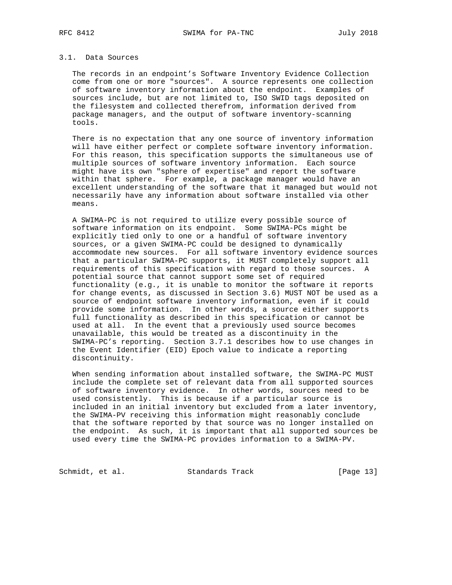# 3.1. Data Sources

 The records in an endpoint's Software Inventory Evidence Collection come from one or more "sources". A source represents one collection of software inventory information about the endpoint. Examples of sources include, but are not limited to, ISO SWID tags deposited on the filesystem and collected therefrom, information derived from package managers, and the output of software inventory-scanning tools.

 There is no expectation that any one source of inventory information will have either perfect or complete software inventory information. For this reason, this specification supports the simultaneous use of multiple sources of software inventory information. Each source might have its own "sphere of expertise" and report the software within that sphere. For example, a package manager would have an excellent understanding of the software that it managed but would not necessarily have any information about software installed via other means.

 A SWIMA-PC is not required to utilize every possible source of software information on its endpoint. Some SWIMA-PCs might be explicitly tied only to one or a handful of software inventory sources, or a given SWIMA-PC could be designed to dynamically accommodate new sources. For all software inventory evidence sources that a particular SWIMA-PC supports, it MUST completely support all requirements of this specification with regard to those sources. A potential source that cannot support some set of required functionality (e.g., it is unable to monitor the software it reports for change events, as discussed in Section 3.6) MUST NOT be used as a source of endpoint software inventory information, even if it could provide some information. In other words, a source either supports full functionality as described in this specification or cannot be used at all. In the event that a previously used source becomes unavailable, this would be treated as a discontinuity in the SWIMA-PC's reporting. Section 3.7.1 describes how to use changes in the Event Identifier (EID) Epoch value to indicate a reporting discontinuity.

 When sending information about installed software, the SWIMA-PC MUST include the complete set of relevant data from all supported sources of software inventory evidence. In other words, sources need to be used consistently. This is because if a particular source is included in an initial inventory but excluded from a later inventory, the SWIMA-PV receiving this information might reasonably conclude that the software reported by that source was no longer installed on the endpoint. As such, it is important that all supported sources be used every time the SWIMA-PC provides information to a SWIMA-PV.

Schmidt, et al. Standards Track [Page 13]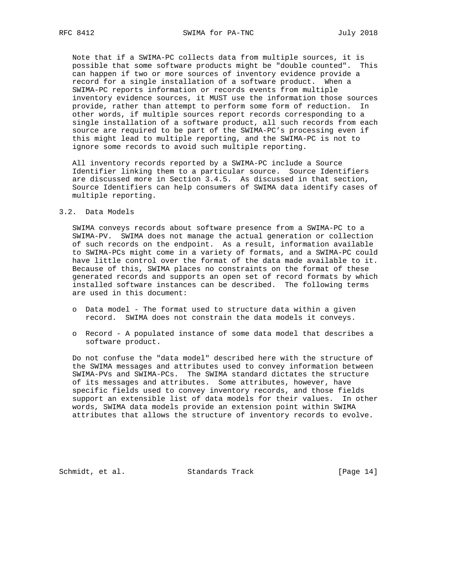Note that if a SWIMA-PC collects data from multiple sources, it is possible that some software products might be "double counted". This can happen if two or more sources of inventory evidence provide a record for a single installation of a software product. When a SWIMA-PC reports information or records events from multiple inventory evidence sources, it MUST use the information those sources provide, rather than attempt to perform some form of reduction. In other words, if multiple sources report records corresponding to a single installation of a software product, all such records from each source are required to be part of the SWIMA-PC's processing even if this might lead to multiple reporting, and the SWIMA-PC is not to ignore some records to avoid such multiple reporting.

 All inventory records reported by a SWIMA-PC include a Source Identifier linking them to a particular source. Source Identifiers are discussed more in Section 3.4.5. As discussed in that section, Source Identifiers can help consumers of SWIMA data identify cases of multiple reporting.

#### 3.2. Data Models

 SWIMA conveys records about software presence from a SWIMA-PC to a SWIMA-PV. SWIMA does not manage the actual generation or collection of such records on the endpoint. As a result, information available to SWIMA-PCs might come in a variety of formats, and a SWIMA-PC could have little control over the format of the data made available to it. Because of this, SWIMA places no constraints on the format of these generated records and supports an open set of record formats by which installed software instances can be described. The following terms are used in this document:

- o Data model The format used to structure data within a given record. SWIMA does not constrain the data models it conveys.
- o Record A populated instance of some data model that describes a software product.

 Do not confuse the "data model" described here with the structure of the SWIMA messages and attributes used to convey information between SWIMA-PVs and SWIMA-PCs. The SWIMA standard dictates the structure of its messages and attributes. Some attributes, however, have specific fields used to convey inventory records, and those fields support an extensible list of data models for their values. In other words, SWIMA data models provide an extension point within SWIMA attributes that allows the structure of inventory records to evolve.

Schmidt, et al. Standards Track [Page 14]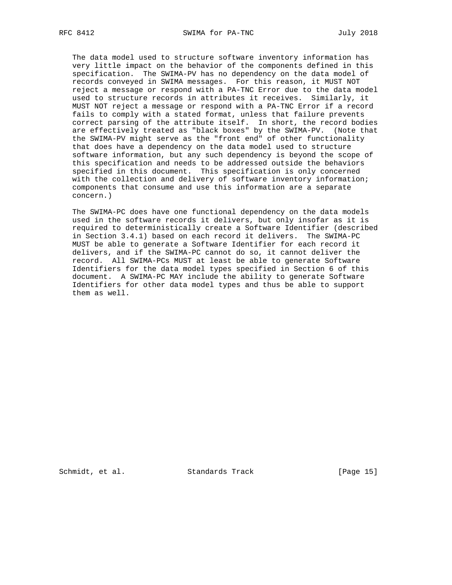The data model used to structure software inventory information has very little impact on the behavior of the components defined in this specification. The SWIMA-PV has no dependency on the data model of records conveyed in SWIMA messages. For this reason, it MUST NOT reject a message or respond with a PA-TNC Error due to the data model used to structure records in attributes it receives. Similarly, it MUST NOT reject a message or respond with a PA-TNC Error if a record fails to comply with a stated format, unless that failure prevents correct parsing of the attribute itself. In short, the record bodies are effectively treated as "black boxes" by the SWIMA-PV. (Note that the SWIMA-PV might serve as the "front end" of other functionality that does have a dependency on the data model used to structure software information, but any such dependency is beyond the scope of this specification and needs to be addressed outside the behaviors specified in this document. This specification is only concerned with the collection and delivery of software inventory information; components that consume and use this information are a separate concern.)

 The SWIMA-PC does have one functional dependency on the data models used in the software records it delivers, but only insofar as it is required to deterministically create a Software Identifier (described in Section 3.4.1) based on each record it delivers. The SWIMA-PC MUST be able to generate a Software Identifier for each record it delivers, and if the SWIMA-PC cannot do so, it cannot deliver the record. All SWIMA-PCs MUST at least be able to generate Software Identifiers for the data model types specified in Section 6 of this document. A SWIMA-PC MAY include the ability to generate Software Identifiers for other data model types and thus be able to support them as well.

Schmidt, et al. Standards Track [Page 15]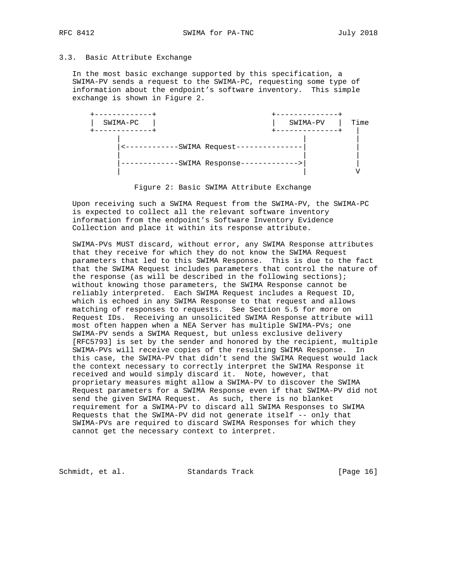## 3.3. Basic Attribute Exchange

 In the most basic exchange supported by this specification, a SWIMA-PV sends a request to the SWIMA-PC, requesting some type of information about the endpoint's software inventory. This simple exchange is shown in Figure 2.



Figure 2: Basic SWIMA Attribute Exchange

 Upon receiving such a SWIMA Request from the SWIMA-PV, the SWIMA-PC is expected to collect all the relevant software inventory information from the endpoint's Software Inventory Evidence Collection and place it within its response attribute.

 SWIMA-PVs MUST discard, without error, any SWIMA Response attributes that they receive for which they do not know the SWIMA Request parameters that led to this SWIMA Response. This is due to the fact that the SWIMA Request includes parameters that control the nature of the response (as will be described in the following sections); without knowing those parameters, the SWIMA Response cannot be reliably interpreted. Each SWIMA Request includes a Request ID, which is echoed in any SWIMA Response to that request and allows matching of responses to requests. See Section 5.5 for more on Request IDs. Receiving an unsolicited SWIMA Response attribute will most often happen when a NEA Server has multiple SWIMA-PVs; one SWIMA-PV sends a SWIMA Request, but unless exclusive delivery [RFC5793] is set by the sender and honored by the recipient, multiple SWIMA-PVs will receive copies of the resulting SWIMA Response. In this case, the SWIMA-PV that didn't send the SWIMA Request would lack the context necessary to correctly interpret the SWIMA Response it received and would simply discard it. Note, however, that proprietary measures might allow a SWIMA-PV to discover the SWIMA Request parameters for a SWIMA Response even if that SWIMA-PV did not send the given SWIMA Request. As such, there is no blanket requirement for a SWIMA-PV to discard all SWIMA Responses to SWIMA Requests that the SWIMA-PV did not generate itself -- only that SWIMA-PVs are required to discard SWIMA Responses for which they cannot get the necessary context to interpret.

Schmidt, et al. Standards Track [Page 16]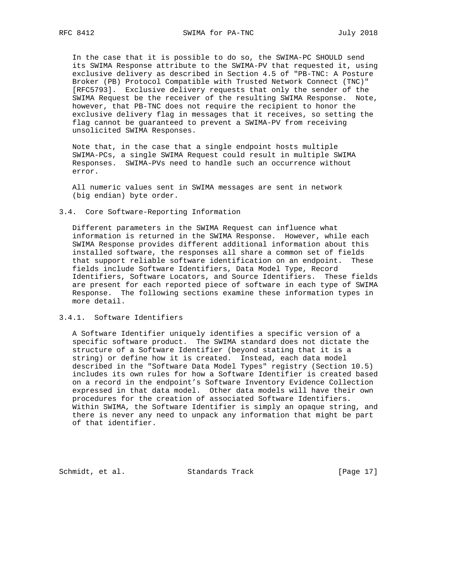In the case that it is possible to do so, the SWIMA-PC SHOULD send its SWIMA Response attribute to the SWIMA-PV that requested it, using exclusive delivery as described in Section 4.5 of "PB-TNC: A Posture Broker (PB) Protocol Compatible with Trusted Network Connect (TNC)" [RFC5793]. Exclusive delivery requests that only the sender of the SWIMA Request be the receiver of the resulting SWIMA Response. Note, however, that PB-TNC does not require the recipient to honor the exclusive delivery flag in messages that it receives, so setting the flag cannot be guaranteed to prevent a SWIMA-PV from receiving unsolicited SWIMA Responses.

 Note that, in the case that a single endpoint hosts multiple SWIMA-PCs, a single SWIMA Request could result in multiple SWIMA Responses. SWIMA-PVs need to handle such an occurrence without error.

 All numeric values sent in SWIMA messages are sent in network (big endian) byte order.

#### 3.4. Core Software-Reporting Information

 Different parameters in the SWIMA Request can influence what information is returned in the SWIMA Response. However, while each SWIMA Response provides different additional information about this installed software, the responses all share a common set of fields that support reliable software identification on an endpoint. These fields include Software Identifiers, Data Model Type, Record Identifiers, Software Locators, and Source Identifiers. These fields are present for each reported piece of software in each type of SWIMA Response. The following sections examine these information types in more detail.

## 3.4.1. Software Identifiers

 A Software Identifier uniquely identifies a specific version of a specific software product. The SWIMA standard does not dictate the structure of a Software Identifier (beyond stating that it is a string) or define how it is created. Instead, each data model described in the "Software Data Model Types" registry (Section 10.5) includes its own rules for how a Software Identifier is created based on a record in the endpoint's Software Inventory Evidence Collection expressed in that data model. Other data models will have their own procedures for the creation of associated Software Identifiers. Within SWIMA, the Software Identifier is simply an opaque string, and there is never any need to unpack any information that might be part of that identifier.

Schmidt, et al. Standards Track [Page 17]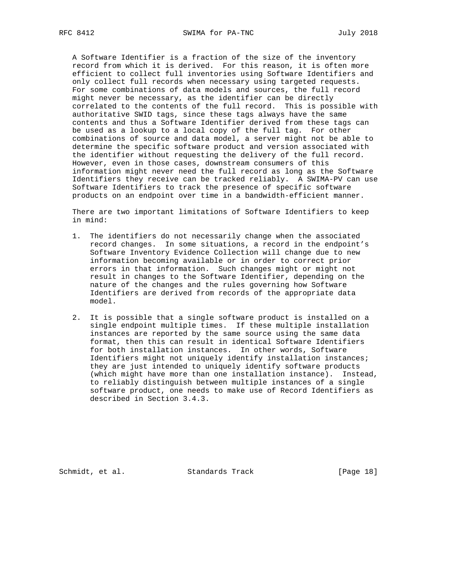A Software Identifier is a fraction of the size of the inventory record from which it is derived. For this reason, it is often more efficient to collect full inventories using Software Identifiers and only collect full records when necessary using targeted requests. For some combinations of data models and sources, the full record might never be necessary, as the identifier can be directly correlated to the contents of the full record. This is possible with authoritative SWID tags, since these tags always have the same contents and thus a Software Identifier derived from these tags can be used as a lookup to a local copy of the full tag. For other combinations of source and data model, a server might not be able to determine the specific software product and version associated with the identifier without requesting the delivery of the full record. However, even in those cases, downstream consumers of this information might never need the full record as long as the Software Identifiers they receive can be tracked reliably. A SWIMA-PV can use Software Identifiers to track the presence of specific software products on an endpoint over time in a bandwidth-efficient manner.

 There are two important limitations of Software Identifiers to keep in mind:

- 1. The identifiers do not necessarily change when the associated record changes. In some situations, a record in the endpoint's Software Inventory Evidence Collection will change due to new information becoming available or in order to correct prior errors in that information. Such changes might or might not result in changes to the Software Identifier, depending on the nature of the changes and the rules governing how Software Identifiers are derived from records of the appropriate data model.
- 2. It is possible that a single software product is installed on a single endpoint multiple times. If these multiple installation instances are reported by the same source using the same data format, then this can result in identical Software Identifiers for both installation instances. In other words, Software Identifiers might not uniquely identify installation instances; they are just intended to uniquely identify software products (which might have more than one installation instance). Instead, to reliably distinguish between multiple instances of a single software product, one needs to make use of Record Identifiers as described in Section 3.4.3.

Schmidt, et al. Standards Track [Page 18]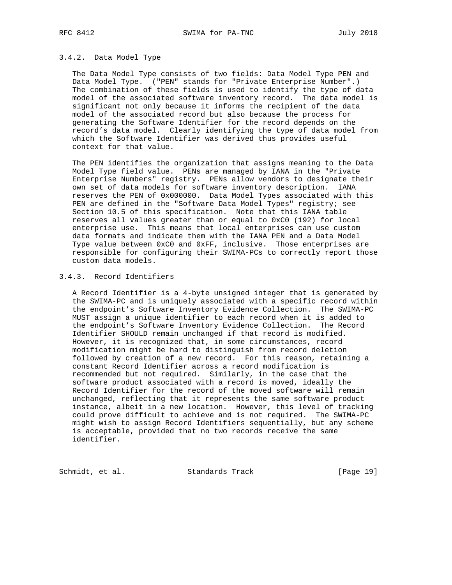# 3.4.2. Data Model Type

 The Data Model Type consists of two fields: Data Model Type PEN and Data Model Type. ("PEN" stands for "Private Enterprise Number".) The combination of these fields is used to identify the type of data model of the associated software inventory record. The data model is significant not only because it informs the recipient of the data model of the associated record but also because the process for generating the Software Identifier for the record depends on the record's data model. Clearly identifying the type of data model from which the Software Identifier was derived thus provides useful context for that value.

 The PEN identifies the organization that assigns meaning to the Data Model Type field value. PENs are managed by IANA in the "Private Enterprise Numbers" registry. PENs allow vendors to designate their own set of data models for software inventory description. IANA reserves the PEN of 0x000000. Data Model Types associated with this PEN are defined in the "Software Data Model Types" registry; see Section 10.5 of this specification. Note that this IANA table reserves all values greater than or equal to 0xC0 (192) for local enterprise use. This means that local enterprises can use custom data formats and indicate them with the IANA PEN and a Data Model Type value between 0xC0 and 0xFF, inclusive. Those enterprises are responsible for configuring their SWIMA-PCs to correctly report those custom data models.

# 3.4.3. Record Identifiers

 A Record Identifier is a 4-byte unsigned integer that is generated by the SWIMA-PC and is uniquely associated with a specific record within the endpoint's Software Inventory Evidence Collection. The SWIMA-PC MUST assign a unique identifier to each record when it is added to the endpoint's Software Inventory Evidence Collection. The Record Identifier SHOULD remain unchanged if that record is modified. However, it is recognized that, in some circumstances, record modification might be hard to distinguish from record deletion followed by creation of a new record. For this reason, retaining a constant Record Identifier across a record modification is recommended but not required. Similarly, in the case that the software product associated with a record is moved, ideally the Record Identifier for the record of the moved software will remain unchanged, reflecting that it represents the same software product instance, albeit in a new location. However, this level of tracking could prove difficult to achieve and is not required. The SWIMA-PC might wish to assign Record Identifiers sequentially, but any scheme is acceptable, provided that no two records receive the same identifier.

Schmidt, et al. Standards Track [Page 19]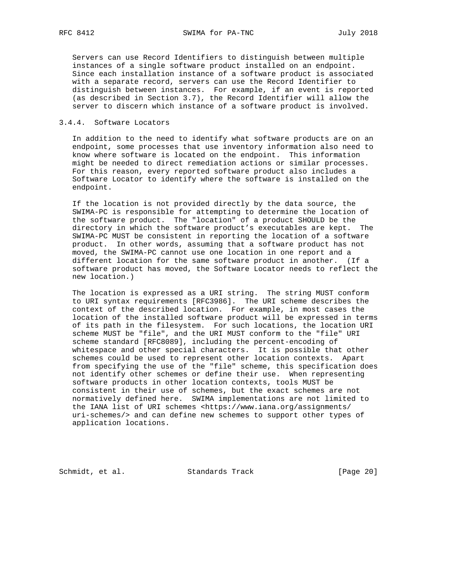Servers can use Record Identifiers to distinguish between multiple instances of a single software product installed on an endpoint. Since each installation instance of a software product is associated with a separate record, servers can use the Record Identifier to distinguish between instances. For example, if an event is reported (as described in Section 3.7), the Record Identifier will allow the server to discern which instance of a software product is involved.

## 3.4.4. Software Locators

 In addition to the need to identify what software products are on an endpoint, some processes that use inventory information also need to know where software is located on the endpoint. This information might be needed to direct remediation actions or similar processes. For this reason, every reported software product also includes a Software Locator to identify where the software is installed on the endpoint.

 If the location is not provided directly by the data source, the SWIMA-PC is responsible for attempting to determine the location of the software product. The "location" of a product SHOULD be the directory in which the software product's executables are kept. The SWIMA-PC MUST be consistent in reporting the location of a software product. In other words, assuming that a software product has not moved, the SWIMA-PC cannot use one location in one report and a different location for the same software product in another. (If a software product has moved, the Software Locator needs to reflect the new location.)

 The location is expressed as a URI string. The string MUST conform to URI syntax requirements [RFC3986]. The URI scheme describes the context of the described location. For example, in most cases the location of the installed software product will be expressed in terms of its path in the filesystem. For such locations, the location URI scheme MUST be "file", and the URI MUST conform to the "file" URI scheme standard [RFC8089], including the percent-encoding of whitespace and other special characters. It is possible that other schemes could be used to represent other location contexts. Apart from specifying the use of the "file" scheme, this specification does not identify other schemes or define their use. When representing software products in other location contexts, tools MUST be consistent in their use of schemes, but the exact schemes are not normatively defined here. SWIMA implementations are not limited to the IANA list of URI schemes <https://www.iana.org/assignments/ uri-schemes/> and can define new schemes to support other types of application locations.

Schmidt, et al. Standards Track [Page 20]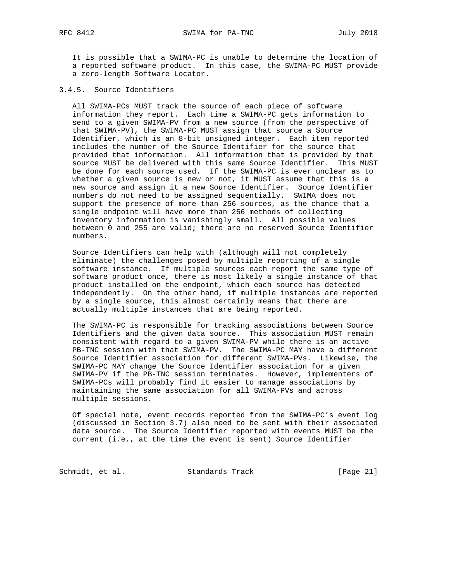It is possible that a SWIMA-PC is unable to determine the location of a reported software product. In this case, the SWIMA-PC MUST provide a zero-length Software Locator.

## 3.4.5. Source Identifiers

 All SWIMA-PCs MUST track the source of each piece of software information they report. Each time a SWIMA-PC gets information to send to a given SWIMA-PV from a new source (from the perspective of that SWIMA-PV), the SWIMA-PC MUST assign that source a Source Identifier, which is an 8-bit unsigned integer. Each item reported includes the number of the Source Identifier for the source that provided that information. All information that is provided by that source MUST be delivered with this same Source Identifier. This MUST be done for each source used. If the SWIMA-PC is ever unclear as to whether a given source is new or not, it MUST assume that this is a new source and assign it a new Source Identifier. Source Identifier numbers do not need to be assigned sequentially. SWIMA does not support the presence of more than 256 sources, as the chance that a single endpoint will have more than 256 methods of collecting inventory information is vanishingly small. All possible values between 0 and 255 are valid; there are no reserved Source Identifier numbers.

 Source Identifiers can help with (although will not completely eliminate) the challenges posed by multiple reporting of a single software instance. If multiple sources each report the same type of software product once, there is most likely a single instance of that product installed on the endpoint, which each source has detected independently. On the other hand, if multiple instances are reported by a single source, this almost certainly means that there are actually multiple instances that are being reported.

 The SWIMA-PC is responsible for tracking associations between Source Identifiers and the given data source. This association MUST remain consistent with regard to a given SWIMA-PV while there is an active PB-TNC session with that SWIMA-PV. The SWIMA-PC MAY have a different Source Identifier association for different SWIMA-PVs. Likewise, the SWIMA-PC MAY change the Source Identifier association for a given SWIMA-PV if the PB-TNC session terminates. However, implementers of SWIMA-PCs will probably find it easier to manage associations by maintaining the same association for all SWIMA-PVs and across multiple sessions.

 Of special note, event records reported from the SWIMA-PC's event log (discussed in Section 3.7) also need to be sent with their associated data source. The Source Identifier reported with events MUST be the current (i.e., at the time the event is sent) Source Identifier

Schmidt, et al. Standards Track [Page 21]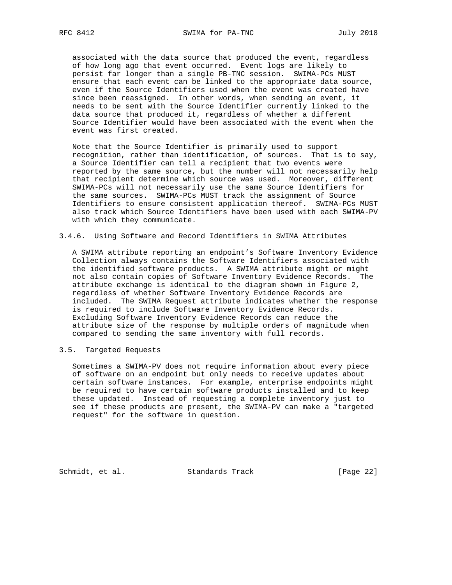associated with the data source that produced the event, regardless of how long ago that event occurred. Event logs are likely to persist far longer than a single PB-TNC session. SWIMA-PCs MUST ensure that each event can be linked to the appropriate data source, even if the Source Identifiers used when the event was created have since been reassigned. In other words, when sending an event, it needs to be sent with the Source Identifier currently linked to the data source that produced it, regardless of whether a different Source Identifier would have been associated with the event when the event was first created.

 Note that the Source Identifier is primarily used to support recognition, rather than identification, of sources. That is to say, a Source Identifier can tell a recipient that two events were reported by the same source, but the number will not necessarily help that recipient determine which source was used. Moreover, different SWIMA-PCs will not necessarily use the same Source Identifiers for the same sources. SWIMA-PCs MUST track the assignment of Source Identifiers to ensure consistent application thereof. SWIMA-PCs MUST also track which Source Identifiers have been used with each SWIMA-PV with which they communicate.

## 3.4.6. Using Software and Record Identifiers in SWIMA Attributes

 A SWIMA attribute reporting an endpoint's Software Inventory Evidence Collection always contains the Software Identifiers associated with the identified software products. A SWIMA attribute might or might not also contain copies of Software Inventory Evidence Records. The attribute exchange is identical to the diagram shown in Figure 2, regardless of whether Software Inventory Evidence Records are included. The SWIMA Request attribute indicates whether the response is required to include Software Inventory Evidence Records. Excluding Software Inventory Evidence Records can reduce the attribute size of the response by multiple orders of magnitude when compared to sending the same inventory with full records.

# 3.5. Targeted Requests

 Sometimes a SWIMA-PV does not require information about every piece of software on an endpoint but only needs to receive updates about certain software instances. For example, enterprise endpoints might be required to have certain software products installed and to keep these updated. Instead of requesting a complete inventory just to see if these products are present, the SWIMA-PV can make a "targeted request" for the software in question.

Schmidt, et al. Standards Track [Page 22]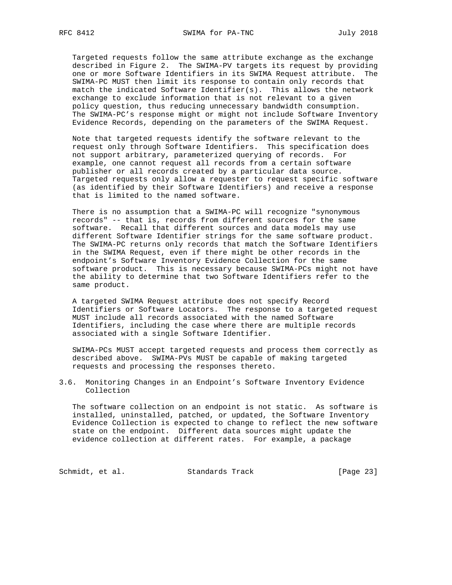Targeted requests follow the same attribute exchange as the exchange described in Figure 2. The SWIMA-PV targets its request by providing one or more Software Identifiers in its SWIMA Request attribute. The SWIMA-PC MUST then limit its response to contain only records that match the indicated Software Identifier(s). This allows the network exchange to exclude information that is not relevant to a given policy question, thus reducing unnecessary bandwidth consumption. The SWIMA-PC's response might or might not include Software Inventory Evidence Records, depending on the parameters of the SWIMA Request.

 Note that targeted requests identify the software relevant to the request only through Software Identifiers. This specification does not support arbitrary, parameterized querying of records. For example, one cannot request all records from a certain software publisher or all records created by a particular data source. Targeted requests only allow a requester to request specific software (as identified by their Software Identifiers) and receive a response that is limited to the named software.

 There is no assumption that a SWIMA-PC will recognize "synonymous records" -- that is, records from different sources for the same software. Recall that different sources and data models may use different Software Identifier strings for the same software product. The SWIMA-PC returns only records that match the Software Identifiers in the SWIMA Request, even if there might be other records in the endpoint's Software Inventory Evidence Collection for the same software product. This is necessary because SWIMA-PCs might not have the ability to determine that two Software Identifiers refer to the same product.

 A targeted SWIMA Request attribute does not specify Record Identifiers or Software Locators. The response to a targeted request MUST include all records associated with the named Software Identifiers, including the case where there are multiple records associated with a single Software Identifier.

 SWIMA-PCs MUST accept targeted requests and process them correctly as described above. SWIMA-PVs MUST be capable of making targeted requests and processing the responses thereto.

3.6. Monitoring Changes in an Endpoint's Software Inventory Evidence Collection

 The software collection on an endpoint is not static. As software is installed, uninstalled, patched, or updated, the Software Inventory Evidence Collection is expected to change to reflect the new software state on the endpoint. Different data sources might update the evidence collection at different rates. For example, a package

Schmidt, et al. Standards Track [Page 23]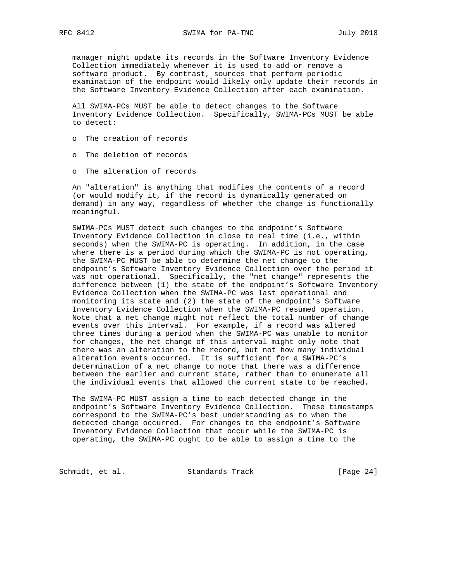manager might update its records in the Software Inventory Evidence Collection immediately whenever it is used to add or remove a software product. By contrast, sources that perform periodic examination of the endpoint would likely only update their records in the Software Inventory Evidence Collection after each examination.

 All SWIMA-PCs MUST be able to detect changes to the Software Inventory Evidence Collection. Specifically, SWIMA-PCs MUST be able to detect:

- o The creation of records
- o The deletion of records
- o The alteration of records

 An "alteration" is anything that modifies the contents of a record (or would modify it, if the record is dynamically generated on demand) in any way, regardless of whether the change is functionally meaningful.

 SWIMA-PCs MUST detect such changes to the endpoint's Software Inventory Evidence Collection in close to real time (i.e., within seconds) when the SWIMA-PC is operating. In addition, in the case where there is a period during which the SWIMA-PC is not operating, the SWIMA-PC MUST be able to determine the net change to the endpoint's Software Inventory Evidence Collection over the period it was not operational. Specifically, the "net change" represents the difference between (1) the state of the endpoint's Software Inventory Evidence Collection when the SWIMA-PC was last operational and monitoring its state and (2) the state of the endpoint's Software Inventory Evidence Collection when the SWIMA-PC resumed operation. Note that a net change might not reflect the total number of change events over this interval. For example, if a record was altered three times during a period when the SWIMA-PC was unable to monitor for changes, the net change of this interval might only note that there was an alteration to the record, but not how many individual alteration events occurred. It is sufficient for a SWIMA-PC's determination of a net change to note that there was a difference between the earlier and current state, rather than to enumerate all the individual events that allowed the current state to be reached.

 The SWIMA-PC MUST assign a time to each detected change in the endpoint's Software Inventory Evidence Collection. These timestamps correspond to the SWIMA-PC's best understanding as to when the detected change occurred. For changes to the endpoint's Software Inventory Evidence Collection that occur while the SWIMA-PC is operating, the SWIMA-PC ought to be able to assign a time to the

Schmidt, et al. Standards Track [Page 24]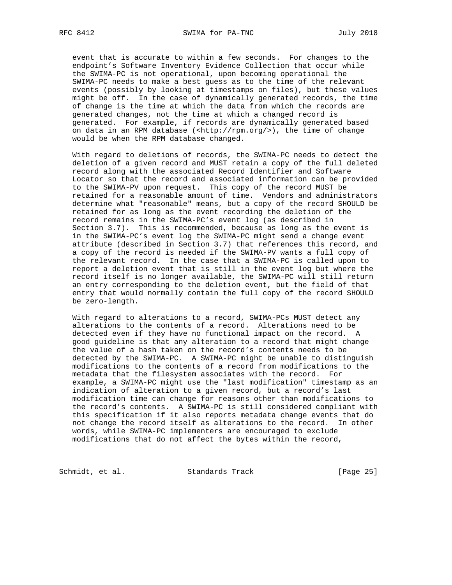event that is accurate to within a few seconds. For changes to the endpoint's Software Inventory Evidence Collection that occur while the SWIMA-PC is not operational, upon becoming operational the SWIMA-PC needs to make a best guess as to the time of the relevant events (possibly by looking at timestamps on files), but these values might be off. In the case of dynamically generated records, the time of change is the time at which the data from which the records are generated changes, not the time at which a changed record is generated. For example, if records are dynamically generated based on data in an RPM database (<http://rpm.org/>), the time of change would be when the RPM database changed.

 With regard to deletions of records, the SWIMA-PC needs to detect the deletion of a given record and MUST retain a copy of the full deleted record along with the associated Record Identifier and Software Locator so that the record and associated information can be provided to the SWIMA-PV upon request. This copy of the record MUST be retained for a reasonable amount of time. Vendors and administrators determine what "reasonable" means, but a copy of the record SHOULD be retained for as long as the event recording the deletion of the record remains in the SWIMA-PC's event log (as described in Section 3.7). This is recommended, because as long as the event is in the SWIMA-PC's event log the SWIMA-PC might send a change event attribute (described in Section 3.7) that references this record, and a copy of the record is needed if the SWIMA-PV wants a full copy of the relevant record. In the case that a SWIMA-PC is called upon to report a deletion event that is still in the event log but where the record itself is no longer available, the SWIMA-PC will still return an entry corresponding to the deletion event, but the field of that entry that would normally contain the full copy of the record SHOULD be zero-length.

 With regard to alterations to a record, SWIMA-PCs MUST detect any alterations to the contents of a record. Alterations need to be detected even if they have no functional impact on the record. A good guideline is that any alteration to a record that might change the value of a hash taken on the record's contents needs to be detected by the SWIMA-PC. A SWIMA-PC might be unable to distinguish modifications to the contents of a record from modifications to the metadata that the filesystem associates with the record. For example, a SWIMA-PC might use the "last modification" timestamp as an indication of alteration to a given record, but a record's last modification time can change for reasons other than modifications to the record's contents. A SWIMA-PC is still considered compliant with this specification if it also reports metadata change events that do not change the record itself as alterations to the record. In other words, while SWIMA-PC implementers are encouraged to exclude modifications that do not affect the bytes within the record,

Schmidt, et al. Standards Track [Page 25]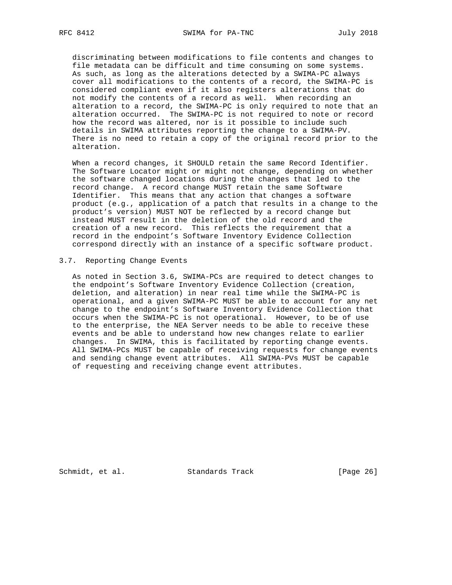discriminating between modifications to file contents and changes to file metadata can be difficult and time consuming on some systems. As such, as long as the alterations detected by a SWIMA-PC always cover all modifications to the contents of a record, the SWIMA-PC is considered compliant even if it also registers alterations that do not modify the contents of a record as well. When recording an alteration to a record, the SWIMA-PC is only required to note that an alteration occurred. The SWIMA-PC is not required to note or record how the record was altered, nor is it possible to include such details in SWIMA attributes reporting the change to a SWIMA-PV. There is no need to retain a copy of the original record prior to the alteration.

 When a record changes, it SHOULD retain the same Record Identifier. The Software Locator might or might not change, depending on whether the software changed locations during the changes that led to the record change. A record change MUST retain the same Software Identifier. This means that any action that changes a software product (e.g., application of a patch that results in a change to the product's version) MUST NOT be reflected by a record change but instead MUST result in the deletion of the old record and the creation of a new record. This reflects the requirement that a record in the endpoint's Software Inventory Evidence Collection correspond directly with an instance of a specific software product.

## 3.7. Reporting Change Events

 As noted in Section 3.6, SWIMA-PCs are required to detect changes to the endpoint's Software Inventory Evidence Collection (creation, deletion, and alteration) in near real time while the SWIMA-PC is operational, and a given SWIMA-PC MUST be able to account for any net change to the endpoint's Software Inventory Evidence Collection that occurs when the SWIMA-PC is not operational. However, to be of use to the enterprise, the NEA Server needs to be able to receive these events and be able to understand how new changes relate to earlier changes. In SWIMA, this is facilitated by reporting change events. All SWIMA-PCs MUST be capable of receiving requests for change events and sending change event attributes. All SWIMA-PVs MUST be capable of requesting and receiving change event attributes.

Schmidt, et al. Standards Track [Page 26]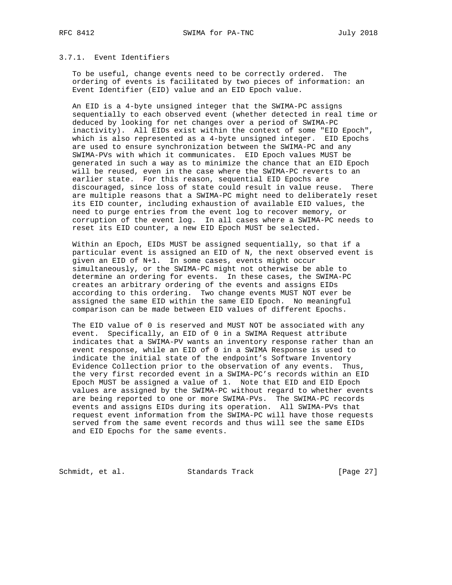# 3.7.1. Event Identifiers

 To be useful, change events need to be correctly ordered. The ordering of events is facilitated by two pieces of information: an Event Identifier (EID) value and an EID Epoch value.

 An EID is a 4-byte unsigned integer that the SWIMA-PC assigns sequentially to each observed event (whether detected in real time or deduced by looking for net changes over a period of SWIMA-PC inactivity). All EIDs exist within the context of some "EID Epoch", which is also represented as a 4-byte unsigned integer. EID Epochs are used to ensure synchronization between the SWIMA-PC and any SWIMA-PVs with which it communicates. EID Epoch values MUST be generated in such a way as to minimize the chance that an EID Epoch will be reused, even in the case where the SWIMA-PC reverts to an earlier state. For this reason, sequential EID Epochs are discouraged, since loss of state could result in value reuse. There are multiple reasons that a SWIMA-PC might need to deliberately reset its EID counter, including exhaustion of available EID values, the need to purge entries from the event log to recover memory, or corruption of the event log. In all cases where a SWIMA-PC needs to reset its EID counter, a new EID Epoch MUST be selected.

 Within an Epoch, EIDs MUST be assigned sequentially, so that if a particular event is assigned an EID of N, the next observed event is given an EID of N+1. In some cases, events might occur simultaneously, or the SWIMA-PC might not otherwise be able to determine an ordering for events. In these cases, the SWIMA-PC creates an arbitrary ordering of the events and assigns EIDs according to this ordering. Two change events MUST NOT ever be assigned the same EID within the same EID Epoch. No meaningful comparison can be made between EID values of different Epochs.

 The EID value of 0 is reserved and MUST NOT be associated with any event. Specifically, an EID of 0 in a SWIMA Request attribute indicates that a SWIMA-PV wants an inventory response rather than an event response, while an EID of 0 in a SWIMA Response is used to indicate the initial state of the endpoint's Software Inventory Evidence Collection prior to the observation of any events. Thus, the very first recorded event in a SWIMA-PC's records within an EID Epoch MUST be assigned a value of 1. Note that EID and EID Epoch values are assigned by the SWIMA-PC without regard to whether events are being reported to one or more SWIMA-PVs. The SWIMA-PC records events and assigns EIDs during its operation. All SWIMA-PVs that request event information from the SWIMA-PC will have those requests served from the same event records and thus will see the same EIDs and EID Epochs for the same events.

Schmidt, et al. Standards Track [Page 27]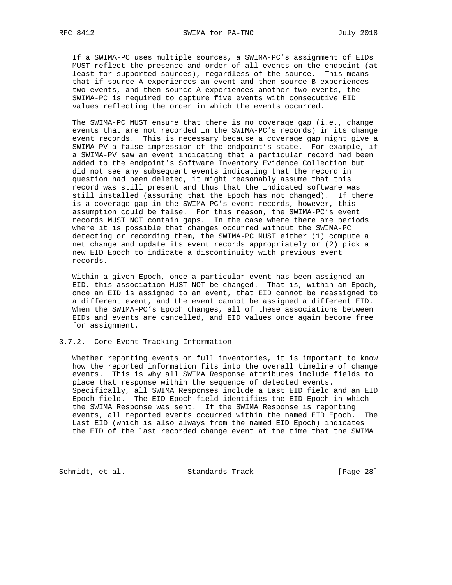If a SWIMA-PC uses multiple sources, a SWIMA-PC's assignment of EIDs MUST reflect the presence and order of all events on the endpoint (at least for supported sources), regardless of the source. This means that if source A experiences an event and then source B experiences two events, and then source A experiences another two events, the SWIMA-PC is required to capture five events with consecutive EID values reflecting the order in which the events occurred.

The SWIMA-PC MUST ensure that there is no coverage gap (i.e., change events that are not recorded in the SWIMA-PC's records) in its change event records. This is necessary because a coverage gap might give a SWIMA-PV a false impression of the endpoint's state. For example, if a SWIMA-PV saw an event indicating that a particular record had been added to the endpoint's Software Inventory Evidence Collection but did not see any subsequent events indicating that the record in question had been deleted, it might reasonably assume that this record was still present and thus that the indicated software was still installed (assuming that the Epoch has not changed). If there is a coverage gap in the SWIMA-PC's event records, however, this assumption could be false. For this reason, the SWIMA-PC's event records MUST NOT contain gaps. In the case where there are periods where it is possible that changes occurred without the SWIMA-PC detecting or recording them, the SWIMA-PC MUST either (1) compute a net change and update its event records appropriately or (2) pick a new EID Epoch to indicate a discontinuity with previous event records.

 Within a given Epoch, once a particular event has been assigned an EID, this association MUST NOT be changed. That is, within an Epoch, once an EID is assigned to an event, that EID cannot be reassigned to a different event, and the event cannot be assigned a different EID. When the SWIMA-PC's Epoch changes, all of these associations between EIDs and events are cancelled, and EID values once again become free for assignment.

## 3.7.2. Core Event-Tracking Information

 Whether reporting events or full inventories, it is important to know how the reported information fits into the overall timeline of change events. This is why all SWIMA Response attributes include fields to place that response within the sequence of detected events. Specifically, all SWIMA Responses include a Last EID field and an EID Epoch field. The EID Epoch field identifies the EID Epoch in which the SWIMA Response was sent. If the SWIMA Response is reporting events, all reported events occurred within the named EID Epoch. The Last EID (which is also always from the named EID Epoch) indicates the EID of the last recorded change event at the time that the SWIMA

Schmidt, et al. Standards Track [Page 28]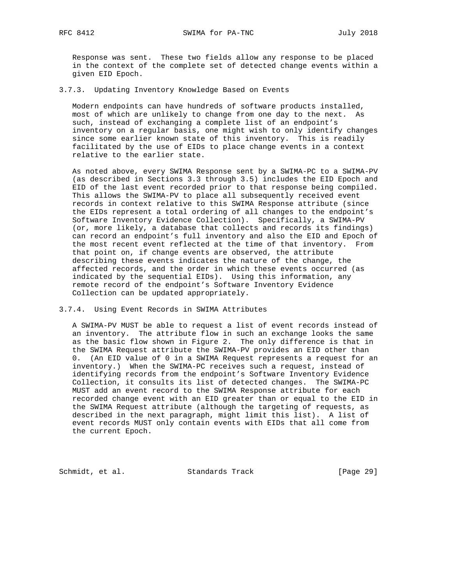Response was sent. These two fields allow any response to be placed in the context of the complete set of detected change events within a given EID Epoch.

3.7.3. Updating Inventory Knowledge Based on Events

 Modern endpoints can have hundreds of software products installed, most of which are unlikely to change from one day to the next. As such, instead of exchanging a complete list of an endpoint's inventory on a regular basis, one might wish to only identify changes since some earlier known state of this inventory. This is readily facilitated by the use of EIDs to place change events in a context relative to the earlier state.

 As noted above, every SWIMA Response sent by a SWIMA-PC to a SWIMA-PV (as described in Sections 3.3 through 3.5) includes the EID Epoch and EID of the last event recorded prior to that response being compiled. This allows the SWIMA-PV to place all subsequently received event records in context relative to this SWIMA Response attribute (since the EIDs represent a total ordering of all changes to the endpoint's Software Inventory Evidence Collection). Specifically, a SWIMA-PV (or, more likely, a database that collects and records its findings) can record an endpoint's full inventory and also the EID and Epoch of the most recent event reflected at the time of that inventory. From that point on, if change events are observed, the attribute describing these events indicates the nature of the change, the affected records, and the order in which these events occurred (as indicated by the sequential EIDs). Using this information, any remote record of the endpoint's Software Inventory Evidence Collection can be updated appropriately.

3.7.4. Using Event Records in SWIMA Attributes

 A SWIMA-PV MUST be able to request a list of event records instead of an inventory. The attribute flow in such an exchange looks the same as the basic flow shown in Figure 2. The only difference is that in the SWIMA Request attribute the SWIMA-PV provides an EID other than 0. (An EID value of 0 in a SWIMA Request represents a request for an inventory.) When the SWIMA-PC receives such a request, instead of identifying records from the endpoint's Software Inventory Evidence Collection, it consults its list of detected changes. The SWIMA-PC MUST add an event record to the SWIMA Response attribute for each recorded change event with an EID greater than or equal to the EID in the SWIMA Request attribute (although the targeting of requests, as described in the next paragraph, might limit this list). A list of event records MUST only contain events with EIDs that all come from the current Epoch.

Schmidt, et al. Standards Track [Page 29]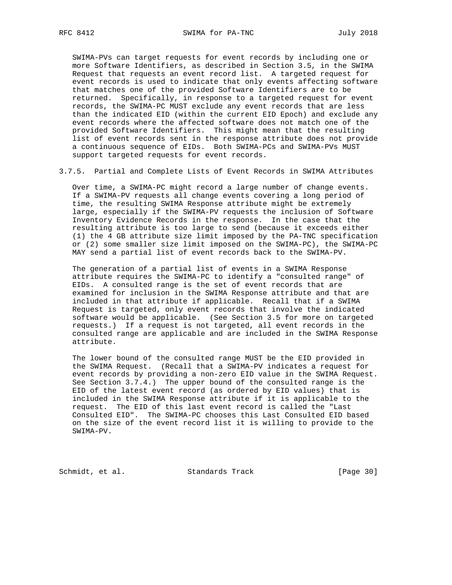SWIMA-PVs can target requests for event records by including one or more Software Identifiers, as described in Section 3.5, in the SWIMA Request that requests an event record list. A targeted request for event records is used to indicate that only events affecting software that matches one of the provided Software Identifiers are to be returned. Specifically, in response to a targeted request for event records, the SWIMA-PC MUST exclude any event records that are less than the indicated EID (within the current EID Epoch) and exclude any event records where the affected software does not match one of the provided Software Identifiers. This might mean that the resulting list of event records sent in the response attribute does not provide a continuous sequence of EIDs. Both SWIMA-PCs and SWIMA-PVs MUST support targeted requests for event records.

3.7.5. Partial and Complete Lists of Event Records in SWIMA Attributes

 Over time, a SWIMA-PC might record a large number of change events. If a SWIMA-PV requests all change events covering a long period of time, the resulting SWIMA Response attribute might be extremely large, especially if the SWIMA-PV requests the inclusion of Software Inventory Evidence Records in the response. In the case that the resulting attribute is too large to send (because it exceeds either (1) the 4 GB attribute size limit imposed by the PA-TNC specification or (2) some smaller size limit imposed on the SWIMA-PC), the SWIMA-PC MAY send a partial list of event records back to the SWIMA-PV.

 The generation of a partial list of events in a SWIMA Response attribute requires the SWIMA-PC to identify a "consulted range" of EIDs. A consulted range is the set of event records that are examined for inclusion in the SWIMA Response attribute and that are included in that attribute if applicable. Recall that if a SWIMA Request is targeted, only event records that involve the indicated software would be applicable. (See Section 3.5 for more on targeted requests.) If a request is not targeted, all event records in the consulted range are applicable and are included in the SWIMA Response attribute.

 The lower bound of the consulted range MUST be the EID provided in the SWIMA Request. (Recall that a SWIMA-PV indicates a request for event records by providing a non-zero EID value in the SWIMA Request. See Section 3.7.4.) The upper bound of the consulted range is the EID of the latest event record (as ordered by EID values) that is included in the SWIMA Response attribute if it is applicable to the request. The EID of this last event record is called the "Last Consulted EID". The SWIMA-PC chooses this Last Consulted EID based on the size of the event record list it is willing to provide to the SWIMA-PV.

Schmidt, et al. Standards Track [Page 30]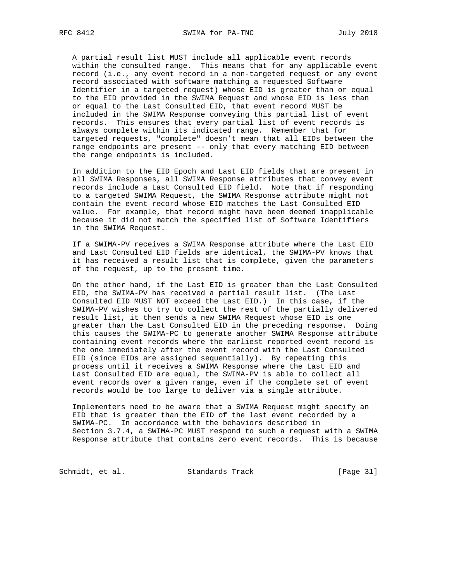A partial result list MUST include all applicable event records within the consulted range. This means that for any applicable event record (i.e., any event record in a non-targeted request or any event record associated with software matching a requested Software Identifier in a targeted request) whose EID is greater than or equal to the EID provided in the SWIMA Request and whose EID is less than or equal to the Last Consulted EID, that event record MUST be included in the SWIMA Response conveying this partial list of event records. This ensures that every partial list of event records is always complete within its indicated range. Remember that for targeted requests, "complete" doesn't mean that all EIDs between the range endpoints are present -- only that every matching EID between the range endpoints is included.

 In addition to the EID Epoch and Last EID fields that are present in all SWIMA Responses, all SWIMA Response attributes that convey event records include a Last Consulted EID field. Note that if responding to a targeted SWIMA Request, the SWIMA Response attribute might not contain the event record whose EID matches the Last Consulted EID value. For example, that record might have been deemed inapplicable because it did not match the specified list of Software Identifiers in the SWIMA Request.

 If a SWIMA-PV receives a SWIMA Response attribute where the Last EID and Last Consulted EID fields are identical, the SWIMA-PV knows that it has received a result list that is complete, given the parameters of the request, up to the present time.

 On the other hand, if the Last EID is greater than the Last Consulted EID, the SWIMA-PV has received a partial result list. (The Last Consulted EID MUST NOT exceed the Last EID.) In this case, if the SWIMA-PV wishes to try to collect the rest of the partially delivered result list, it then sends a new SWIMA Request whose EID is one greater than the Last Consulted EID in the preceding response. Doing this causes the SWIMA-PC to generate another SWIMA Response attribute containing event records where the earliest reported event record is the one immediately after the event record with the Last Consulted EID (since EIDs are assigned sequentially). By repeating this process until it receives a SWIMA Response where the Last EID and Last Consulted EID are equal, the SWIMA-PV is able to collect all event records over a given range, even if the complete set of event records would be too large to deliver via a single attribute.

 Implementers need to be aware that a SWIMA Request might specify an EID that is greater than the EID of the last event recorded by a SWIMA-PC. In accordance with the behaviors described in Section 3.7.4, a SWIMA-PC MUST respond to such a request with a SWIMA Response attribute that contains zero event records. This is because

Schmidt, et al. Standards Track [Page 31]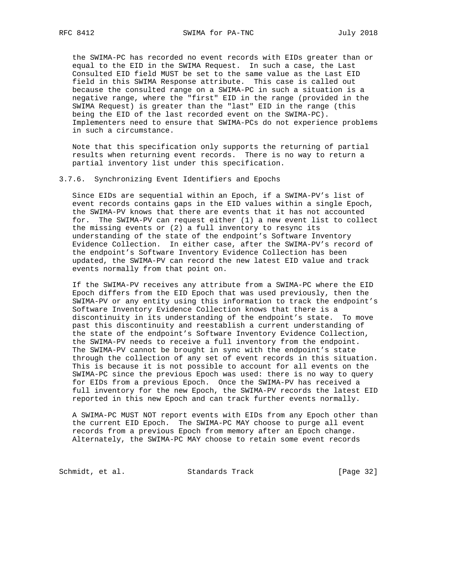the SWIMA-PC has recorded no event records with EIDs greater than or equal to the EID in the SWIMA Request. In such a case, the Last Consulted EID field MUST be set to the same value as the Last EID field in this SWIMA Response attribute. This case is called out because the consulted range on a SWIMA-PC in such a situation is a negative range, where the "first" EID in the range (provided in the SWIMA Request) is greater than the "last" EID in the range (this being the EID of the last recorded event on the SWIMA-PC). Implementers need to ensure that SWIMA-PCs do not experience problems in such a circumstance.

 Note that this specification only supports the returning of partial results when returning event records. There is no way to return a partial inventory list under this specification.

#### 3.7.6. Synchronizing Event Identifiers and Epochs

 Since EIDs are sequential within an Epoch, if a SWIMA-PV's list of event records contains gaps in the EID values within a single Epoch, the SWIMA-PV knows that there are events that it has not accounted for. The SWIMA-PV can request either (1) a new event list to collect the missing events or (2) a full inventory to resync its understanding of the state of the endpoint's Software Inventory Evidence Collection. In either case, after the SWIMA-PV's record of the endpoint's Software Inventory Evidence Collection has been updated, the SWIMA-PV can record the new latest EID value and track events normally from that point on.

 If the SWIMA-PV receives any attribute from a SWIMA-PC where the EID Epoch differs from the EID Epoch that was used previously, then the SWIMA-PV or any entity using this information to track the endpoint's Software Inventory Evidence Collection knows that there is a discontinuity in its understanding of the endpoint's state. To move past this discontinuity and reestablish a current understanding of the state of the endpoint's Software Inventory Evidence Collection, the SWIMA-PV needs to receive a full inventory from the endpoint. The SWIMA-PV cannot be brought in sync with the endpoint's state through the collection of any set of event records in this situation. This is because it is not possible to account for all events on the SWIMA-PC since the previous Epoch was used: there is no way to query for EIDs from a previous Epoch. Once the SWIMA-PV has received a full inventory for the new Epoch, the SWIMA-PV records the latest EID reported in this new Epoch and can track further events normally.

 A SWIMA-PC MUST NOT report events with EIDs from any Epoch other than the current EID Epoch. The SWIMA-PC MAY choose to purge all event records from a previous Epoch from memory after an Epoch change. Alternately, the SWIMA-PC MAY choose to retain some event records

Schmidt, et al. Standards Track [Page 32]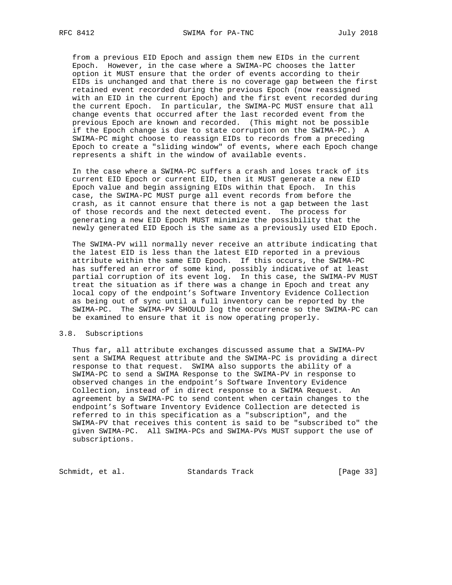from a previous EID Epoch and assign them new EIDs in the current Epoch. However, in the case where a SWIMA-PC chooses the latter option it MUST ensure that the order of events according to their EIDs is unchanged and that there is no coverage gap between the first retained event recorded during the previous Epoch (now reassigned with an EID in the current Epoch) and the first event recorded during the current Epoch. In particular, the SWIMA-PC MUST ensure that all change events that occurred after the last recorded event from the previous Epoch are known and recorded. (This might not be possible if the Epoch change is due to state corruption on the SWIMA-PC.) A SWIMA-PC might choose to reassign EIDs to records from a preceding Epoch to create a "sliding window" of events, where each Epoch change represents a shift in the window of available events.

 In the case where a SWIMA-PC suffers a crash and loses track of its current EID Epoch or current EID, then it MUST generate a new EID Epoch value and begin assigning EIDs within that Epoch. In this case, the SWIMA-PC MUST purge all event records from before the crash, as it cannot ensure that there is not a gap between the last of those records and the next detected event. The process for generating a new EID Epoch MUST minimize the possibility that the newly generated EID Epoch is the same as a previously used EID Epoch.

 The SWIMA-PV will normally never receive an attribute indicating that the latest EID is less than the latest EID reported in a previous attribute within the same EID Epoch. If this occurs, the SWIMA-PC has suffered an error of some kind, possibly indicative of at least partial corruption of its event log. In this case, the SWIMA-PV MUST treat the situation as if there was a change in Epoch and treat any local copy of the endpoint's Software Inventory Evidence Collection as being out of sync until a full inventory can be reported by the SWIMA-PC. The SWIMA-PV SHOULD log the occurrence so the SWIMA-PC can be examined to ensure that it is now operating properly.

## 3.8. Subscriptions

 Thus far, all attribute exchanges discussed assume that a SWIMA-PV sent a SWIMA Request attribute and the SWIMA-PC is providing a direct response to that request. SWIMA also supports the ability of a SWIMA-PC to send a SWIMA Response to the SWIMA-PV in response to observed changes in the endpoint's Software Inventory Evidence Collection, instead of in direct response to a SWIMA Request. An agreement by a SWIMA-PC to send content when certain changes to the endpoint's Software Inventory Evidence Collection are detected is referred to in this specification as a "subscription", and the SWIMA-PV that receives this content is said to be "subscribed to" the given SWIMA-PC. All SWIMA-PCs and SWIMA-PVs MUST support the use of subscriptions.

Schmidt, et al. Standards Track [Page 33]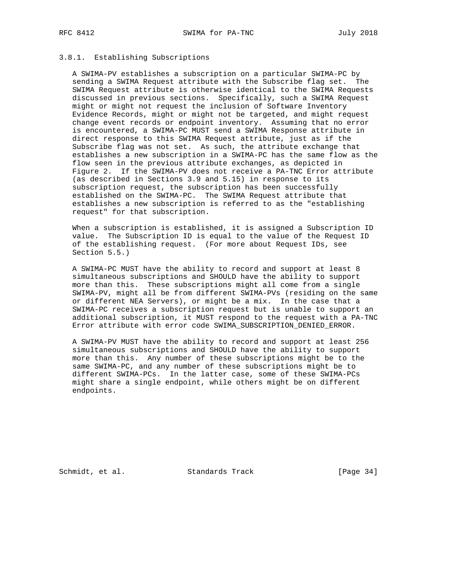# 3.8.1. Establishing Subscriptions

 A SWIMA-PV establishes a subscription on a particular SWIMA-PC by sending a SWIMA Request attribute with the Subscribe flag set. The SWIMA Request attribute is otherwise identical to the SWIMA Requests discussed in previous sections. Specifically, such a SWIMA Request might or might not request the inclusion of Software Inventory Evidence Records, might or might not be targeted, and might request change event records or endpoint inventory. Assuming that no error is encountered, a SWIMA-PC MUST send a SWIMA Response attribute in direct response to this SWIMA Request attribute, just as if the Subscribe flag was not set. As such, the attribute exchange that establishes a new subscription in a SWIMA-PC has the same flow as the flow seen in the previous attribute exchanges, as depicted in Figure 2. If the SWIMA-PV does not receive a PA-TNC Error attribute (as described in Sections 3.9 and 5.15) in response to its subscription request, the subscription has been successfully established on the SWIMA-PC. The SWIMA Request attribute that establishes a new subscription is referred to as the "establishing request" for that subscription.

 When a subscription is established, it is assigned a Subscription ID value. The Subscription ID is equal to the value of the Request ID of the establishing request. (For more about Request IDs, see Section 5.5.)

 A SWIMA-PC MUST have the ability to record and support at least 8 simultaneous subscriptions and SHOULD have the ability to support more than this. These subscriptions might all come from a single SWIMA-PV, might all be from different SWIMA-PVs (residing on the same or different NEA Servers), or might be a mix. In the case that a SWIMA-PC receives a subscription request but is unable to support an additional subscription, it MUST respond to the request with a PA-TNC Error attribute with error code SWIMA\_SUBSCRIPTION\_DENIED\_ERROR.

 A SWIMA-PV MUST have the ability to record and support at least 256 simultaneous subscriptions and SHOULD have the ability to support more than this. Any number of these subscriptions might be to the same SWIMA-PC, and any number of these subscriptions might be to different SWIMA-PCs. In the latter case, some of these SWIMA-PCs might share a single endpoint, while others might be on different endpoints.

Schmidt, et al. Standards Track [Page 34]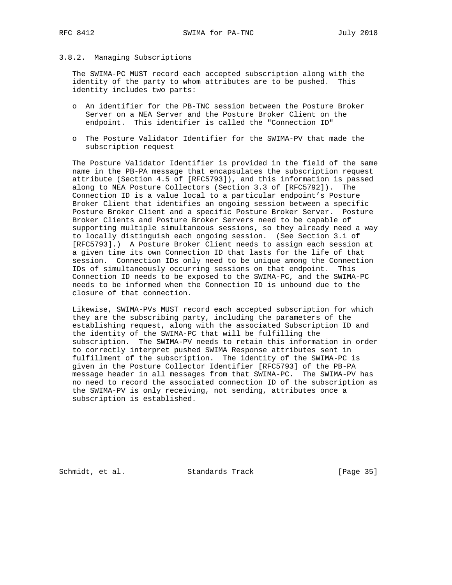## 3.8.2. Managing Subscriptions

 The SWIMA-PC MUST record each accepted subscription along with the identity of the party to whom attributes are to be pushed. This identity includes two parts:

- o An identifier for the PB-TNC session between the Posture Broker Server on a NEA Server and the Posture Broker Client on the endpoint. This identifier is called the "Connection ID"
- o The Posture Validator Identifier for the SWIMA-PV that made the subscription request

 The Posture Validator Identifier is provided in the field of the same name in the PB-PA message that encapsulates the subscription request attribute (Section 4.5 of [RFC5793]), and this information is passed along to NEA Posture Collectors (Section 3.3 of [RFC5792]). The Connection ID is a value local to a particular endpoint's Posture Broker Client that identifies an ongoing session between a specific Posture Broker Client and a specific Posture Broker Server. Posture Broker Clients and Posture Broker Servers need to be capable of supporting multiple simultaneous sessions, so they already need a way to locally distinguish each ongoing session. (See Section 3.1 of [RFC5793].) A Posture Broker Client needs to assign each session at a given time its own Connection ID that lasts for the life of that session. Connection IDs only need to be unique among the Connection IDs of simultaneously occurring sessions on that endpoint. This Connection ID needs to be exposed to the SWIMA-PC, and the SWIMA-PC needs to be informed when the Connection ID is unbound due to the closure of that connection.

 Likewise, SWIMA-PVs MUST record each accepted subscription for which they are the subscribing party, including the parameters of the establishing request, along with the associated Subscription ID and the identity of the SWIMA-PC that will be fulfilling the subscription. The SWIMA-PV needs to retain this information in order to correctly interpret pushed SWIMA Response attributes sent in fulfillment of the subscription. The identity of the SWIMA-PC is given in the Posture Collector Identifier [RFC5793] of the PB-PA message header in all messages from that SWIMA-PC. The SWIMA-PV has no need to record the associated connection ID of the subscription as the SWIMA-PV is only receiving, not sending, attributes once a subscription is established.

Schmidt, et al. Standards Track [Page 35]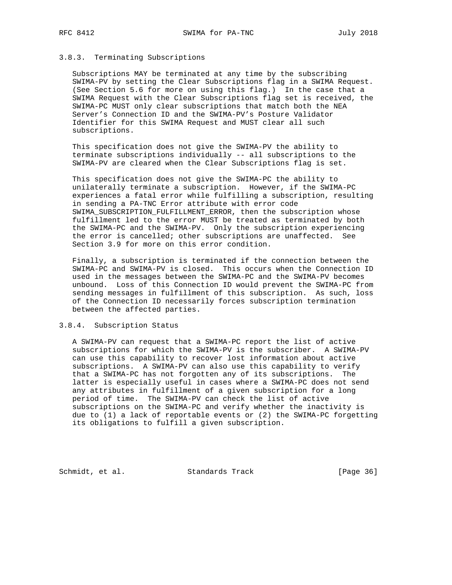## 3.8.3. Terminating Subscriptions

 Subscriptions MAY be terminated at any time by the subscribing SWIMA-PV by setting the Clear Subscriptions flag in a SWIMA Request. (See Section 5.6 for more on using this flag.) In the case that a SWIMA Request with the Clear Subscriptions flag set is received, the SWIMA-PC MUST only clear subscriptions that match both the NEA Server's Connection ID and the SWIMA-PV's Posture Validator Identifier for this SWIMA Request and MUST clear all such subscriptions.

 This specification does not give the SWIMA-PV the ability to terminate subscriptions individually -- all subscriptions to the SWIMA-PV are cleared when the Clear Subscriptions flag is set.

 This specification does not give the SWIMA-PC the ability to unilaterally terminate a subscription. However, if the SWIMA-PC experiences a fatal error while fulfilling a subscription, resulting in sending a PA-TNC Error attribute with error code SWIMA\_SUBSCRIPTION\_FULFILLMENT\_ERROR, then the subscription whose fulfillment led to the error MUST be treated as terminated by both the SWIMA-PC and the SWIMA-PV. Only the subscription experiencing the error is cancelled; other subscriptions are unaffected. See Section 3.9 for more on this error condition.

 Finally, a subscription is terminated if the connection between the SWIMA-PC and SWIMA-PV is closed. This occurs when the Connection ID used in the messages between the SWIMA-PC and the SWIMA-PV becomes unbound. Loss of this Connection ID would prevent the SWIMA-PC from sending messages in fulfillment of this subscription. As such, loss of the Connection ID necessarily forces subscription termination between the affected parties.

## 3.8.4. Subscription Status

 A SWIMA-PV can request that a SWIMA-PC report the list of active subscriptions for which the SWIMA-PV is the subscriber. A SWIMA-PV can use this capability to recover lost information about active subscriptions. A SWIMA-PV can also use this capability to verify that a SWIMA-PC has not forgotten any of its subscriptions. The latter is especially useful in cases where a SWIMA-PC does not send any attributes in fulfillment of a given subscription for a long period of time. The SWIMA-PV can check the list of active subscriptions on the SWIMA-PC and verify whether the inactivity is due to (1) a lack of reportable events or (2) the SWIMA-PC forgetting its obligations to fulfill a given subscription.

Schmidt, et al. Standards Track [Page 36]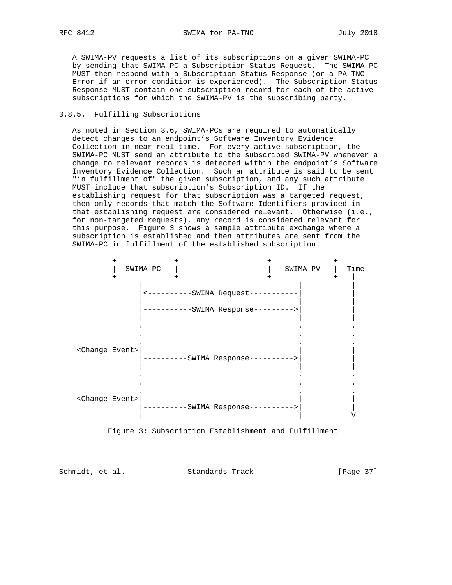A SWIMA-PV requests a list of its subscriptions on a given SWIMA-PC by sending that SWIMA-PC a Subscription Status Request. The SWIMA-PC MUST then respond with a Subscription Status Response (or a PA-TNC Error if an error condition is experienced). The Subscription Status Response MUST contain one subscription record for each of the active subscriptions for which the SWIMA-PV is the subscribing party.

## 3.8.5. Fulfilling Subscriptions

 As noted in Section 3.6, SWIMA-PCs are required to automatically detect changes to an endpoint's Software Inventory Evidence Collection in near real time. For every active subscription, the SWIMA-PC MUST send an attribute to the subscribed SWIMA-PV whenever a change to relevant records is detected within the endpoint's Software Inventory Evidence Collection. Such an attribute is said to be sent "in fulfillment of" the given subscription, and any such attribute MUST include that subscription's Subscription ID. If the establishing request for that subscription was a targeted request, then only records that match the Software Identifiers provided in that establishing request are considered relevant. Otherwise (i.e., for non-targeted requests), any record is considered relevant for this purpose. Figure 3 shows a sample attribute exchange where a subscription is established and then attributes are sent from the SWIMA-PC in fulfillment of the established subscription.





Schmidt, et al. Standards Track [Page 37]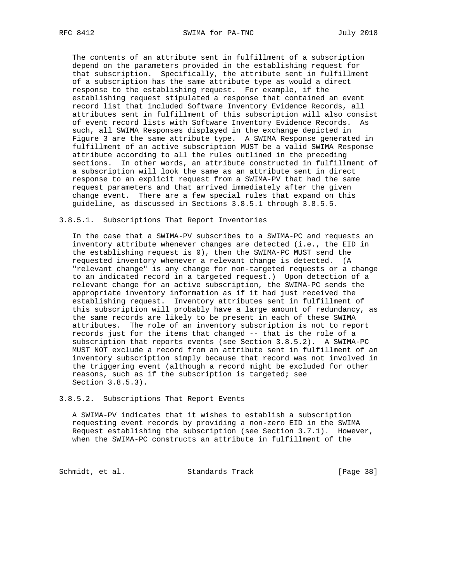The contents of an attribute sent in fulfillment of a subscription depend on the parameters provided in the establishing request for that subscription. Specifically, the attribute sent in fulfillment of a subscription has the same attribute type as would a direct response to the establishing request. For example, if the establishing request stipulated a response that contained an event record list that included Software Inventory Evidence Records, all attributes sent in fulfillment of this subscription will also consist of event record lists with Software Inventory Evidence Records. As such, all SWIMA Responses displayed in the exchange depicted in Figure 3 are the same attribute type. A SWIMA Response generated in fulfillment of an active subscription MUST be a valid SWIMA Response attribute according to all the rules outlined in the preceding sections. In other words, an attribute constructed in fulfillment of a subscription will look the same as an attribute sent in direct response to an explicit request from a SWIMA-PV that had the same request parameters and that arrived immediately after the given change event. There are a few special rules that expand on this guideline, as discussed in Sections 3.8.5.1 through 3.8.5.5.

#### 3.8.5.1. Subscriptions That Report Inventories

 In the case that a SWIMA-PV subscribes to a SWIMA-PC and requests an inventory attribute whenever changes are detected (i.e., the EID in the establishing request is 0), then the SWIMA-PC MUST send the requested inventory whenever a relevant change is detected. (A "relevant change" is any change for non-targeted requests or a change to an indicated record in a targeted request.) Upon detection of a relevant change for an active subscription, the SWIMA-PC sends the appropriate inventory information as if it had just received the establishing request. Inventory attributes sent in fulfillment of this subscription will probably have a large amount of redundancy, as the same records are likely to be present in each of these SWIMA attributes. The role of an inventory subscription is not to report records just for the items that changed -- that is the role of a subscription that reports events (see Section 3.8.5.2). A SWIMA-PC MUST NOT exclude a record from an attribute sent in fulfillment of an inventory subscription simply because that record was not involved in the triggering event (although a record might be excluded for other reasons, such as if the subscription is targeted; see Section 3.8.5.3).

#### 3.8.5.2. Subscriptions That Report Events

 A SWIMA-PV indicates that it wishes to establish a subscription requesting event records by providing a non-zero EID in the SWIMA Request establishing the subscription (see Section 3.7.1). However, when the SWIMA-PC constructs an attribute in fulfillment of the

Schmidt, et al. Standards Track [Page 38]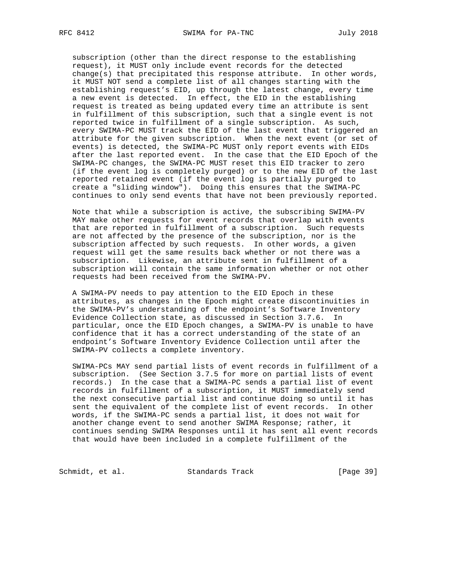subscription (other than the direct response to the establishing request), it MUST only include event records for the detected change(s) that precipitated this response attribute. In other words, it MUST NOT send a complete list of all changes starting with the establishing request's EID, up through the latest change, every time a new event is detected. In effect, the EID in the establishing request is treated as being updated every time an attribute is sent in fulfillment of this subscription, such that a single event is not reported twice in fulfillment of a single subscription. As such, every SWIMA-PC MUST track the EID of the last event that triggered an attribute for the given subscription. When the next event (or set of events) is detected, the SWIMA-PC MUST only report events with EIDs after the last reported event. In the case that the EID Epoch of the SWIMA-PC changes, the SWIMA-PC MUST reset this EID tracker to zero (if the event log is completely purged) or to the new EID of the last reported retained event (if the event log is partially purged to create a "sliding window"). Doing this ensures that the SWIMA-PC continues to only send events that have not been previously reported.

 Note that while a subscription is active, the subscribing SWIMA-PV MAY make other requests for event records that overlap with events that are reported in fulfillment of a subscription. Such requests are not affected by the presence of the subscription, nor is the subscription affected by such requests. In other words, a given request will get the same results back whether or not there was a subscription. Likewise, an attribute sent in fulfillment of a subscription will contain the same information whether or not other requests had been received from the SWIMA-PV.

 A SWIMA-PV needs to pay attention to the EID Epoch in these attributes, as changes in the Epoch might create discontinuities in the SWIMA-PV's understanding of the endpoint's Software Inventory Evidence Collection state, as discussed in Section 3.7.6. In particular, once the EID Epoch changes, a SWIMA-PV is unable to have confidence that it has a correct understanding of the state of an endpoint's Software Inventory Evidence Collection until after the SWIMA-PV collects a complete inventory.

 SWIMA-PCs MAY send partial lists of event records in fulfillment of a subscription. (See Section 3.7.5 for more on partial lists of event records.) In the case that a SWIMA-PC sends a partial list of event records in fulfillment of a subscription, it MUST immediately send the next consecutive partial list and continue doing so until it has sent the equivalent of the complete list of event records. In other words, if the SWIMA-PC sends a partial list, it does not wait for another change event to send another SWIMA Response; rather, it continues sending SWIMA Responses until it has sent all event records that would have been included in a complete fulfillment of the

Schmidt, et al. Standards Track [Page 39]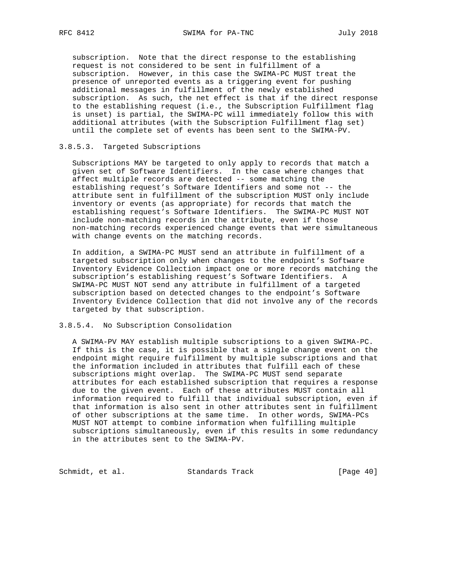subscription. Note that the direct response to the establishing request is not considered to be sent in fulfillment of a subscription. However, in this case the SWIMA-PC MUST treat the presence of unreported events as a triggering event for pushing additional messages in fulfillment of the newly established subscription. As such, the net effect is that if the direct response to the establishing request (i.e., the Subscription Fulfillment flag is unset) is partial, the SWIMA-PC will immediately follow this with additional attributes (with the Subscription Fulfillment flag set) until the complete set of events has been sent to the SWIMA-PV.

## 3.8.5.3. Targeted Subscriptions

 Subscriptions MAY be targeted to only apply to records that match a given set of Software Identifiers. In the case where changes that affect multiple records are detected -- some matching the establishing request's Software Identifiers and some not -- the attribute sent in fulfillment of the subscription MUST only include inventory or events (as appropriate) for records that match the establishing request's Software Identifiers. The SWIMA-PC MUST NOT include non-matching records in the attribute, even if those non-matching records experienced change events that were simultaneous with change events on the matching records.

 In addition, a SWIMA-PC MUST send an attribute in fulfillment of a targeted subscription only when changes to the endpoint's Software Inventory Evidence Collection impact one or more records matching the subscription's establishing request's Software Identifiers. A SWIMA-PC MUST NOT send any attribute in fulfillment of a targeted subscription based on detected changes to the endpoint's Software Inventory Evidence Collection that did not involve any of the records targeted by that subscription.

## 3.8.5.4. No Subscription Consolidation

 A SWIMA-PV MAY establish multiple subscriptions to a given SWIMA-PC. If this is the case, it is possible that a single change event on the endpoint might require fulfillment by multiple subscriptions and that the information included in attributes that fulfill each of these subscriptions might overlap. The SWIMA-PC MUST send separate attributes for each established subscription that requires a response due to the given event. Each of these attributes MUST contain all information required to fulfill that individual subscription, even if that information is also sent in other attributes sent in fulfillment of other subscriptions at the same time. In other words, SWIMA-PCs MUST NOT attempt to combine information when fulfilling multiple subscriptions simultaneously, even if this results in some redundancy in the attributes sent to the SWIMA-PV.

Schmidt, et al. Standards Track [Page 40]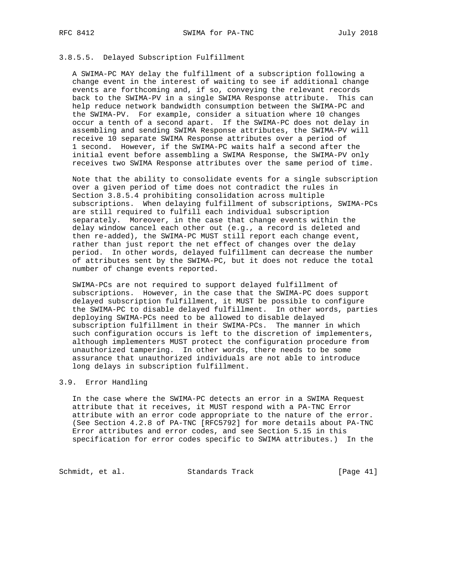# 3.8.5.5. Delayed Subscription Fulfillment

 A SWIMA-PC MAY delay the fulfillment of a subscription following a change event in the interest of waiting to see if additional change events are forthcoming and, if so, conveying the relevant records back to the SWIMA-PV in a single SWIMA Response attribute. This can help reduce network bandwidth consumption between the SWIMA-PC and the SWIMA-PV. For example, consider a situation where 10 changes occur a tenth of a second apart. If the SWIMA-PC does not delay in assembling and sending SWIMA Response attributes, the SWIMA-PV will receive 10 separate SWIMA Response attributes over a period of 1 second. However, if the SWIMA-PC waits half a second after the initial event before assembling a SWIMA Response, the SWIMA-PV only receives two SWIMA Response attributes over the same period of time.

 Note that the ability to consolidate events for a single subscription over a given period of time does not contradict the rules in Section 3.8.5.4 prohibiting consolidation across multiple subscriptions. When delaying fulfillment of subscriptions, SWIMA-PCs are still required to fulfill each individual subscription separately. Moreover, in the case that change events within the delay window cancel each other out (e.g., a record is deleted and then re-added), the SWIMA-PC MUST still report each change event, rather than just report the net effect of changes over the delay period. In other words, delayed fulfillment can decrease the number of attributes sent by the SWIMA-PC, but it does not reduce the total number of change events reported.

 SWIMA-PCs are not required to support delayed fulfillment of subscriptions. However, in the case that the SWIMA-PC does support delayed subscription fulfillment, it MUST be possible to configure the SWIMA-PC to disable delayed fulfillment. In other words, parties deploying SWIMA-PCs need to be allowed to disable delayed subscription fulfillment in their SWIMA-PCs. The manner in which such configuration occurs is left to the discretion of implementers, although implementers MUST protect the configuration procedure from unauthorized tampering. In other words, there needs to be some assurance that unauthorized individuals are not able to introduce long delays in subscription fulfillment.

#### 3.9. Error Handling

 In the case where the SWIMA-PC detects an error in a SWIMA Request attribute that it receives, it MUST respond with a PA-TNC Error attribute with an error code appropriate to the nature of the error. (See Section 4.2.8 of PA-TNC [RFC5792] for more details about PA-TNC Error attributes and error codes, and see Section 5.15 in this specification for error codes specific to SWIMA attributes.) In the

Schmidt, et al. Standards Track [Page 41]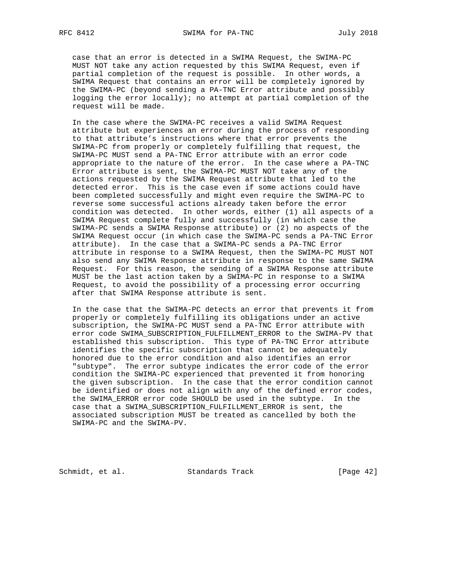case that an error is detected in a SWIMA Request, the SWIMA-PC MUST NOT take any action requested by this SWIMA Request, even if partial completion of the request is possible. In other words, a SWIMA Request that contains an error will be completely ignored by the SWIMA-PC (beyond sending a PA-TNC Error attribute and possibly logging the error locally); no attempt at partial completion of the request will be made.

 In the case where the SWIMA-PC receives a valid SWIMA Request attribute but experiences an error during the process of responding to that attribute's instructions where that error prevents the SWIMA-PC from properly or completely fulfilling that request, the SWIMA-PC MUST send a PA-TNC Error attribute with an error code appropriate to the nature of the error. In the case where a PA-TNC Error attribute is sent, the SWIMA-PC MUST NOT take any of the actions requested by the SWIMA Request attribute that led to the detected error. This is the case even if some actions could have been completed successfully and might even require the SWIMA-PC to reverse some successful actions already taken before the error condition was detected. In other words, either (1) all aspects of a SWIMA Request complete fully and successfully (in which case the SWIMA-PC sends a SWIMA Response attribute) or (2) no aspects of the SWIMA Request occur (in which case the SWIMA-PC sends a PA-TNC Error attribute). In the case that a SWIMA-PC sends a PA-TNC Error attribute in response to a SWIMA Request, then the SWIMA-PC MUST NOT also send any SWIMA Response attribute in response to the same SWIMA Request. For this reason, the sending of a SWIMA Response attribute MUST be the last action taken by a SWIMA-PC in response to a SWIMA Request, to avoid the possibility of a processing error occurring after that SWIMA Response attribute is sent.

 In the case that the SWIMA-PC detects an error that prevents it from properly or completely fulfilling its obligations under an active subscription, the SWIMA-PC MUST send a PA-TNC Error attribute with error code SWIMA\_SUBSCRIPTION\_FULFILLMENT\_ERROR to the SWIMA-PV that established this subscription. This type of PA-TNC Error attribute identifies the specific subscription that cannot be adequately honored due to the error condition and also identifies an error "subtype". The error subtype indicates the error code of the error condition the SWIMA-PC experienced that prevented it from honoring the given subscription. In the case that the error condition cannot be identified or does not align with any of the defined error codes, the SWIMA\_ERROR error code SHOULD be used in the subtype. In the case that a SWIMA\_SUBSCRIPTION\_FULFILLMENT\_ERROR is sent, the associated subscription MUST be treated as cancelled by both the SWIMA-PC and the SWIMA-PV.

Schmidt, et al. Standards Track [Page 42]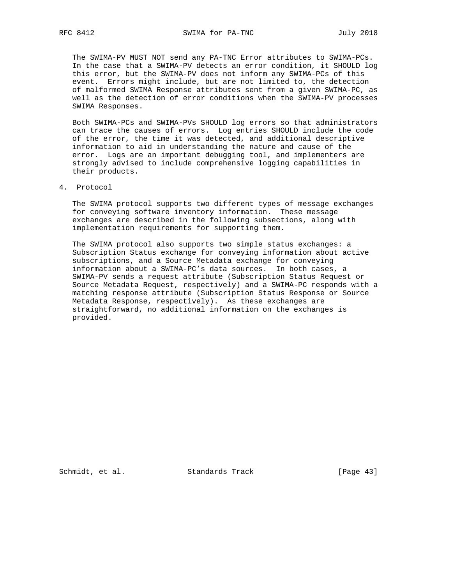The SWIMA-PV MUST NOT send any PA-TNC Error attributes to SWIMA-PCs. In the case that a SWIMA-PV detects an error condition, it SHOULD log this error, but the SWIMA-PV does not inform any SWIMA-PCs of this event. Errors might include, but are not limited to, the detection of malformed SWIMA Response attributes sent from a given SWIMA-PC, as well as the detection of error conditions when the SWIMA-PV processes SWIMA Responses.

 Both SWIMA-PCs and SWIMA-PVs SHOULD log errors so that administrators can trace the causes of errors. Log entries SHOULD include the code of the error, the time it was detected, and additional descriptive information to aid in understanding the nature and cause of the error. Logs are an important debugging tool, and implementers are strongly advised to include comprehensive logging capabilities in their products.

4. Protocol

 The SWIMA protocol supports two different types of message exchanges for conveying software inventory information. These message exchanges are described in the following subsections, along with implementation requirements for supporting them.

 The SWIMA protocol also supports two simple status exchanges: a Subscription Status exchange for conveying information about active subscriptions, and a Source Metadata exchange for conveying information about a SWIMA-PC's data sources. In both cases, a SWIMA-PV sends a request attribute (Subscription Status Request or Source Metadata Request, respectively) and a SWIMA-PC responds with a matching response attribute (Subscription Status Response or Source Metadata Response, respectively). As these exchanges are straightforward, no additional information on the exchanges is provided.

Schmidt, et al. Standards Track [Page 43]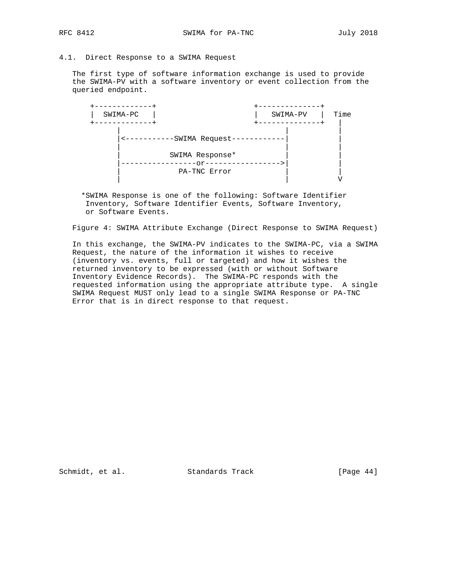## 4.1. Direct Response to a SWIMA Request

 The first type of software information exchange is used to provide the SWIMA-PV with a software inventory or event collection from the queried endpoint.



 \*SWIMA Response is one of the following: Software Identifier Inventory, Software Identifier Events, Software Inventory, or Software Events.

Figure 4: SWIMA Attribute Exchange (Direct Response to SWIMA Request)

 In this exchange, the SWIMA-PV indicates to the SWIMA-PC, via a SWIMA Request, the nature of the information it wishes to receive (inventory vs. events, full or targeted) and how it wishes the returned inventory to be expressed (with or without Software Inventory Evidence Records). The SWIMA-PC responds with the requested information using the appropriate attribute type. A single SWIMA Request MUST only lead to a single SWIMA Response or PA-TNC Error that is in direct response to that request.

Schmidt, et al. Standards Track [Page 44]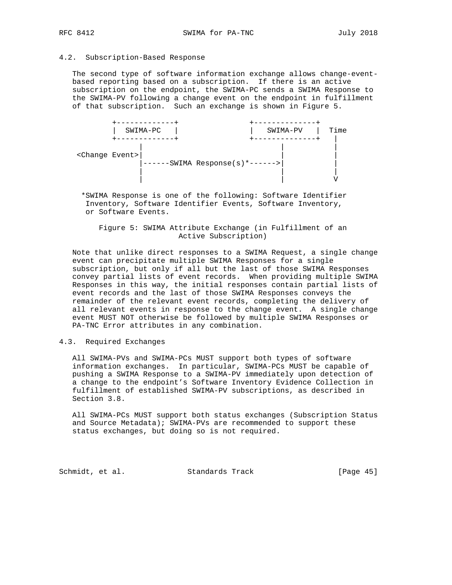## 4.2. Subscription-Based Response

 The second type of software information exchange allows change-event based reporting based on a subscription. If there is an active subscription on the endpoint, the SWIMA-PC sends a SWIMA Response to the SWIMA-PV following a change event on the endpoint in fulfillment of that subscription. Such an exchange is shown in Figure 5.



 \*SWIMA Response is one of the following: Software Identifier Inventory, Software Identifier Events, Software Inventory, or Software Events.

 Figure 5: SWIMA Attribute Exchange (in Fulfillment of an Active Subscription)

 Note that unlike direct responses to a SWIMA Request, a single change event can precipitate multiple SWIMA Responses for a single subscription, but only if all but the last of those SWIMA Responses convey partial lists of event records. When providing multiple SWIMA Responses in this way, the initial responses contain partial lists of event records and the last of those SWIMA Responses conveys the remainder of the relevant event records, completing the delivery of all relevant events in response to the change event. A single change event MUST NOT otherwise be followed by multiple SWIMA Responses or PA-TNC Error attributes in any combination.

#### 4.3. Required Exchanges

 All SWIMA-PVs and SWIMA-PCs MUST support both types of software information exchanges. In particular, SWIMA-PCs MUST be capable of pushing a SWIMA Response to a SWIMA-PV immediately upon detection of a change to the endpoint's Software Inventory Evidence Collection in fulfillment of established SWIMA-PV subscriptions, as described in Section 3.8.

 All SWIMA-PCs MUST support both status exchanges (Subscription Status and Source Metadata); SWIMA-PVs are recommended to support these status exchanges, but doing so is not required.

Schmidt, et al. Standards Track [Page 45]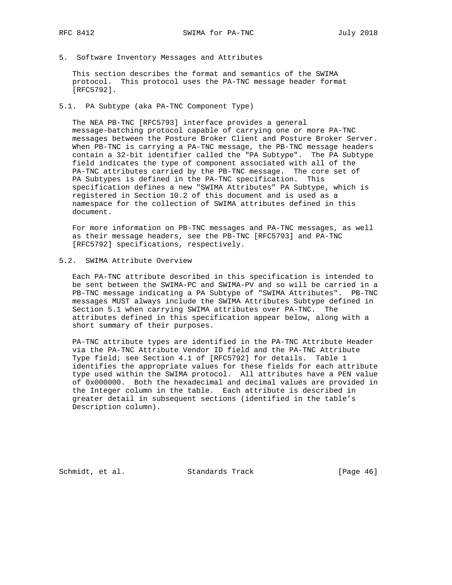5. Software Inventory Messages and Attributes

 This section describes the format and semantics of the SWIMA protocol. This protocol uses the PA-TNC message header format [RFC5792].

5.1. PA Subtype (aka PA-TNC Component Type)

 The NEA PB-TNC [RFC5793] interface provides a general message-batching protocol capable of carrying one or more PA-TNC messages between the Posture Broker Client and Posture Broker Server. When PB-TNC is carrying a PA-TNC message, the PB-TNC message headers contain a 32-bit identifier called the "PA Subtype". The PA Subtype field indicates the type of component associated with all of the PA-TNC attributes carried by the PB-TNC message. The core set of PA Subtypes is defined in the PA-TNC specification. This specification defines a new "SWIMA Attributes" PA Subtype, which is registered in Section 10.2 of this document and is used as a namespace for the collection of SWIMA attributes defined in this document.

 For more information on PB-TNC messages and PA-TNC messages, as well as their message headers, see the PB-TNC [RFC5793] and PA-TNC [RFC5792] specifications, respectively.

# 5.2. SWIMA Attribute Overview

 Each PA-TNC attribute described in this specification is intended to be sent between the SWIMA-PC and SWIMA-PV and so will be carried in a PB-TNC message indicating a PA Subtype of "SWIMA Attributes". PB-TNC messages MUST always include the SWIMA Attributes Subtype defined in Section 5.1 when carrying SWIMA attributes over PA-TNC. The attributes defined in this specification appear below, along with a short summary of their purposes.

 PA-TNC attribute types are identified in the PA-TNC Attribute Header via the PA-TNC Attribute Vendor ID field and the PA-TNC Attribute Type field; see Section 4.1 of [RFC5792] for details. Table 1 identifies the appropriate values for these fields for each attribute type used within the SWIMA protocol. All attributes have a PEN value of 0x000000. Both the hexadecimal and decimal values are provided in the Integer column in the table. Each attribute is described in greater detail in subsequent sections (identified in the table's Description column).

Schmidt, et al. Standards Track [Page 46]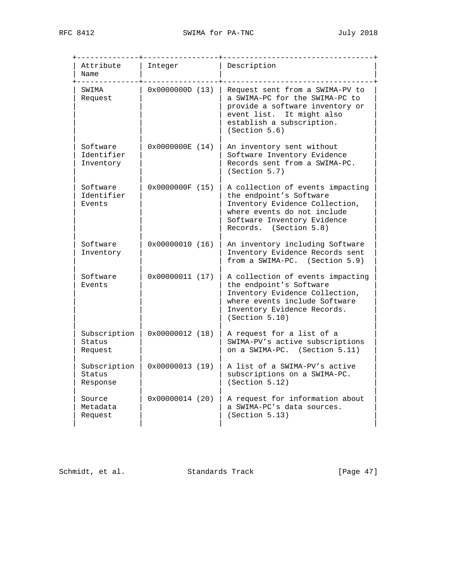| Attribute<br>Name                   | Integer             | Description                                                                                                                                                                           |
|-------------------------------------|---------------------|---------------------------------------------------------------------------------------------------------------------------------------------------------------------------------------|
| SWIMA<br>Request                    | 0x0000000D(13)      | Request sent from a SWIMA-PV to<br>a SWIMA-PC for the SWIMA-PC to<br>provide a software inventory or<br>event list. It might also<br>establish a subscription.<br>(Section 5.6)       |
| Software<br>Identifier<br>Inventory | $0x0000000E$ $(14)$ | An inventory sent without<br>Software Inventory Evidence<br>Records sent from a SWIMA-PC.<br>(Section 5.7)                                                                            |
| Software<br>Identifier<br>Events    | 0x0000000F(15)      | A collection of events impacting<br>the endpoint's Software<br>Inventory Evidence Collection,<br>where events do not include<br>Software Inventory Evidence<br>Records. (Section 5.8) |
| Software<br>Inventory               | $0x00000010$ $(16)$ | An inventory including Software<br>Inventory Evidence Records sent<br>from a SWIMA-PC. (Section 5.9)                                                                                  |
| Software<br>Events                  | $0x00000011$ $(17)$ | A collection of events impacting<br>the endpoint's Software<br>Inventory Evidence Collection,<br>where events include Software<br>Inventory Evidence Records.<br>(Section 5.10)       |
| Subscription<br>Status<br>Request   | $0x00000012$ $(18)$ | A request for a list of a<br>SWIMA-PV's active subscriptions<br>on a SWIMA-PC. (Section 5.11)                                                                                         |
| Subscription<br>Status<br>Response  | 0x00000013(19)      | A list of a SWIMA-PV's active<br>subscriptions on a SWIMA-PC.<br>(Section 5.12)                                                                                                       |
| Source<br>Metadata<br>Request       | $0x00000014$ (20)   | A request for information about<br>a SWIMA-PC's data sources.<br>(Section 5.13)                                                                                                       |

Schmidt, et al. Standards Track [Page 47]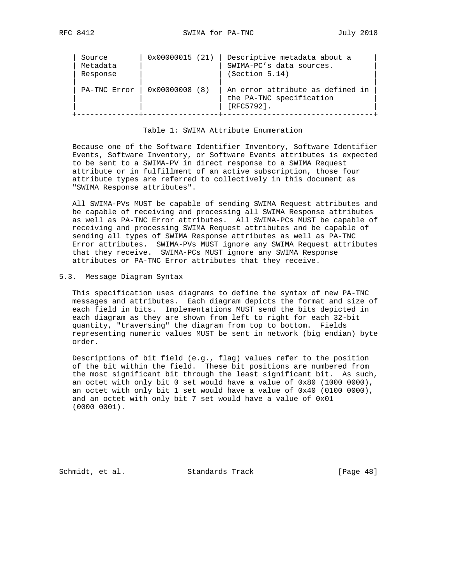| Source<br>Metadata<br>Response | $0x00000015$ (21)       | Descriptive metadata about a<br>SWIMA-PC's data sources.<br>(Section 5.14)    |
|--------------------------------|-------------------------|-------------------------------------------------------------------------------|
| PA-TNC Error                   | $0 \times 00000008$ (8) | An error attribute as defined in<br>the PA-TNC specification<br>$[REC5792]$ . |

## Table 1: SWIMA Attribute Enumeration

 Because one of the Software Identifier Inventory, Software Identifier Events, Software Inventory, or Software Events attributes is expected to be sent to a SWIMA-PV in direct response to a SWIMA Request attribute or in fulfillment of an active subscription, those four attribute types are referred to collectively in this document as "SWIMA Response attributes".

 All SWIMA-PVs MUST be capable of sending SWIMA Request attributes and be capable of receiving and processing all SWIMA Response attributes as well as PA-TNC Error attributes. All SWIMA-PCs MUST be capable of receiving and processing SWIMA Request attributes and be capable of sending all types of SWIMA Response attributes as well as PA-TNC Error attributes. SWIMA-PVs MUST ignore any SWIMA Request attributes that they receive. SWIMA-PCs MUST ignore any SWIMA Response attributes or PA-TNC Error attributes that they receive.

#### 5.3. Message Diagram Syntax

 This specification uses diagrams to define the syntax of new PA-TNC messages and attributes. Each diagram depicts the format and size of each field in bits. Implementations MUST send the bits depicted in each diagram as they are shown from left to right for each 32-bit quantity, "traversing" the diagram from top to bottom. Fields representing numeric values MUST be sent in network (big endian) byte order.

 Descriptions of bit field (e.g., flag) values refer to the position of the bit within the field. These bit positions are numbered from the most significant bit through the least significant bit. As such, an octet with only bit 0 set would have a value of 0x80 (1000 0000), an octet with only bit 1 set would have a value of 0x40 (0100 0000), and an octet with only bit 7 set would have a value of 0x01 (0000 0001).

Schmidt, et al. Standards Track [Page 48]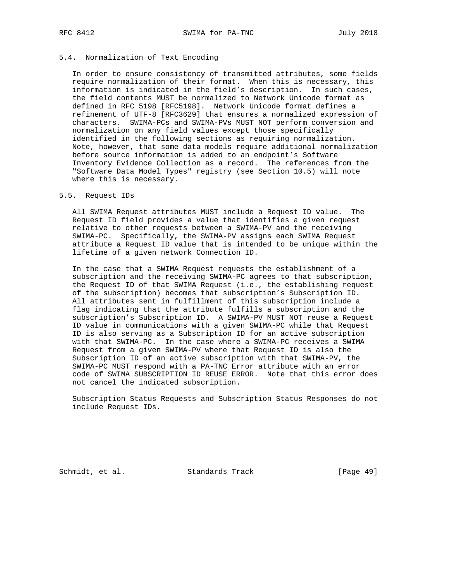# 5.4. Normalization of Text Encoding

 In order to ensure consistency of transmitted attributes, some fields require normalization of their format. When this is necessary, this information is indicated in the field's description. In such cases, the field contents MUST be normalized to Network Unicode format as defined in RFC 5198 [RFC5198]. Network Unicode format defines a refinement of UTF-8 [RFC3629] that ensures a normalized expression of characters. SWIMA-PCs and SWIMA-PVs MUST NOT perform conversion and normalization on any field values except those specifically identified in the following sections as requiring normalization. Note, however, that some data models require additional normalization before source information is added to an endpoint's Software Inventory Evidence Collection as a record. The references from the "Software Data Model Types" registry (see Section 10.5) will note where this is necessary.

#### 5.5. Request IDs

 All SWIMA Request attributes MUST include a Request ID value. The Request ID field provides a value that identifies a given request relative to other requests between a SWIMA-PV and the receiving SWIMA-PC. Specifically, the SWIMA-PV assigns each SWIMA Request attribute a Request ID value that is intended to be unique within the lifetime of a given network Connection ID.

 In the case that a SWIMA Request requests the establishment of a subscription and the receiving SWIMA-PC agrees to that subscription, the Request ID of that SWIMA Request (i.e., the establishing request of the subscription) becomes that subscription's Subscription ID. All attributes sent in fulfillment of this subscription include a flag indicating that the attribute fulfills a subscription and the subscription's Subscription ID. A SWIMA-PV MUST NOT reuse a Request ID value in communications with a given SWIMA-PC while that Request ID is also serving as a Subscription ID for an active subscription with that SWIMA-PC. In the case where a SWIMA-PC receives a SWIMA Request from a given SWIMA-PV where that Request ID is also the Subscription ID of an active subscription with that SWIMA-PV, the SWIMA-PC MUST respond with a PA-TNC Error attribute with an error code of SWIMA\_SUBSCRIPTION\_ID\_REUSE\_ERROR. Note that this error does not cancel the indicated subscription.

 Subscription Status Requests and Subscription Status Responses do not include Request IDs.

Schmidt, et al. Standards Track [Page 49]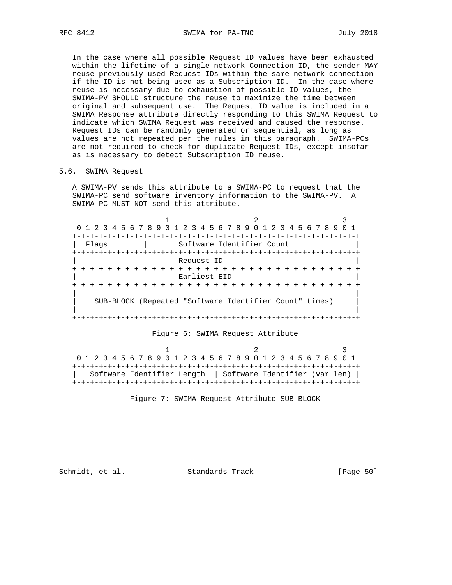In the case where all possible Request ID values have been exhausted within the lifetime of a single network Connection ID, the sender MAY reuse previously used Request IDs within the same network connection if the ID is not being used as a Subscription ID. In the case where reuse is necessary due to exhaustion of possible ID values, the SWIMA-PV SHOULD structure the reuse to maximize the time between original and subsequent use. The Request ID value is included in a SWIMA Response attribute directly responding to this SWIMA Request to indicate which SWIMA Request was received and caused the response. Request IDs can be randomly generated or sequential, as long as values are not repeated per the rules in this paragraph. SWIMA-PCs are not required to check for duplicate Request IDs, except insofar as is necessary to detect Subscription ID reuse.

## 5.6. SWIMA Request

 A SWIMA-PV sends this attribute to a SWIMA-PC to request that the SWIMA-PC send software inventory information to the SWIMA-PV. A SWIMA-PC MUST NOT send this attribute.

|       | 0 1 2 3 4 5 6 7 8 9 0 1 2 3 4 5 6 7 8 9 0 1 2 3 4 5 6 7 8 9 |                                 |  |
|-------|-------------------------------------------------------------|---------------------------------|--|
|       |                                                             |                                 |  |
| Flaqs |                                                             | Software Identifier Count       |  |
|       |                                                             |                                 |  |
|       | Request ID                                                  |                                 |  |
|       |                                                             |                                 |  |
|       | Earliest EID                                                |                                 |  |
|       |                                                             | +-+-+-+-+-+-+-+-+-+-+-+-+-+-+-+ |  |
|       |                                                             |                                 |  |
|       | SUB-BLOCK (Repeated "Software Identifier Count" times)      |                                 |  |
|       |                                                             |                                 |  |
|       |                                                             | -+-+-+-+-+-+-+-+-+-+-+          |  |

#### Figure 6: SWIMA Request Attribute

1 2 3 0 1 2 3 4 5 6 7 8 9 0 1 2 3 4 5 6 7 8 9 0 1 2 3 4 5 6 7 8 9 0 1 +-+-+-+-+-+-+-+-+-+-+-+-+-+-+-+-+-+-+-+-+-+-+-+-+-+-+-+-+-+-+-+-+ | Software Identifier Length | Software Identifier (var len) | +-+-+-+-+-+-+-+-+-+-+-+-+-+-+-+-+-+-+-+-+-+-+-+-+-+-+-+-+-+-+-+-+

Figure 7: SWIMA Request Attribute SUB-BLOCK

Schmidt, et al. Standards Track [Page 50]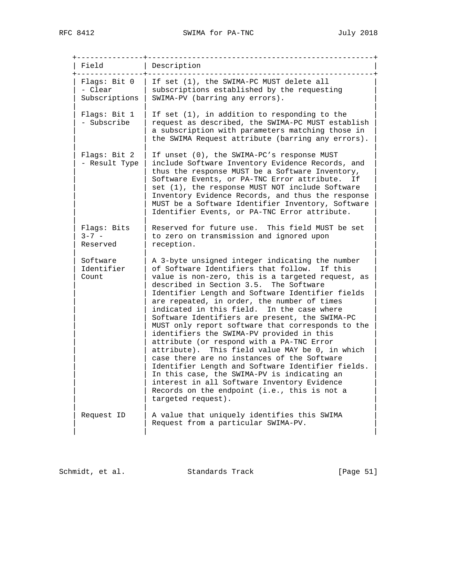| Field                                    | Description                                                                                                                                                                                                                                                                                                                                                                                                                                                                                                                                                                                                                                                                                                                                                                                                                                                                 |
|------------------------------------------|-----------------------------------------------------------------------------------------------------------------------------------------------------------------------------------------------------------------------------------------------------------------------------------------------------------------------------------------------------------------------------------------------------------------------------------------------------------------------------------------------------------------------------------------------------------------------------------------------------------------------------------------------------------------------------------------------------------------------------------------------------------------------------------------------------------------------------------------------------------------------------|
| Flags: Bit 0<br>- Clear<br>Subscriptions | If set (1), the SWIMA-PC MUST delete all<br>subscriptions established by the requesting<br>SWIMA-PV (barring any errors).                                                                                                                                                                                                                                                                                                                                                                                                                                                                                                                                                                                                                                                                                                                                                   |
| Flags: Bit 1<br>- Subscribe              | If set (1), in addition to responding to the<br>request as described, the SWIMA-PC MUST establish<br>a subscription with parameters matching those in<br>the SWIMA Request attribute (barring any errors).                                                                                                                                                                                                                                                                                                                                                                                                                                                                                                                                                                                                                                                                  |
| Flags: Bit 2<br>- Result Type            | If unset (0), the SWIMA-PC's response MUST<br>include Software Inventory Evidence Records, and<br>thus the response MUST be a Software Inventory,<br>Software Events, or PA-TNC Error attribute.<br>T f<br>set (1), the response MUST NOT include Software<br>Inventory Evidence Records, and thus the response<br>MUST be a Software Identifier Inventory, Software<br>Identifier Events, or PA-TNC Error attribute.                                                                                                                                                                                                                                                                                                                                                                                                                                                       |
| Flags: Bits<br>$3 - 7 -$<br>Reserved     | This field MUST be set<br>Reserved for future use.<br>to zero on transmission and ignored upon<br>reception.                                                                                                                                                                                                                                                                                                                                                                                                                                                                                                                                                                                                                                                                                                                                                                |
| Software<br>Identifier<br>Count          | A 3-byte unsigned integer indicating the number<br>of Software Identifiers that follow. If this<br>value is non-zero, this is a targeted request, as<br>described in Section 3.5. The Software<br>Identifier Length and Software Identifier fields<br>are repeated, in order, the number of times<br>indicated in this field. In the case where<br>Software Identifiers are present, the SWIMA-PC<br>MUST only report software that corresponds to the<br>identifiers the SWIMA-PV provided in this<br>attribute (or respond with a PA-TNC Error<br>attribute). This field value MAY be 0, in which<br>case there are no instances of the Software<br>Identifier Length and Software Identifier fields.<br>In this case, the SWIMA-PV is indicating an<br>interest in all Software Inventory Evidence<br>Records on the endpoint (i.e., this is not a<br>targeted request). |
| Request ID                               | A value that uniquely identifies this SWIMA<br>Request from a particular SWIMA-PV.                                                                                                                                                                                                                                                                                                                                                                                                                                                                                                                                                                                                                                                                                                                                                                                          |

| Schmidt, et al. | Standards Track | [Page 51] |
|-----------------|-----------------|-----------|
|                 |                 |           |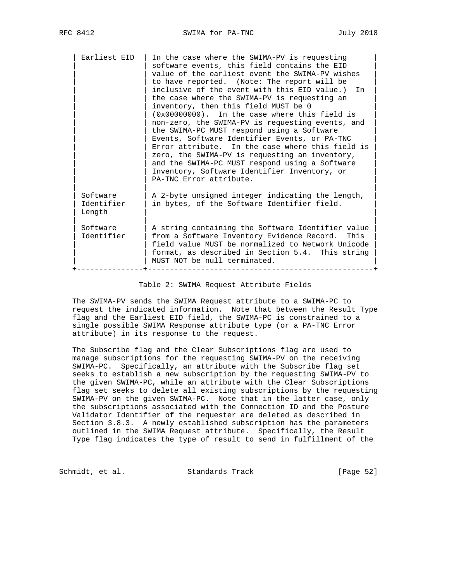| Earliest EID                     | In the case where the SWIMA-PV is requesting<br>software events, this field contains the EID<br>value of the earliest event the SWIMA-PV wishes<br>to have reported. (Note: The report will be<br>inclusive of the event with this EID value.)<br>In<br>the case where the SWIMA-PV is requesting an<br>inventory, then this field MUST be 0<br>$(0x00000000)$ . In the case where this field is<br>non-zero, the SWIMA-PV is requesting events, and<br>the SWIMA-PC MUST respond using a Software<br>Events, Software Identifier Events, or PA-TNC<br>Error attribute. In the case where this field is<br>zero, the SWIMA-PV is requesting an inventory,<br>and the SWIMA-PC MUST respond using a Software<br>Inventory, Software Identifier Inventory, or<br>PA-TNC Error attribute. |
|----------------------------------|----------------------------------------------------------------------------------------------------------------------------------------------------------------------------------------------------------------------------------------------------------------------------------------------------------------------------------------------------------------------------------------------------------------------------------------------------------------------------------------------------------------------------------------------------------------------------------------------------------------------------------------------------------------------------------------------------------------------------------------------------------------------------------------|
| Software<br>Identifier<br>Length | A 2-byte unsigned integer indicating the length,<br>in bytes, of the Software Identifier field.                                                                                                                                                                                                                                                                                                                                                                                                                                                                                                                                                                                                                                                                                        |
| Software<br>Identifier           | A string containing the Software Identifier value<br>from a Software Inventory Evidence Record. This<br>field value MUST be normalized to Network Unicode<br>format, as described in Section 5.4. This string<br>MUST NOT be null terminated.                                                                                                                                                                                                                                                                                                                                                                                                                                                                                                                                          |

Table 2: SWIMA Request Attribute Fields

 The SWIMA-PV sends the SWIMA Request attribute to a SWIMA-PC to request the indicated information. Note that between the Result Type flag and the Earliest EID field, the SWIMA-PC is constrained to a single possible SWIMA Response attribute type (or a PA-TNC Error attribute) in its response to the request.

 The Subscribe flag and the Clear Subscriptions flag are used to manage subscriptions for the requesting SWIMA-PV on the receiving SWIMA-PC. Specifically, an attribute with the Subscribe flag set seeks to establish a new subscription by the requesting SWIMA-PV to the given SWIMA-PC, while an attribute with the Clear Subscriptions flag set seeks to delete all existing subscriptions by the requesting SWIMA-PV on the given SWIMA-PC. Note that in the latter case, only the subscriptions associated with the Connection ID and the Posture Validator Identifier of the requester are deleted as described in Section 3.8.3. A newly established subscription has the parameters outlined in the SWIMA Request attribute. Specifically, the Result Type flag indicates the type of result to send in fulfillment of the

Schmidt, et al. Standards Track [Page 52]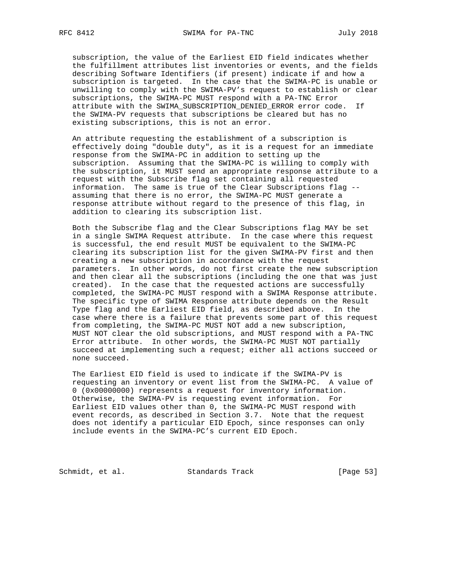subscription, the value of the Earliest EID field indicates whether the fulfillment attributes list inventories or events, and the fields describing Software Identifiers (if present) indicate if and how a subscription is targeted. In the case that the SWIMA-PC is unable or unwilling to comply with the SWIMA-PV's request to establish or clear subscriptions, the SWIMA-PC MUST respond with a PA-TNC Error attribute with the SWIMA\_SUBSCRIPTION\_DENIED\_ERROR error code. If the SWIMA-PV requests that subscriptions be cleared but has no existing subscriptions, this is not an error.

 An attribute requesting the establishment of a subscription is effectively doing "double duty", as it is a request for an immediate response from the SWIMA-PC in addition to setting up the subscription. Assuming that the SWIMA-PC is willing to comply with the subscription, it MUST send an appropriate response attribute to a request with the Subscribe flag set containing all requested information. The same is true of the Clear Subscriptions flag - assuming that there is no error, the SWIMA-PC MUST generate a response attribute without regard to the presence of this flag, in addition to clearing its subscription list.

 Both the Subscribe flag and the Clear Subscriptions flag MAY be set in a single SWIMA Request attribute. In the case where this request is successful, the end result MUST be equivalent to the SWIMA-PC clearing its subscription list for the given SWIMA-PV first and then creating a new subscription in accordance with the request parameters. In other words, do not first create the new subscription and then clear all the subscriptions (including the one that was just created). In the case that the requested actions are successfully completed, the SWIMA-PC MUST respond with a SWIMA Response attribute. The specific type of SWIMA Response attribute depends on the Result Type flag and the Earliest EID field, as described above. In the case where there is a failure that prevents some part of this request from completing, the SWIMA-PC MUST NOT add a new subscription, MUST NOT clear the old subscriptions, and MUST respond with a PA-TNC Error attribute. In other words, the SWIMA-PC MUST NOT partially succeed at implementing such a request; either all actions succeed or none succeed.

 The Earliest EID field is used to indicate if the SWIMA-PV is requesting an inventory or event list from the SWIMA-PC. A value of 0 (0x00000000) represents a request for inventory information. Otherwise, the SWIMA-PV is requesting event information. For Earliest EID values other than 0, the SWIMA-PC MUST respond with event records, as described in Section 3.7. Note that the request does not identify a particular EID Epoch, since responses can only include events in the SWIMA-PC's current EID Epoch.

Schmidt, et al. Standards Track [Page 53]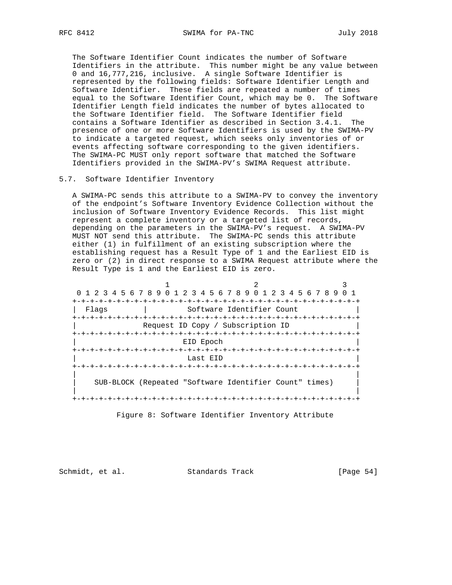The Software Identifier Count indicates the number of Software Identifiers in the attribute. This number might be any value between 0 and 16,777,216, inclusive. A single Software Identifier is represented by the following fields: Software Identifier Length and Software Identifier. These fields are repeated a number of times equal to the Software Identifier Count, which may be 0. The Software Identifier Length field indicates the number of bytes allocated to the Software Identifier field. The Software Identifier field contains a Software Identifier as described in Section 3.4.1. The presence of one or more Software Identifiers is used by the SWIMA-PV to indicate a targeted request, which seeks only inventories of or events affecting software corresponding to the given identifiers. The SWIMA-PC MUST only report software that matched the Software Identifiers provided in the SWIMA-PV's SWIMA Request attribute.

#### 5.7. Software Identifier Inventory

 A SWIMA-PC sends this attribute to a SWIMA-PV to convey the inventory of the endpoint's Software Inventory Evidence Collection without the inclusion of Software Inventory Evidence Records. This list might represent a complete inventory or a targeted list of records, depending on the parameters in the SWIMA-PV's request. A SWIMA-PV MUST NOT send this attribute. The SWIMA-PC sends this attribute either (1) in fulfillment of an existing subscription where the establishing request has a Result Type of 1 and the Earliest EID is zero or (2) in direct response to a SWIMA Request attribute where the Result Type is 1 and the Earliest EID is zero.

| 0 1 2 3 4 5 6 7 8 9 0 1 2 3 4 5 6 7 8 9 0 1 2 3 4 5 6 7 8 9 |                                      |  |
|-------------------------------------------------------------|--------------------------------------|--|
|                                                             |                                      |  |
| Flaqs                                                       | Software Identifier Count            |  |
|                                                             |                                      |  |
|                                                             | Request ID Copy / Subscription ID    |  |
|                                                             |                                      |  |
|                                                             | EID Epoch                            |  |
|                                                             |                                      |  |
|                                                             | Last EID                             |  |
|                                                             |                                      |  |
|                                                             |                                      |  |
| SUB-BLOCK (Repeated "Software Identifier Count" times)      |                                      |  |
|                                                             |                                      |  |
|                                                             | -+-+-+-+-+-+-+-+-+-+-+-+-+-+-+-+-+-+ |  |
|                                                             |                                      |  |

Figure 8: Software Identifier Inventory Attribute

Schmidt, et al. Standards Track [Page 54]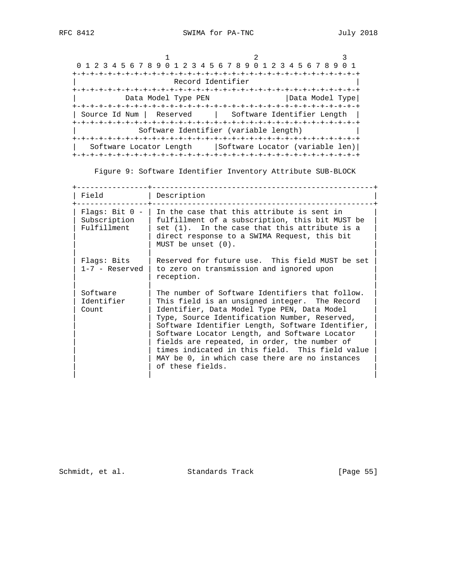| 0 1 2 3 4 5 6 7 8 9 0 1 2 3 4 5 6 7 8 9 0 1 2 3 4 5 6 7 8 9 |                                       |                 |
|-------------------------------------------------------------|---------------------------------------|-----------------|
|                                                             |                                       |                 |
| Record Identifier                                           |                                       |                 |
|                                                             |                                       |                 |
| Data Model Type PEN                                         |                                       | Data Model Type |
|                                                             |                                       |                 |
| Source Id Num   Reserved                                    | Software Identifier Length            |                 |
|                                                             |                                       |                 |
|                                                             | Software Identifier (variable length) |                 |
|                                                             |                                       |                 |
| Software Locator Length                                     | Software Locator (variable len)       |                 |
|                                                             |                                       |                 |

Figure 9: Software Identifier Inventory Attribute SUB-BLOCK

| Field                                           | Description                                                                                                                                                                                                                                                                                                                                                                                                                                                                    |
|-------------------------------------------------|--------------------------------------------------------------------------------------------------------------------------------------------------------------------------------------------------------------------------------------------------------------------------------------------------------------------------------------------------------------------------------------------------------------------------------------------------------------------------------|
|                                                 |                                                                                                                                                                                                                                                                                                                                                                                                                                                                                |
| Flags: Bit $0 -$<br>Subscription<br>Fulfillment | In the case that this attribute is sent in<br>fulfillment of a subscription, this bit MUST be<br>$set (1)$ . In the case that this attribute is a<br>direct response to a SWIMA Request, this bit<br>MUST be unset $(0)$ .                                                                                                                                                                                                                                                     |
| Flags: Bits<br>$1-7$ - Reserved                 | Reserved for future use. This field MUST be set<br>to zero on transmission and ignored upon<br>reception.                                                                                                                                                                                                                                                                                                                                                                      |
| Software<br>Identifier<br>Count                 | The number of Software Identifiers that follow.<br>This field is an unsigned integer. The Record<br>Identifier, Data Model Type PEN, Data Model<br>Type, Source Identification Number, Reserved,<br>Software Identifier Length, Software Identifier,<br>Software Locator Length, and Software Locator<br>fields are repeated, in order, the number of<br>times indicated in this field. This field value<br>MAY be 0, in which case there are no instances<br>of these fields. |

Schmidt, et al. Standards Track [Page 55]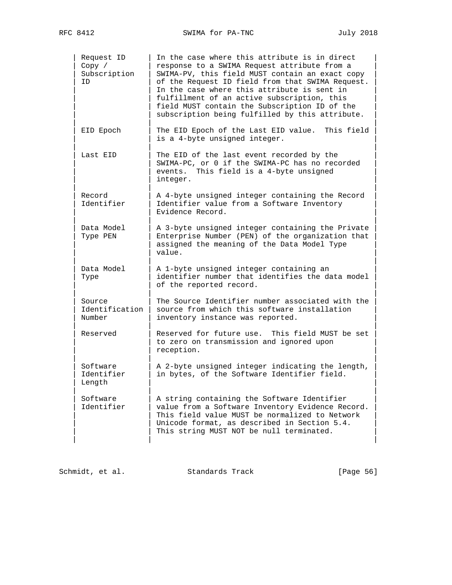| Request ID<br>Copy /<br>Subscription<br>ID | In the case where this attribute is in direct<br>response to a SWIMA Request attribute from a<br>SWIMA-PV, this field MUST contain an exact copy<br>of the Request ID field from that SWIMA Request.<br>In the case where this attribute is sent in<br>fulfillment of an active subscription, this<br>field MUST contain the Subscription ID of the<br>subscription being fulfilled by this attribute. |
|--------------------------------------------|--------------------------------------------------------------------------------------------------------------------------------------------------------------------------------------------------------------------------------------------------------------------------------------------------------------------------------------------------------------------------------------------------------|
| EID Epoch                                  | The EID Epoch of the Last EID value.<br>This field<br>is a 4-byte unsigned integer.                                                                                                                                                                                                                                                                                                                    |
| Last EID                                   | The EID of the last event recorded by the<br>SWIMA-PC, or 0 if the SWIMA-PC has no recorded<br>events. This field is a 4-byte unsigned<br>integer.                                                                                                                                                                                                                                                     |
| Record<br>Identifier                       | A 4-byte unsigned integer containing the Record<br>Identifier value from a Software Inventory<br>Evidence Record.                                                                                                                                                                                                                                                                                      |
| Data Model<br>Type PEN                     | A 3-byte unsigned integer containing the Private<br>Enterprise Number (PEN) of the organization that<br>assigned the meaning of the Data Model Type<br>value.                                                                                                                                                                                                                                          |
| Data Model<br>Type                         | A 1-byte unsigned integer containing an<br>identifier number that identifies the data model<br>of the reported record.                                                                                                                                                                                                                                                                                 |
| Source<br>Identification<br>Number         | The Source Identifier number associated with the<br>source from which this software installation<br>inventory instance was reported.                                                                                                                                                                                                                                                                   |
| Reserved                                   | Reserved for future use.<br>This field MUST be set<br>to zero on transmission and ignored upon<br>reception.                                                                                                                                                                                                                                                                                           |
| Software<br>Identifier<br>Length           | A 2-byte unsigned integer indicating the length,<br>in bytes, of the Software Identifier field.                                                                                                                                                                                                                                                                                                        |
| Software<br>Identifier                     | A string containing the Software Identifier<br>value from a Software Inventory Evidence Record.<br>This field value MUST be normalized to Network<br>Unicode format, as described in Section 5.4.<br>This string MUST NOT be null terminated.                                                                                                                                                          |

| Schmidt, et al. | Standards Track | [Page 56] |
|-----------------|-----------------|-----------|
|-----------------|-----------------|-----------|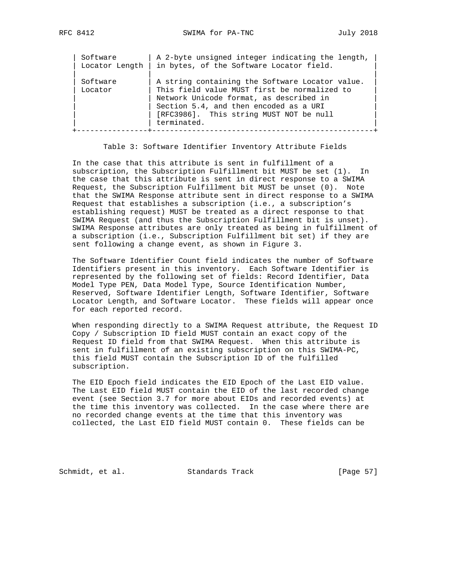| Software            | A 2-byte unsigned integer indicating the length,                                                                                                                                                                                               |
|---------------------|------------------------------------------------------------------------------------------------------------------------------------------------------------------------------------------------------------------------------------------------|
| Locator Length      | in bytes, of the Software Locator field.                                                                                                                                                                                                       |
| Software<br>Locator | A string containing the Software Locator value.<br>This field value MUST first be normalized to<br>Network Unicode format, as described in<br>Section 5.4, and then encoded as a URI<br>[RFC3986]. This string MUST NOT be null<br>terminated. |

Table 3: Software Identifier Inventory Attribute Fields

 In the case that this attribute is sent in fulfillment of a subscription, the Subscription Fulfillment bit MUST be set (1). In the case that this attribute is sent in direct response to a SWIMA Request, the Subscription Fulfillment bit MUST be unset (0). Note that the SWIMA Response attribute sent in direct response to a SWIMA Request that establishes a subscription (i.e., a subscription's establishing request) MUST be treated as a direct response to that SWIMA Request (and thus the Subscription Fulfillment bit is unset). SWIMA Response attributes are only treated as being in fulfillment of a subscription (i.e., Subscription Fulfillment bit set) if they are sent following a change event, as shown in Figure 3.

 The Software Identifier Count field indicates the number of Software Identifiers present in this inventory. Each Software Identifier is represented by the following set of fields: Record Identifier, Data Model Type PEN, Data Model Type, Source Identification Number, Reserved, Software Identifier Length, Software Identifier, Software Locator Length, and Software Locator. These fields will appear once for each reported record.

 When responding directly to a SWIMA Request attribute, the Request ID Copy / Subscription ID field MUST contain an exact copy of the Request ID field from that SWIMA Request. When this attribute is sent in fulfillment of an existing subscription on this SWIMA-PC, this field MUST contain the Subscription ID of the fulfilled subscription.

 The EID Epoch field indicates the EID Epoch of the Last EID value. The Last EID field MUST contain the EID of the last recorded change event (see Section 3.7 for more about EIDs and recorded events) at the time this inventory was collected. In the case where there are no recorded change events at the time that this inventory was collected, the Last EID field MUST contain 0. These fields can be

Schmidt, et al. Standards Track [Page 57]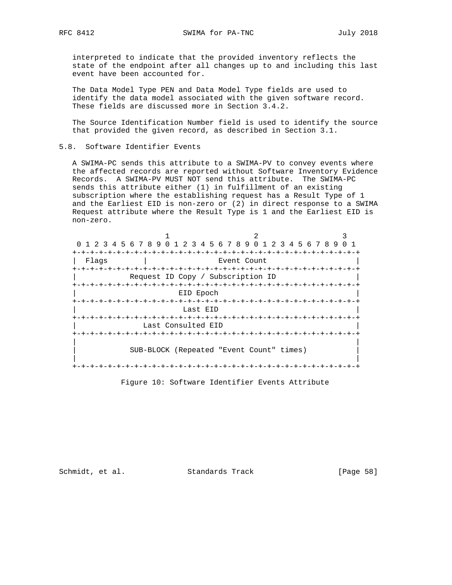interpreted to indicate that the provided inventory reflects the state of the endpoint after all changes up to and including this last event have been accounted for.

 The Data Model Type PEN and Data Model Type fields are used to identify the data model associated with the given software record. These fields are discussed more in Section 3.4.2.

 The Source Identification Number field is used to identify the source that provided the given record, as described in Section 3.1.

## 5.8. Software Identifier Events

 A SWIMA-PC sends this attribute to a SWIMA-PV to convey events where the affected records are reported without Software Inventory Evidence Records. A SWIMA-PV MUST NOT send this attribute. The SWIMA-PC sends this attribute either (1) in fulfillment of an existing subscription where the establishing request has a Result Type of 1 and the Earliest EID is non-zero or (2) in direct response to a SWIMA Request attribute where the Result Type is 1 and the Earliest EID is non-zero.

| 0 1 2 3 4 5 6 7 8 9 0 1 2 3 4 5 6 7 8 9 0 1 2 3 4 5 6 7 8 9 |                                          |                             |  |
|-------------------------------------------------------------|------------------------------------------|-----------------------------|--|
|                                                             |                                          |                             |  |
| Flags                                                       | Event Count                              |                             |  |
|                                                             |                                          |                             |  |
|                                                             | Request ID Copy / Subscription ID        |                             |  |
|                                                             |                                          |                             |  |
|                                                             | EID Epoch                                |                             |  |
|                                                             |                                          |                             |  |
|                                                             | Last EID                                 |                             |  |
|                                                             | -+-+-+-+-+-+-+-+-+-+-+                   | -+-+-+-+-+-+-+-+-+-+-+-+-+- |  |
|                                                             | Last Consulted EID                       |                             |  |
|                                                             |                                          |                             |  |
|                                                             |                                          |                             |  |
|                                                             | SUB-BLOCK (Repeated "Event Count" times) |                             |  |
|                                                             |                                          |                             |  |
|                                                             |                                          |                             |  |

Figure 10: Software Identifier Events Attribute

Schmidt, et al. Standards Track [Page 58]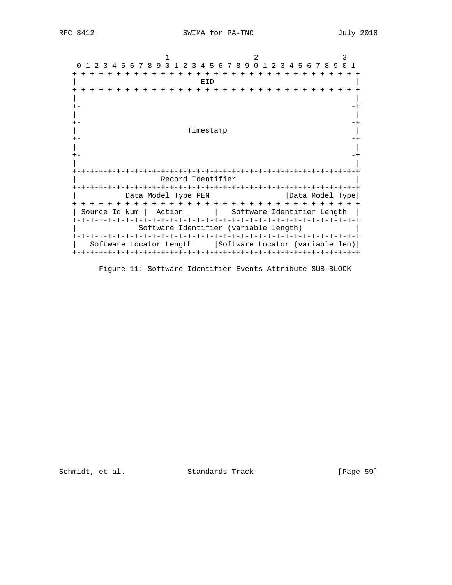| 0 1 2 3 4 5 6 7 8<br>9                 | 0 1 2 3 4 5 6 7 8 9 0 1 2 3 4 5 6 7 8 9 0 1 |
|----------------------------------------|---------------------------------------------|
|                                        |                                             |
| EID                                    |                                             |
|                                        |                                             |
|                                        |                                             |
|                                        |                                             |
|                                        |                                             |
|                                        |                                             |
| Timestamp                              |                                             |
|                                        |                                             |
|                                        |                                             |
|                                        |                                             |
|                                        |                                             |
|                                        |                                             |
| Record Identifier                      |                                             |
|                                        | $-+ - + - + - +$                            |
| Data Model Type PEN                    | Data Model Type                             |
| -+-+-+-+-+-+-+-+-+-+-+-+-+-+-+-+-+-+-+ | -+-+-+-+-+-+-+-+-+-+-+-+-+                  |
| Action<br>Source Id Num                | Software Identifier Length                  |
| -+-+-+-+-+-+-+-+-+-+-+                 | -+-+-+-+-+-+-+-+-+-+-+-+-+-+-+-+-+-+        |
|                                        | Software Identifier (variable length)       |
|                                        | $+ - + - + - + - +$<br>-+-+-+-+             |
| Software Locator Length                | Software Locator (variable len)             |
| +-+-+-+-+-+-+-+-+-+-+-+-+-+-           | -+-+-+-+-+-+-+-+-+-+-+-+-+-+-+-+-+          |

Figure 11: Software Identifier Events Attribute SUB-BLOCK

Schmidt, et al. Standards Track [Page 59]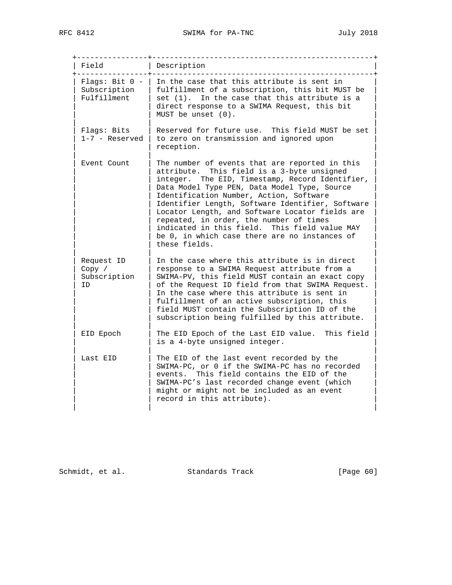+----------------+--------------------------------------------------+ | Field | Description +----------------+--------------------------------------------------+ | Flags: Bit  $0$  - | In the case that this attribute is sent in | Subscription | fulfillment of a subscription, this bit MUST be | | Fulfillment | set (1). In the case that this attribute is a | | direct response to a SWIMA Request, this bit  $|$  MUST be unset  $(0)$ . | | |  $Flags: Bits$  | Reserved for future use. This field MUST be set  $1-7$  - Reserved  $\vert$  to zero on transmission and ignored upon | reception. | | | Event Count | The number of events that are reported in this attribute. This field is a 3-byte unsigned integer. The EID, Timestamp, Record Identifier, Data Model Type PEN, Data Model Type, Source Identification Number, Action, Software Identifier Length, Software Identifier, Software Locator Length, and Software Locator fields are repeated, in order, the number of times indicated in this field. This field value MAY be 0, in which case there are no instances of these fields. | | |  $\vert$  Request ID  $\vert$  In the case where this attribute is in direct  $\vert$ | Copy / | response to a SWIMA Request attribute from a | | Subscription | SWIMA-PV, this field MUST contain an exact copy | | ID | of the Request ID field from that SWIMA Request. | In the case where this attribute is sent in fulfillment of an active subscription, this field MUST contain the Subscription ID of the subscription being fulfilled by this attribute. | | | EID Epoch | The EID Epoch of the Last EID value. This field is a 4-byte unsigned integer. | | | Last EID | The EID of the last event recorded by the SWIMA-PC, or 0 if the SWIMA-PC has no recorded events. This field contains the EID of the SWIMA-PC's last recorded change event (which might or might not be included as an event record in this attribute). | | |

Schmidt, et al. Standards Track [Page 60]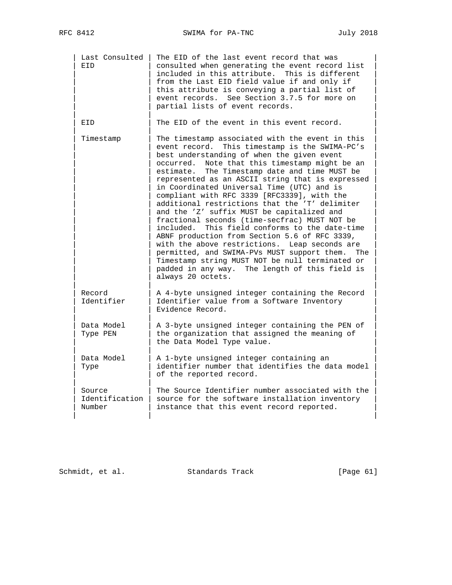| Last Consulted<br>EID              | The EID of the last event record that was<br>consulted when generating the event record list<br>included in this attribute.<br>This is different<br>from the Last EID field value if and only if<br>this attribute is conveying a partial list of<br>event records. See Section 3.7.5 for more on<br>partial lists of event records.                                                                                                                                                                                                                                                                                                                                                                                                                                                                                                                                                              |
|------------------------------------|---------------------------------------------------------------------------------------------------------------------------------------------------------------------------------------------------------------------------------------------------------------------------------------------------------------------------------------------------------------------------------------------------------------------------------------------------------------------------------------------------------------------------------------------------------------------------------------------------------------------------------------------------------------------------------------------------------------------------------------------------------------------------------------------------------------------------------------------------------------------------------------------------|
| EID                                | The EID of the event in this event record.                                                                                                                                                                                                                                                                                                                                                                                                                                                                                                                                                                                                                                                                                                                                                                                                                                                        |
| Timestamp                          | The timestamp associated with the event in this<br>event record. This timestamp is the SWIMA-PC's<br>best understanding of when the given event<br>occurred.<br>Note that this timestamp might be an<br>estimate.<br>The Timestamp date and time MUST be<br>represented as an ASCII string that is expressed<br>in Coordinated Universal Time (UTC) and is<br>compliant with RFC 3339 [RFC3339], with the<br>additional restrictions that the 'T' delimiter<br>and the 'Z' suffix MUST be capitalized and<br>fractional seconds (time-secfrac) MUST NOT be<br>This field conforms to the date-time<br>included.<br>ABNF production from Section 5.6 of RFC 3339,<br>with the above restrictions. Leap seconds are<br>permitted, and SWIMA-PVs MUST support them.<br>The<br>Timestamp string MUST NOT be null terminated or<br>padded in any way. The length of this field is<br>always 20 octets. |
| Record<br>Identifier               | A 4-byte unsigned integer containing the Record<br>Identifier value from a Software Inventory<br>Evidence Record.                                                                                                                                                                                                                                                                                                                                                                                                                                                                                                                                                                                                                                                                                                                                                                                 |
| Data Model<br>Type PEN             | A 3-byte unsigned integer containing the PEN of<br>the organization that assigned the meaning of<br>the Data Model Type value.                                                                                                                                                                                                                                                                                                                                                                                                                                                                                                                                                                                                                                                                                                                                                                    |
| Data Model<br>Type                 | A 1-byte unsigned integer containing an<br>identifier number that identifies the data model<br>of the reported record.                                                                                                                                                                                                                                                                                                                                                                                                                                                                                                                                                                                                                                                                                                                                                                            |
| Source<br>Identification<br>Number | The Source Identifier number associated with the<br>source for the software installation inventory<br>instance that this event record reported.                                                                                                                                                                                                                                                                                                                                                                                                                                                                                                                                                                                                                                                                                                                                                   |

Schmidt, et al. Standards Track [Page 61]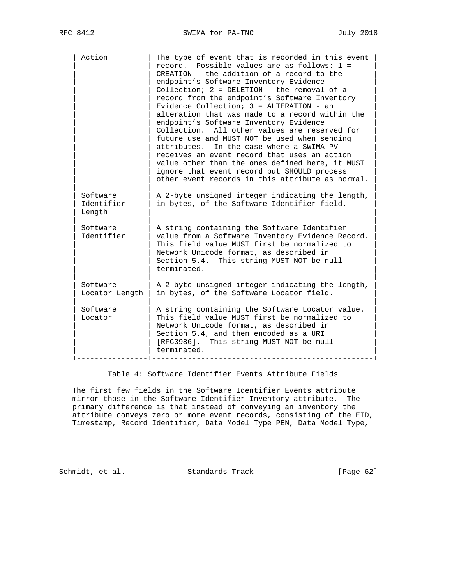| Action                           |                | The type of event that is recorded in this event<br>record. Possible values are as follows: 1 =<br>CREATION - the addition of a record to the<br>endpoint's Software Inventory Evidence<br>Collection; 2 = DELETION - the removal of a<br>record from the endpoint's Software Inventory<br>Evidence Collection; $3 =$ ALTERATION - an<br>alteration that was made to a record within the<br>endpoint's Software Inventory Evidence<br>Collection. All other values are reserved for<br>future use and MUST NOT be used when sending<br>In the case where a SWIMA-PV<br>attributes.<br>receives an event record that uses an action<br>value other than the ones defined here, it MUST<br>ignore that event record but SHOULD process<br>other event records in this attribute as normal. |
|----------------------------------|----------------|------------------------------------------------------------------------------------------------------------------------------------------------------------------------------------------------------------------------------------------------------------------------------------------------------------------------------------------------------------------------------------------------------------------------------------------------------------------------------------------------------------------------------------------------------------------------------------------------------------------------------------------------------------------------------------------------------------------------------------------------------------------------------------------|
| Software<br>Identifier<br>Length |                | A 2-byte unsigned integer indicating the length,<br>in bytes, of the Software Identifier field.                                                                                                                                                                                                                                                                                                                                                                                                                                                                                                                                                                                                                                                                                          |
| Software<br>Identifier           |                | A string containing the Software Identifier<br>value from a Software Inventory Evidence Record.<br>This field value MUST first be normalized to<br>Network Unicode format, as described in<br>Section 5.4. This string MUST NOT be null<br>terminated.                                                                                                                                                                                                                                                                                                                                                                                                                                                                                                                                   |
| Software                         | Locator Length | A 2-byte unsigned integer indicating the length,<br>in bytes, of the Software Locator field.                                                                                                                                                                                                                                                                                                                                                                                                                                                                                                                                                                                                                                                                                             |
| Software<br>Locator              |                | A string containing the Software Locator value.<br>This field value MUST first be normalized to<br>Network Unicode format, as described in<br>Section 5.4, and then encoded as a URI<br>[RFC3986]. This string MUST NOT be null<br>terminated.                                                                                                                                                                                                                                                                                                                                                                                                                                                                                                                                           |

Table 4: Software Identifier Events Attribute Fields

 The first few fields in the Software Identifier Events attribute mirror those in the Software Identifier Inventory attribute. The primary difference is that instead of conveying an inventory the attribute conveys zero or more event records, consisting of the EID, Timestamp, Record Identifier, Data Model Type PEN, Data Model Type,

Schmidt, et al. Standards Track [Page 62]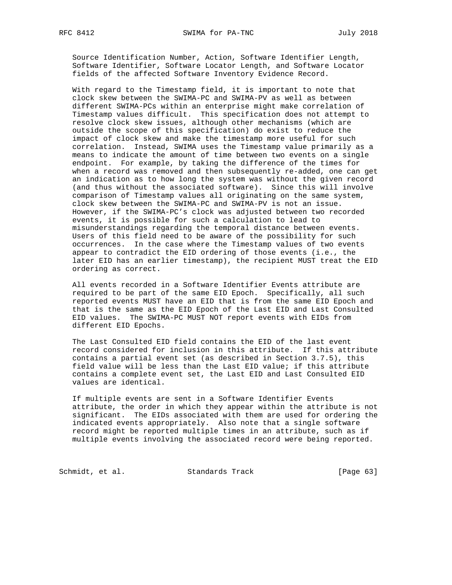Source Identification Number, Action, Software Identifier Length, Software Identifier, Software Locator Length, and Software Locator fields of the affected Software Inventory Evidence Record.

 With regard to the Timestamp field, it is important to note that clock skew between the SWIMA-PC and SWIMA-PV as well as between different SWIMA-PCs within an enterprise might make correlation of Timestamp values difficult. This specification does not attempt to resolve clock skew issues, although other mechanisms (which are outside the scope of this specification) do exist to reduce the impact of clock skew and make the timestamp more useful for such correlation. Instead, SWIMA uses the Timestamp value primarily as a means to indicate the amount of time between two events on a single endpoint. For example, by taking the difference of the times for when a record was removed and then subsequently re-added, one can get an indication as to how long the system was without the given record (and thus without the associated software). Since this will involve comparison of Timestamp values all originating on the same system, clock skew between the SWIMA-PC and SWIMA-PV is not an issue. However, if the SWIMA-PC's clock was adjusted between two recorded events, it is possible for such a calculation to lead to misunderstandings regarding the temporal distance between events. Users of this field need to be aware of the possibility for such occurrences. In the case where the Timestamp values of two events appear to contradict the EID ordering of those events (i.e., the later EID has an earlier timestamp), the recipient MUST treat the EID ordering as correct.

 All events recorded in a Software Identifier Events attribute are required to be part of the same EID Epoch. Specifically, all such reported events MUST have an EID that is from the same EID Epoch and that is the same as the EID Epoch of the Last EID and Last Consulted EID values. The SWIMA-PC MUST NOT report events with EIDs from different EID Epochs.

 The Last Consulted EID field contains the EID of the last event record considered for inclusion in this attribute. If this attribute contains a partial event set (as described in Section 3.7.5), this field value will be less than the Last EID value; if this attribute contains a complete event set, the Last EID and Last Consulted EID values are identical.

 If multiple events are sent in a Software Identifier Events attribute, the order in which they appear within the attribute is not significant. The EIDs associated with them are used for ordering the indicated events appropriately. Also note that a single software record might be reported multiple times in an attribute, such as if multiple events involving the associated record were being reported.

Schmidt, et al. Standards Track [Page 63]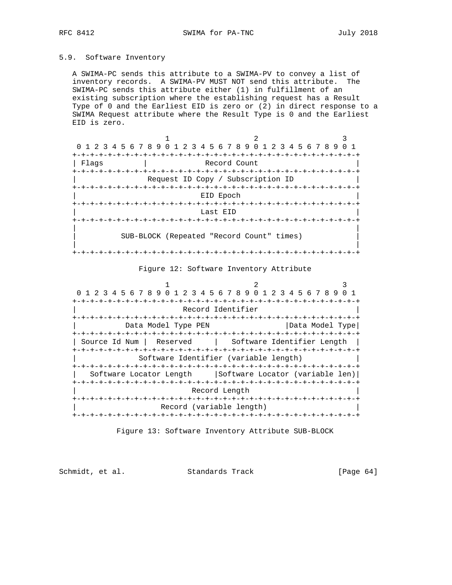# 5.9. Software Inventory

 A SWIMA-PC sends this attribute to a SWIMA-PV to convey a list of inventory records. A SWIMA-PV MUST NOT send this attribute. The SWIMA-PC sends this attribute either (1) in fulfillment of an existing subscription where the establishing request has a Result Type of 0 and the Earliest EID is zero or (2) in direct response to a SWIMA Request attribute where the Result Type is 0 and the Earliest EID is zero.

|                 | 0 1 2 3 4 5 6 7 8 9 0 1 2 3 4 5 6 7 8 9 0 1 2 3 4 5 6 7 8 9 |              |  |  |
|-----------------|-------------------------------------------------------------|--------------|--|--|
|                 |                                                             |              |  |  |
| Flags           |                                                             | Record Count |  |  |
|                 | -+-+-+-+-+-+-+-+-+-+-+-+-+-+-+-+-+-+                        |              |  |  |
|                 | Request ID Copy / Subscription ID                           |              |  |  |
|                 |                                                             |              |  |  |
|                 |                                                             | EID Epoch    |  |  |
| +-+-+-+-+-+-+-+ |                                                             |              |  |  |
|                 |                                                             | Last EID     |  |  |
|                 |                                                             |              |  |  |
|                 | SUB-BLOCK (Repeated "Record Count" times)                   |              |  |  |
|                 |                                                             |              |  |  |

#### Figure 12: Software Inventory Attribute

| 0 1 2 3 4 5 6 7 8 9 0 1 2 3 4 5 6 7 8 9 0 1 2 3 4 5 6 7 8 9 0 1 |                                       |                 |
|-----------------------------------------------------------------|---------------------------------------|-----------------|
| -+-+-+-+-+-+-+                                                  | -+-+-+-+-+-+-+                        |                 |
|                                                                 | Record Identifier                     |                 |
|                                                                 |                                       |                 |
| Data Model Type PEN                                             |                                       | Data Model Type |
|                                                                 |                                       |                 |
| Source Id Num                                                   | Reserved   Software Identifier Length |                 |
|                                                                 |                                       |                 |
|                                                                 | Software Identifier (variable length) |                 |
|                                                                 |                                       |                 |
| Software Locator Length   Software Locator (variable len)       |                                       |                 |
|                                                                 |                                       |                 |
|                                                                 | Record Length                         |                 |
|                                                                 |                                       |                 |
|                                                                 | Record (variable length)              |                 |
|                                                                 |                                       |                 |

Figure 13: Software Inventory Attribute SUB-BLOCK

Schmidt, et al. Standards Track [Page 64]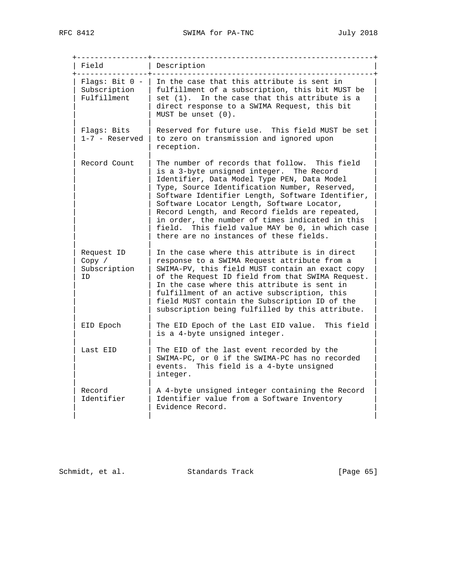+----------------+--------------------------------------------------+ | Field | Description +----------------+--------------------------------------------------+ | Flags: Bit  $0$  - | In the case that this attribute is sent in | Subscription | fulfillment of a subscription, this bit MUST be | | Fulfillment | set (1). In the case that this attribute is a | | direct response to a SWIMA Request, this bit MUST be unset (0). | | | | Flags: Bits | Reserved for future use. This field MUST be set | | 1-7 - Reserved | to zero on transmission and ignored upon | | reception. | | | Record Count | The number of records that follow. This field is a 3-byte unsigned integer. The Record Identifier, Data Model Type PEN, Data Model Type, Source Identification Number, Reserved, Software Identifier Length, Software Identifier, Software Locator Length, Software Locator, Record Length, and Record fields are repeated, in order, the number of times indicated in this field. This field value MAY be 0, in which case there are no instances of these fields. | | | Request ID  $|$  In the case where this attribute is in direct | Copy / | response to a SWIMA Request attribute from a | | Subscription | SWIMA-PV, this field MUST contain an exact copy | | ID | of the Request ID field from that SWIMA Request. | In the case where this attribute is sent in fulfillment of an active subscription, this field MUST contain the Subscription ID of the subscription being fulfilled by this attribute. | | | EID Epoch | The EID Epoch of the Last EID value. This field is a 4-byte unsigned integer. | | | Last EID | The EID of the last event recorded by the SWIMA-PC, or 0 if the SWIMA-PC has no recorded events. This field is a 4-byte unsigned integer. | | | Record  $|$  A 4-byte unsigned integer containing the Record Identifier | Identifier value from a Software Inventory Evidence Record. | | |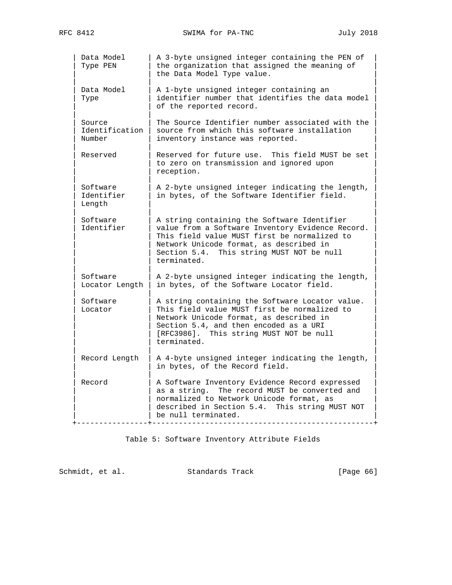| Data Model<br>Type PEN             | A 3-byte unsigned integer containing the PEN of<br>the organization that assigned the meaning of<br>the Data Model Type value.                                                                                                                         |
|------------------------------------|--------------------------------------------------------------------------------------------------------------------------------------------------------------------------------------------------------------------------------------------------------|
| Data Model<br>Type                 | A 1-byte unsigned integer containing an<br>identifier number that identifies the data model<br>of the reported record.                                                                                                                                 |
| Source<br>Identification<br>Number | The Source Identifier number associated with the<br>source from which this software installation<br>inventory instance was reported.                                                                                                                   |
| Reserved                           | Reserved for future use. This field MUST be set<br>to zero on transmission and ignored upon<br>reception.                                                                                                                                              |
| Software<br>Identifier<br>Length   | A 2-byte unsigned integer indicating the length,<br>in bytes, of the Software Identifier field.                                                                                                                                                        |
| Software<br>Identifier             | A string containing the Software Identifier<br>value from a Software Inventory Evidence Record.<br>This field value MUST first be normalized to<br>Network Unicode format, as described in<br>Section 5.4. This string MUST NOT be null<br>terminated. |
| Software<br>Locator Length         | A 2-byte unsigned integer indicating the length,<br>in bytes, of the Software Locator field.                                                                                                                                                           |
| Software<br>Locator                | A string containing the Software Locator value.<br>This field value MUST first be normalized to<br>Network Unicode format, as described in<br>Section 5.4, and then encoded as a URI<br>[RFC3986]. This string MUST NOT be null<br>terminated.         |
| Record Length                      | A 4-byte unsigned integer indicating the length,<br>in bytes, of the Record field.                                                                                                                                                                     |
| Record                             | A Software Inventory Evidence Record expressed<br>The record MUST be converted and<br>as a string.<br>normalized to Network Unicode format, as<br>described in Section 5.4. This string MUST NOT<br>be null terminated.                                |

Table 5: Software Inventory Attribute Fields

Schmidt, et al. Standards Track [Page 66]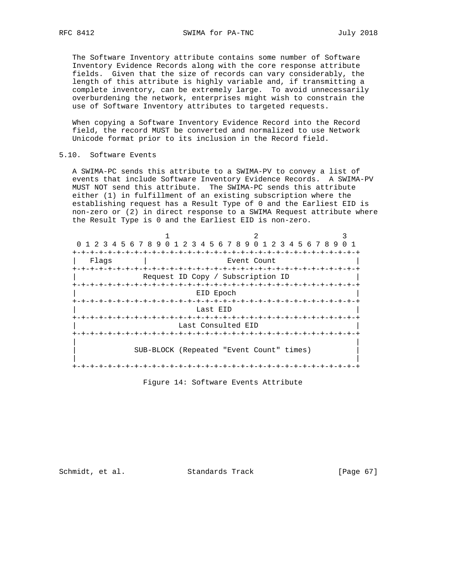The Software Inventory attribute contains some number of Software Inventory Evidence Records along with the core response attribute fields. Given that the size of records can vary considerably, the length of this attribute is highly variable and, if transmitting a complete inventory, can be extremely large. To avoid unnecessarily overburdening the network, enterprises might wish to constrain the use of Software Inventory attributes to targeted requests.

 When copying a Software Inventory Evidence Record into the Record field, the record MUST be converted and normalized to use Network Unicode format prior to its inclusion in the Record field.

5.10. Software Events

 A SWIMA-PC sends this attribute to a SWIMA-PV to convey a list of events that include Software Inventory Evidence Records. A SWIMA-PV MUST NOT send this attribute. The SWIMA-PC sends this attribute either (1) in fulfillment of an existing subscription where the establishing request has a Result Type of 0 and the Earliest EID is non-zero or (2) in direct response to a SWIMA Request attribute where the Result Type is 0 and the Earliest EID is non-zero.

| 0 1 2 3 4 5 6 7 8 9 0 1 2 3 4 5 6 7 8 9 0 1 2 3 4 5 6 7 8 9 |                      |                                          |  |  |
|-------------------------------------------------------------|----------------------|------------------------------------------|--|--|
|                                                             |                      |                                          |  |  |
| Flaqs                                                       |                      | Event Count                              |  |  |
|                                                             |                      |                                          |  |  |
|                                                             |                      | Request ID Copy / Subscription ID        |  |  |
|                                                             |                      |                                          |  |  |
|                                                             | EID Epoch            |                                          |  |  |
|                                                             |                      |                                          |  |  |
|                                                             | Last EID             |                                          |  |  |
|                                                             |                      |                                          |  |  |
|                                                             | Last Consulted EID   |                                          |  |  |
|                                                             | -+-+-+-+-+-+-+-+-+-+ | -+-+-+-+-+-+-+-+-+-+-+-+-+-+             |  |  |
|                                                             |                      |                                          |  |  |
|                                                             |                      | SUB-BLOCK (Repeated "Event Count" times) |  |  |
|                                                             |                      |                                          |  |  |
|                                                             |                      |                                          |  |  |

Figure 14: Software Events Attribute

Schmidt, et al. Standards Track [Page 67]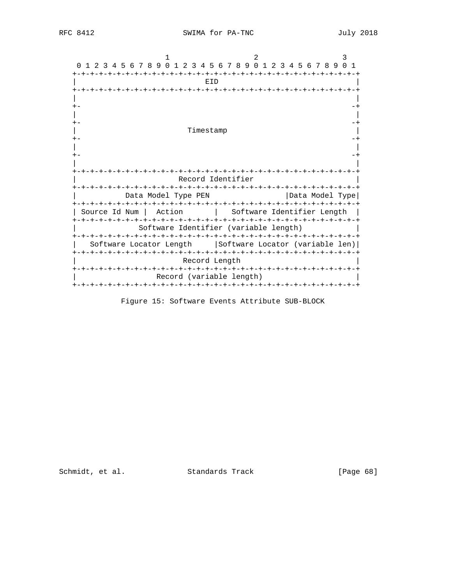| 0 1 2 3 4 5 6 7 8 9 0 1 2 3 4 5 6 7 8 9 0 1 2 3 4 5 6 7 8 9 |                                       |
|-------------------------------------------------------------|---------------------------------------|
| EID                                                         |                                       |
|                                                             |                                       |
|                                                             |                                       |
|                                                             |                                       |
| Timestamp                                                   |                                       |
|                                                             |                                       |
|                                                             |                                       |
|                                                             |                                       |
|                                                             | Record Identifier                     |
|                                                             |                                       |
| Data Model Type PEN                                         | Data Model Type                       |
| Action<br>Source Id Num                                     | Software Identifier Length            |
|                                                             | Software Identifier (variable length) |
|                                                             |                                       |
| Software Locator Length                                     | Software Locator (variable len)       |
| Record Length                                               | -+-+-+-+-+-+-+-+-+-+-+-+-             |
| Record (variable length)                                    |                                       |
|                                                             |                                       |

Figure 15: Software Events Attribute SUB-BLOCK

Schmidt, et al. Standards Track [Page 68]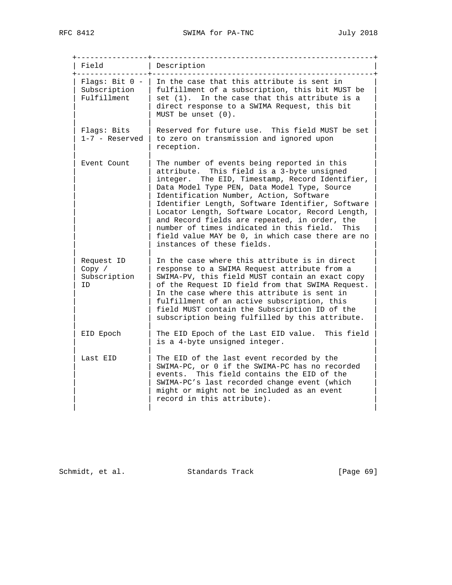+----------------+--------------------------------------------------+ | Field | Description +----------------+--------------------------------------------------+ | Flags: Bit  $0$  - | In the case that this attribute is sent in | Subscription | fulfillment of a subscription, this bit MUST be | | Fulfillment | set (1). In the case that this attribute is a | | direct response to a SWIMA Request, this bit  $|$  MUST be unset  $(0)$ . | | | | Flags: Bits | Reserved for future use. This field MUST be set |  $1-7$  - Reserved  $\vert$  to zero on transmission and ignored upon | reception. | | | Event Count | The number of events being reported in this attribute. This field is a 3-byte unsigned integer. The EID, Timestamp, Record Identifier, Data Model Type PEN, Data Model Type, Source Identification Number, Action, Software Identifier Length, Software Identifier, Software Locator Length, Software Locator, Record Length, and Record fields are repeated, in order, the number of times indicated in this field. This field value MAY be 0, in which case there are no instances of these fields. | | |  $\vert$  Request ID  $\vert$  In the case where this attribute is in direct  $\vert$ | Copy / | response to a SWIMA Request attribute from a | | Subscription | SWIMA-PV, this field MUST contain an exact copy | | ID | of the Request ID field from that SWIMA Request. | In the case where this attribute is sent in fulfillment of an active subscription, this field MUST contain the Subscription ID of the subscription being fulfilled by this attribute. | | | EID Epoch | The EID Epoch of the Last EID value. This field is a 4-byte unsigned integer. | | | Last EID | The EID of the last event recorded by the SWIMA-PC, or 0 if the SWIMA-PC has no recorded events. This field contains the EID of the SWIMA-PC's last recorded change event (which might or might not be included as an event record in this attribute). | | |

Schmidt, et al. Standards Track [Page 69]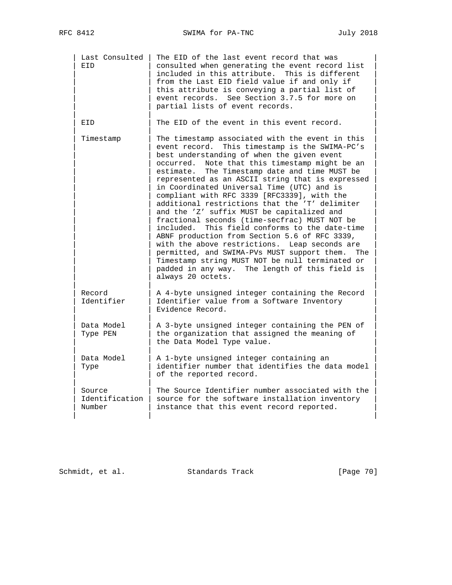| Last Consulted<br>EID              | The EID of the last event record that was<br>consulted when generating the event record list<br>included in this attribute.<br>This is different<br>from the Last EID field value if and only if<br>this attribute is conveying a partial list of<br>event records. See Section 3.7.5 for more on<br>partial lists of event records.                                                                                                                                                                                                                                                                                                                                                                                                                                                                                                                                                              |
|------------------------------------|---------------------------------------------------------------------------------------------------------------------------------------------------------------------------------------------------------------------------------------------------------------------------------------------------------------------------------------------------------------------------------------------------------------------------------------------------------------------------------------------------------------------------------------------------------------------------------------------------------------------------------------------------------------------------------------------------------------------------------------------------------------------------------------------------------------------------------------------------------------------------------------------------|
| EID                                | The EID of the event in this event record.                                                                                                                                                                                                                                                                                                                                                                                                                                                                                                                                                                                                                                                                                                                                                                                                                                                        |
| Timestamp                          | The timestamp associated with the event in this<br>event record. This timestamp is the SWIMA-PC's<br>best understanding of when the given event<br>occurred.<br>Note that this timestamp might be an<br>estimate.<br>The Timestamp date and time MUST be<br>represented as an ASCII string that is expressed<br>in Coordinated Universal Time (UTC) and is<br>compliant with RFC 3339 [RFC3339], with the<br>additional restrictions that the 'T' delimiter<br>and the 'Z' suffix MUST be capitalized and<br>fractional seconds (time-secfrac) MUST NOT be<br>This field conforms to the date-time<br>included.<br>ABNF production from Section 5.6 of RFC 3339,<br>with the above restrictions. Leap seconds are<br>permitted, and SWIMA-PVs MUST support them.<br>The<br>Timestamp string MUST NOT be null terminated or<br>padded in any way. The length of this field is<br>always 20 octets. |
| Record<br>Identifier               | A 4-byte unsigned integer containing the Record<br>Identifier value from a Software Inventory<br>Evidence Record.                                                                                                                                                                                                                                                                                                                                                                                                                                                                                                                                                                                                                                                                                                                                                                                 |
| Data Model<br>Type PEN             | A 3-byte unsigned integer containing the PEN of<br>the organization that assigned the meaning of<br>the Data Model Type value.                                                                                                                                                                                                                                                                                                                                                                                                                                                                                                                                                                                                                                                                                                                                                                    |
| Data Model<br>Type                 | A 1-byte unsigned integer containing an<br>identifier number that identifies the data model<br>of the reported record.                                                                                                                                                                                                                                                                                                                                                                                                                                                                                                                                                                                                                                                                                                                                                                            |
| Source<br>Identification<br>Number | The Source Identifier number associated with the<br>source for the software installation inventory<br>instance that this event record reported.                                                                                                                                                                                                                                                                                                                                                                                                                                                                                                                                                                                                                                                                                                                                                   |

Schmidt, et al. Standards Track [Page 70]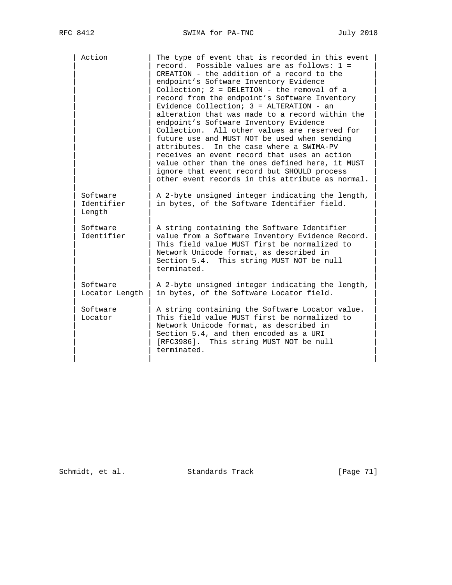| Action                           | The type of event that is recorded in this event<br>record. Possible values are as follows: 1 =<br>CREATION - the addition of a record to the<br>endpoint's Software Inventory Evidence<br>Collection; 2 = DELETION - the removal of a<br>record from the endpoint's Software Inventory<br>Evidence Collection; $3 =$ ALTERATION - an<br>alteration that was made to a record within the<br>endpoint's Software Inventory Evidence<br>Collection. All other values are reserved for<br>future use and MUST NOT be used when sending<br>In the case where a SWIMA-PV<br>attributes.<br>receives an event record that uses an action<br>value other than the ones defined here, it MUST<br>ignore that event record but SHOULD process<br>other event records in this attribute as normal. |
|----------------------------------|------------------------------------------------------------------------------------------------------------------------------------------------------------------------------------------------------------------------------------------------------------------------------------------------------------------------------------------------------------------------------------------------------------------------------------------------------------------------------------------------------------------------------------------------------------------------------------------------------------------------------------------------------------------------------------------------------------------------------------------------------------------------------------------|
| Software<br>Identifier<br>Length | A 2-byte unsigned integer indicating the length,<br>in bytes, of the Software Identifier field.                                                                                                                                                                                                                                                                                                                                                                                                                                                                                                                                                                                                                                                                                          |
| Software<br>Identifier           | A string containing the Software Identifier<br>value from a Software Inventory Evidence Record.<br>This field value MUST first be normalized to<br>Network Unicode format, as described in<br>Section 5.4. This string MUST NOT be null<br>terminated.                                                                                                                                                                                                                                                                                                                                                                                                                                                                                                                                   |
| Software<br>Locator Length       | A 2-byte unsigned integer indicating the length,<br>in bytes, of the Software Locator field.                                                                                                                                                                                                                                                                                                                                                                                                                                                                                                                                                                                                                                                                                             |
| Software<br>Locator              | A string containing the Software Locator value.<br>This field value MUST first be normalized to<br>Network Unicode format, as described in<br>Section 5.4, and then encoded as a URI<br>[RFC3986]. This string MUST NOT be null<br>terminated.                                                                                                                                                                                                                                                                                                                                                                                                                                                                                                                                           |

Schmidt, et al. Standards Track [Page 71]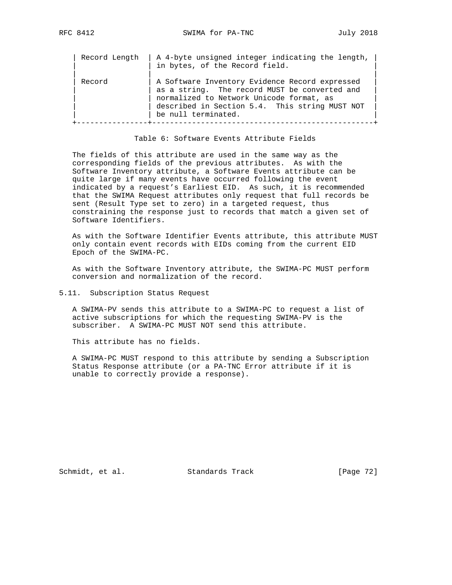| Record              | in bytes, of the Record field.                                                                                                                                                                |
|---------------------|-----------------------------------------------------------------------------------------------------------------------------------------------------------------------------------------------|
| be null terminated. | A Software Inventory Evidence Record expressed<br>as a string. The record MUST be converted and<br>normalized to Network Unicode format, as<br>described in Section 5.4. This string MUST NOT |

Table 6: Software Events Attribute Fields

 The fields of this attribute are used in the same way as the corresponding fields of the previous attributes. As with the Software Inventory attribute, a Software Events attribute can be quite large if many events have occurred following the event indicated by a request's Earliest EID. As such, it is recommended that the SWIMA Request attributes only request that full records be sent (Result Type set to zero) in a targeted request, thus constraining the response just to records that match a given set of Software Identifiers.

 As with the Software Identifier Events attribute, this attribute MUST only contain event records with EIDs coming from the current EID Epoch of the SWIMA-PC.

 As with the Software Inventory attribute, the SWIMA-PC MUST perform conversion and normalization of the record.

5.11. Subscription Status Request

 A SWIMA-PV sends this attribute to a SWIMA-PC to request a list of active subscriptions for which the requesting SWIMA-PV is the subscriber. A SWIMA-PC MUST NOT send this attribute.

This attribute has no fields.

 A SWIMA-PC MUST respond to this attribute by sending a Subscription Status Response attribute (or a PA-TNC Error attribute if it is unable to correctly provide a response).

Schmidt, et al. Standards Track [Page 72]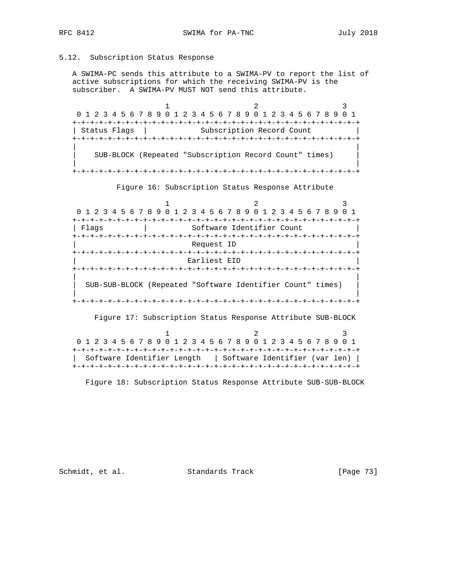## 5.12. Subscription Status Response

 A SWIMA-PC sends this attribute to a SWIMA-PV to report the list of active subscriptions for which the receiving SWIMA-PV is the subscriber. A SWIMA-PV MUST NOT send this attribute.

1 2 3 0 1 2 3 4 5 6 7 8 9 0 1 2 3 4 5 6 7 8 9 0 1 2 3 4 5 6 7 8 9 0 1 +-+-+-+-+-+-+-+-+-+-+-+-+-+-+-+-+-+-+-+-+-+-+-+-+-+-+-+-+-+-+-+-+ | Status Flags | Subscription Record Count +-+-+-+-+-+-+-+-+-+-+-+-+-+-+-+-+-+-+-+-+-+-+-+-+-+-+-+-+-+-+-+-+ | | | SUB-BLOCK (Repeated "Subscription Record Count" times) | | |

+-+-+-+-+-+-+-+-+-+-+-+-+-+-+-+-+-+-+-+-+-+-+-+-+-+-+-+-+-+-+-+-+

Figure 16: Subscription Status Response Attribute

1 2 3 0 1 2 3 4 5 6 7 8 9 0 1 2 3 4 5 6 7 8 9 0 1 2 3 4 5 6 7 8 9 0 1 +-+-+-+-+-+-+-+-+-+-+-+-+-+-+-+-+-+-+-+-+-+-+-+-+-+-+-+-+-+-+-+-+ | Flags | Software Identifier Count +-+-+-+-+-+-+-+-+-+-+-+-+-+-+-+-+-+-+-+-+-+-+-+-+-+-+-+-+-+-+-+-+  $Request$  ID +-+-+-+-+-+-+-+-+-+-+-+-+-+-+-+-+-+-+-+-+-+-+-+-+-+-+-+-+-+-+-+-+ Earliest EID +-+-+-+-+-+-+-+-+-+-+-+-+-+-+-+-+-+-+-+-+-+-+-+-+-+-+-+-+-+-+-+-+ | | | SUB-SUB-BLOCK (Repeated "Software Identifier Count" times) | | | +-+-+-+-+-+-+-+-+-+-+-+-+-+-+-+-+-+-+-+-+-+-+-+-+-+-+-+-+-+-+-+-+

Figure 17: Subscription Status Response Attribute SUB-BLOCK

|  |  |  |  |  |  |  |  |  |  |  |  |  |  |  | 0 1 2 3 4 5 6 7 8 9 0 1 2 3 4 5 6 7 8 9 0 1 2 3 4 5 6 7 8 9 0 1 |                                                            |
|--|--|--|--|--|--|--|--|--|--|--|--|--|--|--|-----------------------------------------------------------------|------------------------------------------------------------|
|  |  |  |  |  |  |  |  |  |  |  |  |  |  |  |                                                                 |                                                            |
|  |  |  |  |  |  |  |  |  |  |  |  |  |  |  |                                                                 | Software Identifier Length   Software Identifier (var len) |
|  |  |  |  |  |  |  |  |  |  |  |  |  |  |  |                                                                 |                                                            |

Figure 18: Subscription Status Response Attribute SUB-SUB-BLOCK

Schmidt, et al. Standards Track [Page 73]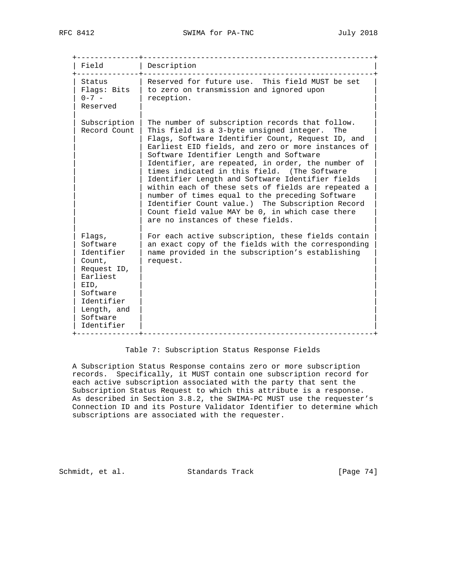| Field                                                                                                                                            | Description                                                                                                                                                                                                                                                                                                                                                                                                                                                                                                                                                                                                                                                            |
|--------------------------------------------------------------------------------------------------------------------------------------------------|------------------------------------------------------------------------------------------------------------------------------------------------------------------------------------------------------------------------------------------------------------------------------------------------------------------------------------------------------------------------------------------------------------------------------------------------------------------------------------------------------------------------------------------------------------------------------------------------------------------------------------------------------------------------|
| Status<br>Flags: Bits<br>$0 - 7 -$<br>Reserved                                                                                                   | Reserved for future use. This field MUST be set<br>to zero on transmission and ignored upon<br>reception.                                                                                                                                                                                                                                                                                                                                                                                                                                                                                                                                                              |
| Subscription<br>Record Count                                                                                                                     | The number of subscription records that follow.<br>This field is a 3-byte unsigned integer.<br>The<br>Flags, Software Identifier Count, Request ID, and<br>Earliest EID fields, and zero or more instances of<br>Software Identifier Length and Software<br>Identifier, are repeated, in order, the number of<br>times indicated in this field. (The Software<br>Identifier Length and Software Identifier fields<br>within each of these sets of fields are repeated a<br>number of times equal to the preceding Software<br>Identifier Count value.) The Subscription Record<br>Count field value MAY be 0, in which case there<br>are no instances of these fields. |
| Flags,<br>Software<br>Identifier<br>Count,<br>Request ID,<br>Earliest<br>EID,<br>Software<br>Identifier<br>Length, and<br>Software<br>Identifier | For each active subscription, these fields contain<br>an exact copy of the fields with the corresponding<br>name provided in the subscription's establishing<br>request.                                                                                                                                                                                                                                                                                                                                                                                                                                                                                               |

# Table 7: Subscription Status Response Fields

 A Subscription Status Response contains zero or more subscription records. Specifically, it MUST contain one subscription record for each active subscription associated with the party that sent the Subscription Status Request to which this attribute is a response. As described in Section 3.8.2, the SWIMA-PC MUST use the requester's Connection ID and its Posture Validator Identifier to determine which subscriptions are associated with the requester.

Schmidt, et al. Standards Track [Page 74]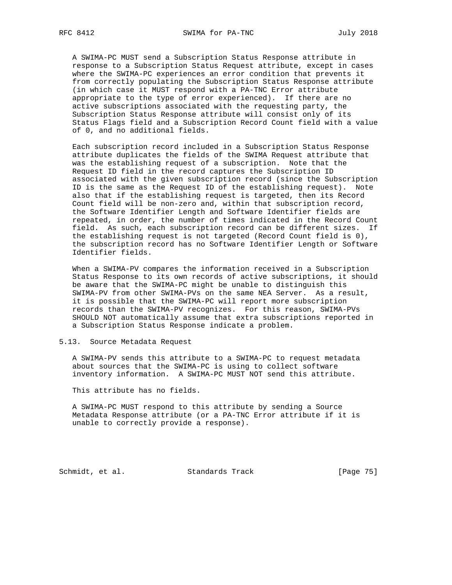A SWIMA-PC MUST send a Subscription Status Response attribute in response to a Subscription Status Request attribute, except in cases where the SWIMA-PC experiences an error condition that prevents it from correctly populating the Subscription Status Response attribute (in which case it MUST respond with a PA-TNC Error attribute appropriate to the type of error experienced). If there are no active subscriptions associated with the requesting party, the Subscription Status Response attribute will consist only of its Status Flags field and a Subscription Record Count field with a value of 0, and no additional fields.

 Each subscription record included in a Subscription Status Response attribute duplicates the fields of the SWIMA Request attribute that was the establishing request of a subscription. Note that the Request ID field in the record captures the Subscription ID associated with the given subscription record (since the Subscription ID is the same as the Request ID of the establishing request). Note also that if the establishing request is targeted, then its Record Count field will be non-zero and, within that subscription record, the Software Identifier Length and Software Identifier fields are repeated, in order, the number of times indicated in the Record Count field. As such, each subscription record can be different sizes. If the establishing request is not targeted (Record Count field is 0), the subscription record has no Software Identifier Length or Software Identifier fields.

 When a SWIMA-PV compares the information received in a Subscription Status Response to its own records of active subscriptions, it should be aware that the SWIMA-PC might be unable to distinguish this SWIMA-PV from other SWIMA-PVs on the same NEA Server. As a result, it is possible that the SWIMA-PC will report more subscription records than the SWIMA-PV recognizes. For this reason, SWIMA-PVs SHOULD NOT automatically assume that extra subscriptions reported in a Subscription Status Response indicate a problem.

5.13. Source Metadata Request

 A SWIMA-PV sends this attribute to a SWIMA-PC to request metadata about sources that the SWIMA-PC is using to collect software inventory information. A SWIMA-PC MUST NOT send this attribute.

This attribute has no fields.

 A SWIMA-PC MUST respond to this attribute by sending a Source Metadata Response attribute (or a PA-TNC Error attribute if it is unable to correctly provide a response).

Schmidt, et al. Standards Track [Page 75]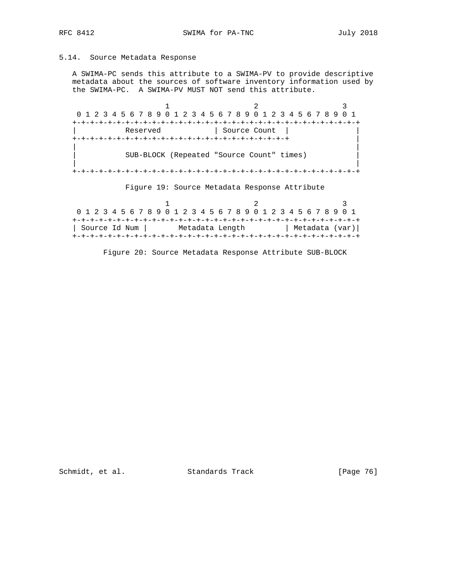# 5.14. Source Metadata Response

 A SWIMA-PC sends this attribute to a SWIMA-PV to provide descriptive metadata about the sources of software inventory information used by the SWIMA-PC. A SWIMA-PV MUST NOT send this attribute.

1 2 3 0 1 2 3 4 5 6 7 8 9 0 1 2 3 4 5 6 7 8 9 0 1 2 3 4 5 6 7 8 9 0 1 +-+-+-+-+-+-+-+-+-+-+-+-+-+-+-+-+-+-+-+-+-+-+-+-+-+-+-+-+-+-+-+-+ Reserved | Source Count | +-+-+-+-+-+-+-+-+-+-+-+-+-+-+-+-+-+-+-+-+-+-+-+-+ | | | | SUB-BLOCK (Repeated "Source Count" times) | | | +-+-+-+-+-+-+-+-+-+-+-+-+-+-+-+-+-+-+-+-+-+-+-+-+-+-+-+-+-+-+-+-+

Figure 19: Source Metadata Response Attribute

1 2 3 0 1 2 3 4 5 6 7 8 9 0 1 2 3 4 5 6 7 8 9 0 1 2 3 4 5 6 7 8 9 0 1 +-+-+-+-+-+-+-+-+-+-+-+-+-+-+-+-+-+-+-+-+-+-+-+-+-+-+-+-+-+-+-+-+ | Source Id Num | Metadata Length | Metadata (var)| +-+-+-+-+-+-+-+-+-+-+-+-+-+-+-+-+-+-+-+-+-+-+-+-+-+-+-+-+-+-+-+-+

Figure 20: Source Metadata Response Attribute SUB-BLOCK

Schmidt, et al. Standards Track [Page 76]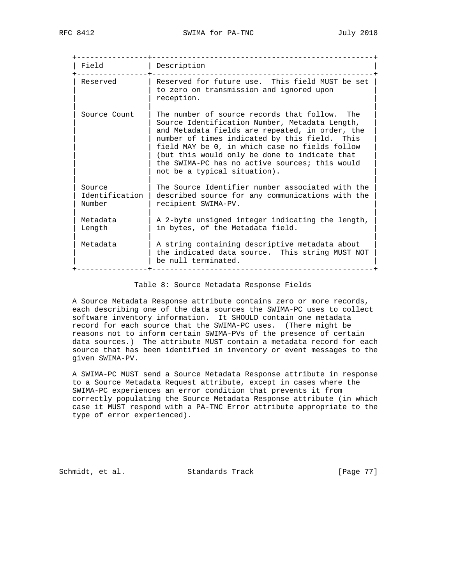+----------------+--------------------------------------------------+ | Field | Description +----------------+--------------------------------------------------+ | Reserved | Reserved for future use. This field MUST be set | | to zero on transmission and ignored upon | reception. | | | Source Count  $|$  The number of source records that follow. The | Source Identification Number, Metadata Length, | and Metadata fields are repeated, in order, the number of times indicated by this field. This field MAY be 0, in which case no fields follow (but this would only be done to indicate that the SWIMA-PC has no active sources; this would not be a typical situation). | | | Source | The Source Identifier number associated with the Identification  $|$  described source for any communications with the Number | recipient SWIMA-PV. | | | | Metadata | A 2-byte unsigned integer indicating the length, | | Length | in bytes, of the Metadata field. | | | | | Metadata | A string containing descriptive metadata about | | | the indicated data source. This string MUST NOT |  $|$  be null terminated. +----------------+--------------------------------------------------+

Table 8: Source Metadata Response Fields

 A Source Metadata Response attribute contains zero or more records, each describing one of the data sources the SWIMA-PC uses to collect software inventory information. It SHOULD contain one metadata record for each source that the SWIMA-PC uses. (There might be reasons not to inform certain SWIMA-PVs of the presence of certain data sources.) The attribute MUST contain a metadata record for each source that has been identified in inventory or event messages to the given SWIMA-PV.

 A SWIMA-PC MUST send a Source Metadata Response attribute in response to a Source Metadata Request attribute, except in cases where the SWIMA-PC experiences an error condition that prevents it from correctly populating the Source Metadata Response attribute (in which case it MUST respond with a PA-TNC Error attribute appropriate to the type of error experienced).

Schmidt, et al. Standards Track [Page 77]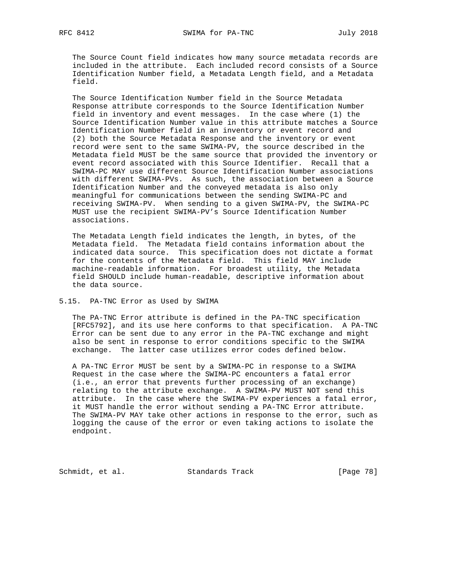The Source Count field indicates how many source metadata records are included in the attribute. Each included record consists of a Source Identification Number field, a Metadata Length field, and a Metadata field.

 The Source Identification Number field in the Source Metadata Response attribute corresponds to the Source Identification Number field in inventory and event messages. In the case where (1) the Source Identification Number value in this attribute matches a Source Identification Number field in an inventory or event record and (2) both the Source Metadata Response and the inventory or event record were sent to the same SWIMA-PV, the source described in the Metadata field MUST be the same source that provided the inventory or event record associated with this Source Identifier. Recall that a SWIMA-PC MAY use different Source Identification Number associations with different SWIMA-PVs. As such, the association between a Source Identification Number and the conveyed metadata is also only meaningful for communications between the sending SWIMA-PC and receiving SWIMA-PV. When sending to a given SWIMA-PV, the SWIMA-PC MUST use the recipient SWIMA-PV's Source Identification Number associations.

 The Metadata Length field indicates the length, in bytes, of the Metadata field. The Metadata field contains information about the indicated data source. This specification does not dictate a format for the contents of the Metadata field. This field MAY include machine-readable information. For broadest utility, the Metadata field SHOULD include human-readable, descriptive information about the data source.

## 5.15. PA-TNC Error as Used by SWIMA

 The PA-TNC Error attribute is defined in the PA-TNC specification [RFC5792], and its use here conforms to that specification. A PA-TNC Error can be sent due to any error in the PA-TNC exchange and might also be sent in response to error conditions specific to the SWIMA exchange. The latter case utilizes error codes defined below.

 A PA-TNC Error MUST be sent by a SWIMA-PC in response to a SWIMA Request in the case where the SWIMA-PC encounters a fatal error (i.e., an error that prevents further processing of an exchange) relating to the attribute exchange. A SWIMA-PV MUST NOT send this attribute. In the case where the SWIMA-PV experiences a fatal error, it MUST handle the error without sending a PA-TNC Error attribute. The SWIMA-PV MAY take other actions in response to the error, such as logging the cause of the error or even taking actions to isolate the endpoint.

Schmidt, et al. Standards Track [Page 78]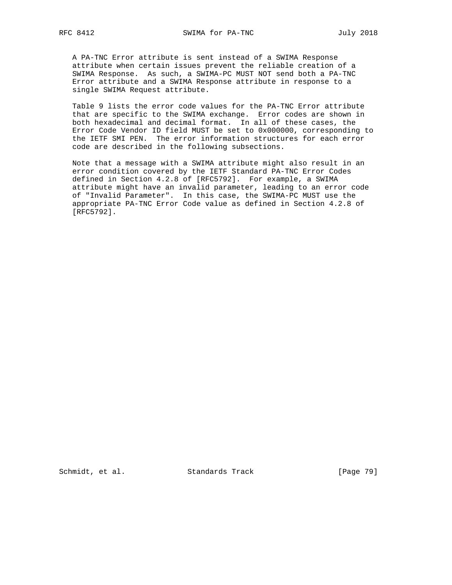A PA-TNC Error attribute is sent instead of a SWIMA Response attribute when certain issues prevent the reliable creation of a SWIMA Response. As such, a SWIMA-PC MUST NOT send both a PA-TNC Error attribute and a SWIMA Response attribute in response to a single SWIMA Request attribute.

 Table 9 lists the error code values for the PA-TNC Error attribute that are specific to the SWIMA exchange. Error codes are shown in both hexadecimal and decimal format. In all of these cases, the Error Code Vendor ID field MUST be set to 0x000000, corresponding to the IETF SMI PEN. The error information structures for each error code are described in the following subsections.

 Note that a message with a SWIMA attribute might also result in an error condition covered by the IETF Standard PA-TNC Error Codes defined in Section 4.2.8 of [RFC5792]. For example, a SWIMA attribute might have an invalid parameter, leading to an error code of "Invalid Parameter". In this case, the SWIMA-PC MUST use the appropriate PA-TNC Error Code value as defined in Section 4.2.8 of [RFC5792].

Schmidt, et al. Standards Track [Page 79]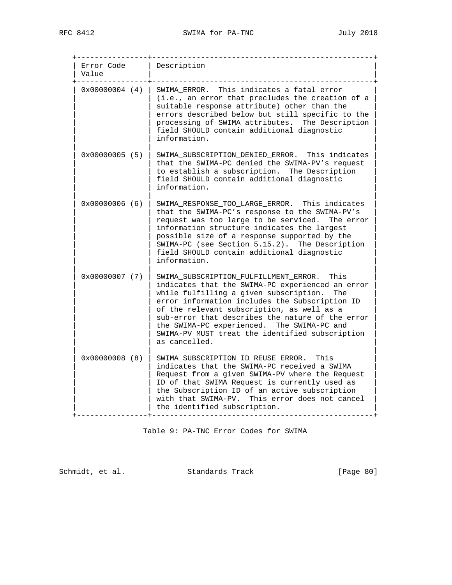| Error Code<br>Value     | Description                                                                                                                                                                                                                                                                                                                                                                                                           |
|-------------------------|-----------------------------------------------------------------------------------------------------------------------------------------------------------------------------------------------------------------------------------------------------------------------------------------------------------------------------------------------------------------------------------------------------------------------|
| $0 \times 00000004$ (4) | SWIMA ERROR. This indicates a fatal error<br>(i.e., an error that precludes the creation of a<br>suitable response attribute) other than the<br>errors described below but still specific to the<br>processing of SWIMA attributes. The Description<br>field SHOULD contain additional diagnostic<br>information.                                                                                                     |
| $0x00000005$ (5)        | SWIMA_SUBSCRIPTION_DENIED_ERROR. This indicates<br>that the SWIMA-PC denied the SWIMA-PV's request<br>to establish a subscription. The Description<br>field SHOULD contain additional diagnostic<br>information.                                                                                                                                                                                                      |
| $0x00000006$ (6)        | SWIMA_RESPONSE_TOO_LARGE_ERROR. This indicates<br>that the SWIMA-PC's response to the SWIMA-PV's<br>request was too large to be serviced.<br>The error<br>information structure indicates the largest<br>possible size of a response supported by the<br>SWIMA-PC (see Section 5.15.2). The Description<br>field SHOULD contain additional diagnostic<br>information.                                                 |
| $0x00000007$ (7)        | SWIMA_SUBSCRIPTION_FULFILLMENT_ERROR. This<br>indicates that the SWIMA-PC experienced an error<br>while fulfilling a given subscription.<br>The<br>error information includes the Subscription ID<br>of the relevant subscription, as well as a<br>sub-error that describes the nature of the error<br>the SWIMA-PC experienced. The SWIMA-PC and<br>SWIMA-PV MUST treat the identified subscription<br>as cancelled. |
| $0x00000008$ (8)        | SWIMA_SUBSCRIPTION_ID_REUSE_ERROR.<br>This<br>indicates that the SWIMA-PC received a SWIMA<br>Request from a given SWIMA-PV where the Request<br>ID of that SWIMA Request is currently used as<br>the Subscription ID of an active subscription<br>with that SWIMA-PV. This error does not cancel<br>the identified subscription.                                                                                     |

Table 9: PA-TNC Error Codes for SWIMA

Schmidt, et al. Standards Track [Page 80]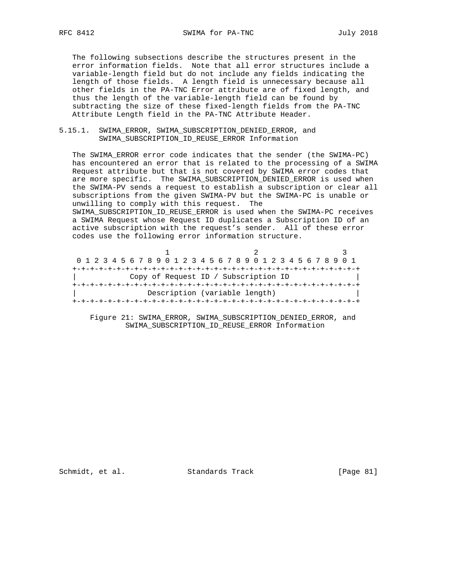The following subsections describe the structures present in the error information fields. Note that all error structures include a variable-length field but do not include any fields indicating the length of those fields. A length field is unnecessary because all other fields in the PA-TNC Error attribute are of fixed length, and thus the length of the variable-length field can be found by subtracting the size of these fixed-length fields from the PA-TNC Attribute Length field in the PA-TNC Attribute Header.

# 5.15.1. SWIMA\_ERROR, SWIMA\_SUBSCRIPTION\_DENIED\_ERROR, and SWIMA\_SUBSCRIPTION\_ID\_REUSE\_ERROR Information

 The SWIMA\_ERROR error code indicates that the sender (the SWIMA-PC) has encountered an error that is related to the processing of a SWIMA Request attribute but that is not covered by SWIMA error codes that are more specific. The SWIMA\_SUBSCRIPTION\_DENIED\_ERROR is used when the SWIMA-PV sends a request to establish a subscription or clear all subscriptions from the given SWIMA-PV but the SWIMA-PC is unable or unwilling to comply with this request. The

 SWIMA\_SUBSCRIPTION\_ID\_REUSE\_ERROR is used when the SWIMA-PC receives a SWIMA Request whose Request ID duplicates a Subscription ID of an active subscription with the request's sender. All of these error codes use the following error information structure.

|  | 0 1 2 3 4 5 6 7 8 9 0 1 2 3 4 5 6 7 8 9 0 1 2 3 4 5 6 7 8 9 0 1 |  |  |  |  |  |  |  |  |                               |  |                                      |  |  |  |  |
|--|-----------------------------------------------------------------|--|--|--|--|--|--|--|--|-------------------------------|--|--------------------------------------|--|--|--|--|
|  |                                                                 |  |  |  |  |  |  |  |  |                               |  |                                      |  |  |  |  |
|  |                                                                 |  |  |  |  |  |  |  |  |                               |  | Copy of Request ID / Subscription ID |  |  |  |  |
|  |                                                                 |  |  |  |  |  |  |  |  |                               |  |                                      |  |  |  |  |
|  |                                                                 |  |  |  |  |  |  |  |  | Description (variable length) |  |                                      |  |  |  |  |
|  |                                                                 |  |  |  |  |  |  |  |  |                               |  |                                      |  |  |  |  |

 Figure 21: SWIMA\_ERROR, SWIMA\_SUBSCRIPTION\_DENIED\_ERROR, and SWIMA\_SUBSCRIPTION\_ID\_REUSE\_ERROR Information

Schmidt, et al. Standards Track [Page 81]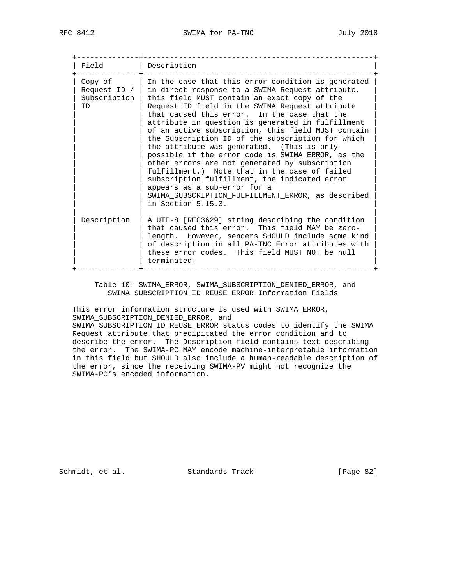| Field              | Description                                                                                                                                                                                                                                                                                                                                                                                                                                                                                                                                                                                                                                                                                                                                                                                                             |
|--------------------|-------------------------------------------------------------------------------------------------------------------------------------------------------------------------------------------------------------------------------------------------------------------------------------------------------------------------------------------------------------------------------------------------------------------------------------------------------------------------------------------------------------------------------------------------------------------------------------------------------------------------------------------------------------------------------------------------------------------------------------------------------------------------------------------------------------------------|
| Subscription<br>ID | Copy of $ $ In the case that this error condition is generated<br>Request ID $/$ in direct response to a SWIMA Request attribute,<br>this field MUST contain an exact copy of the<br>Request ID field in the SWIMA Request attribute<br>that caused this error. In the case that the<br>attribute in question is generated in fulfillment<br>of an active subscription, this field MUST contain<br>the Subscription ID of the subscription for which<br>the attribute was generated. (This is only<br>possible if the error code is SWIMA ERROR, as the<br>other errors are not generated by subscription<br>fulfillment.) Note that in the case of failed<br>subscription fulfillment, the indicated error<br>appears as a sub-error for a<br>SWIMA SUBSCRIPTION FULFILLMENT ERROR, as described<br>in Section 5.15.3. |
| Description        | A UTF-8 [RFC3629] string describing the condition<br>that caused this error. This field MAY be zero-<br>length. However, senders SHOULD include some kind<br>of description in all PA-TNC Error attributes with<br>these error codes. This field MUST NOT be null<br>terminated.                                                                                                                                                                                                                                                                                                                                                                                                                                                                                                                                        |

 Table 10: SWIMA\_ERROR, SWIMA\_SUBSCRIPTION\_DENIED\_ERROR, and SWIMA\_SUBSCRIPTION\_ID\_REUSE\_ERROR Information Fields

 This error information structure is used with SWIMA\_ERROR, SWIMA\_SUBSCRIPTION\_DENIED\_ERROR, and SWIMA\_SUBSCRIPTION\_ID\_REUSE\_ERROR status codes to identify the SWIMA Request attribute that precipitated the error condition and to describe the error. The Description field contains text describing the error. The SWIMA-PC MAY encode machine-interpretable information in this field but SHOULD also include a human-readable description of the error, since the receiving SWIMA-PV might not recognize the SWIMA-PC's encoded information.

Schmidt, et al. Standards Track [Page 82]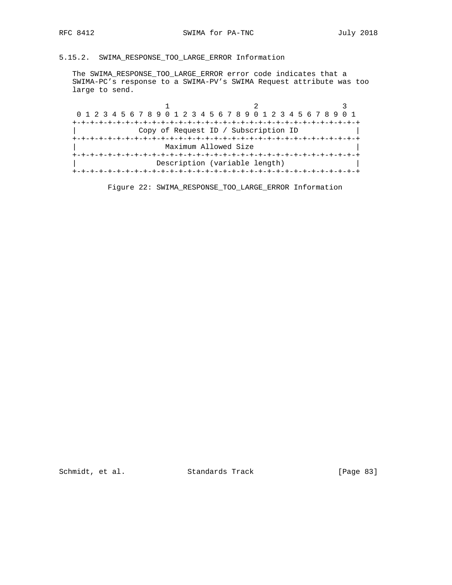# 5.15.2. SWIMA\_RESPONSE\_TOO\_LARGE\_ERROR Information

 The SWIMA\_RESPONSE\_TOO\_LARGE\_ERROR error code indicates that a SWIMA-PC's response to a SWIMA-PV's SWIMA Request attribute was too large to send.

| 0 1 2 3 4 5 6 7 8 9 0 1 2 3 4 5 6 7 8 9 0 1 2 3 4 5 6 7 8 9 0 1 |                                      |  |
|-----------------------------------------------------------------|--------------------------------------|--|
|                                                                 |                                      |  |
|                                                                 | Copy of Request ID / Subscription ID |  |
|                                                                 |                                      |  |
|                                                                 | Maximum Allowed Size                 |  |
|                                                                 |                                      |  |
|                                                                 | Description (variable length)        |  |
|                                                                 |                                      |  |
|                                                                 |                                      |  |

Figure 22: SWIMA\_RESPONSE\_TOO\_LARGE\_ERROR Information

Schmidt, et al. Standards Track [Page 83]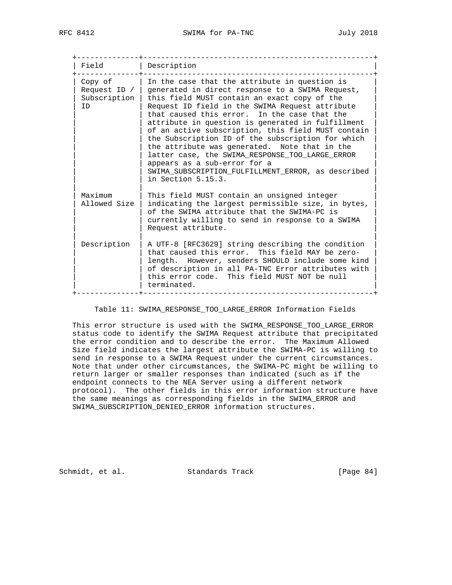| Field                                           | Description                                                                                                                                                                                                                                                                                                                                                                                                                                                                                                                                                                                                                          |
|-------------------------------------------------|--------------------------------------------------------------------------------------------------------------------------------------------------------------------------------------------------------------------------------------------------------------------------------------------------------------------------------------------------------------------------------------------------------------------------------------------------------------------------------------------------------------------------------------------------------------------------------------------------------------------------------------|
| Copy of<br>Request ID $/$<br>Subscription<br>ID | In the case that the attribute in question is<br>generated in direct response to a SWIMA Request,<br>this field MUST contain an exact copy of the<br>Request ID field in the SWIMA Request attribute<br>that caused this error. In the case that the<br>attribute in question is generated in fulfillment<br>of an active subscription, this field MUST contain<br>the Subscription ID of the subscription for which<br>the attribute was generated. Note that in the<br>latter case, the SWIMA_RESPONSE_TOO_LARGE_ERROR<br>appears as a sub-error for a<br>SWIMA SUBSCRIPTION FULFILLMENT ERROR, as described<br>in Section 5.15.3. |
| Maximum<br>Allowed Size                         | This field MUST contain an unsigned integer<br>indicating the largest permissible size, in bytes,<br>of the SWIMA attribute that the SWIMA-PC is<br>currently willing to send in response to a SWIMA<br>Request attribute.                                                                                                                                                                                                                                                                                                                                                                                                           |
| Description                                     | A UTF-8 [RFC3629] string describing the condition<br>that caused this error. This field MAY be zero-<br>length. However, senders SHOULD include some kind<br>of description in all PA-TNC Error attributes with<br>this error code. This field MUST NOT be null<br>terminated.                                                                                                                                                                                                                                                                                                                                                       |

Table 11: SWIMA\_RESPONSE\_TOO\_LARGE\_ERROR Information Fields

 This error structure is used with the SWIMA\_RESPONSE\_TOO\_LARGE\_ERROR status code to identify the SWIMA Request attribute that precipitated the error condition and to describe the error. The Maximum Allowed Size field indicates the largest attribute the SWIMA-PC is willing to send in response to a SWIMA Request under the current circumstances. Note that under other circumstances, the SWIMA-PC might be willing to return larger or smaller responses than indicated (such as if the endpoint connects to the NEA Server using a different network protocol). The other fields in this error information structure have the same meanings as corresponding fields in the SWIMA\_ERROR and SWIMA\_SUBSCRIPTION\_DENIED\_ERROR information structures.

Schmidt, et al. Standards Track [Page 84]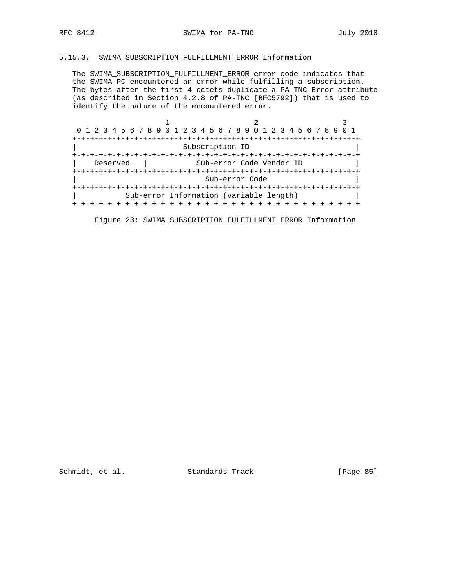# 5.15.3. SWIMA\_SUBSCRIPTION\_FULFILLMENT\_ERROR Information

 The SWIMA\_SUBSCRIPTION\_FULFILLMENT\_ERROR error code indicates that the SWIMA-PC encountered an error while fulfilling a subscription. The bytes after the first 4 octets duplicate a PA-TNC Error attribute (as described in Section 4.2.8 of PA-TNC [RFC5792]) that is used to identify the nature of the encountered error.

| 0 1 2 3 4 5 6 7 8 9 0 1 2 3 4 5 6 7 8 9 0 1 2 3 4 5 6 7 8 9 |                 |                                         |  |
|-------------------------------------------------------------|-----------------|-----------------------------------------|--|
|                                                             |                 |                                         |  |
|                                                             | Subscription ID |                                         |  |
|                                                             |                 |                                         |  |
| Reserved                                                    |                 | Sub-error Code Vendor ID                |  |
|                                                             |                 |                                         |  |
|                                                             |                 | Sub-error Code                          |  |
|                                                             |                 |                                         |  |
|                                                             |                 | Sub-error Information (variable length) |  |
|                                                             |                 |                                         |  |

Figure 23: SWIMA\_SUBSCRIPTION\_FULFILLMENT\_ERROR Information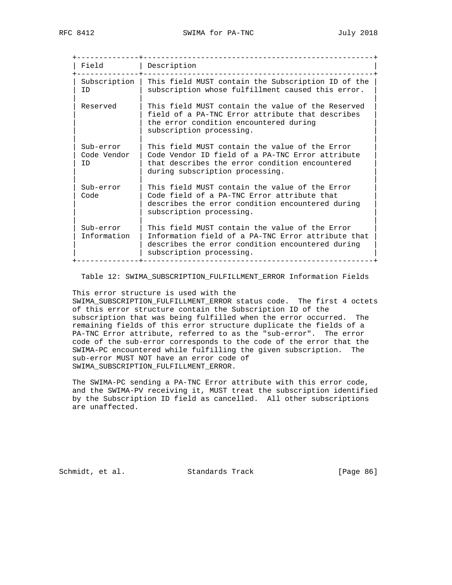| Field                           | Description                                                                                                                                                                             |
|---------------------------------|-----------------------------------------------------------------------------------------------------------------------------------------------------------------------------------------|
| Subscription<br>ID              | This field MUST contain the Subscription ID of the<br>subscription whose fulfillment caused this error.                                                                                 |
| Reserved                        | This field MUST contain the value of the Reserved<br>field of a PA-TNC Error attribute that describes<br>the error condition encountered during<br>subscription processing.             |
| Sub-error<br>Code Vendor<br>TD. | This field MUST contain the value of the Error<br>Code Vendor ID field of a PA-TNC Error attribute<br>that describes the error condition encountered<br>during subscription processing. |
| Sub-error<br>Code               | This field MUST contain the value of the Error<br>Code field of a PA-TNC Error attribute that<br>describes the error condition encountered during<br>subscription processing.           |
| Sub-error<br>Information        | This field MUST contain the value of the Error<br>Information field of a PA-TNC Error attribute that<br>describes the error condition encountered during<br>subscription processing.    |

Table 12: SWIMA\_SUBSCRIPTION\_FULFILLMENT\_ERROR Information Fields

This error structure is used with the

 SWIMA\_SUBSCRIPTION\_FULFILLMENT\_ERROR status code. The first 4 octets of this error structure contain the Subscription ID of the subscription that was being fulfilled when the error occurred. The remaining fields of this error structure duplicate the fields of a PA-TNC Error attribute, referred to as the "sub-error". The error code of the sub-error corresponds to the code of the error that the SWIMA-PC encountered while fulfilling the given subscription. The sub-error MUST NOT have an error code of SWIMA\_SUBSCRIPTION\_FULFILLMENT\_ERROR.

 The SWIMA-PC sending a PA-TNC Error attribute with this error code, and the SWIMA-PV receiving it, MUST treat the subscription identified by the Subscription ID field as cancelled. All other subscriptions are unaffected.

Schmidt, et al. Standards Track [Page 86]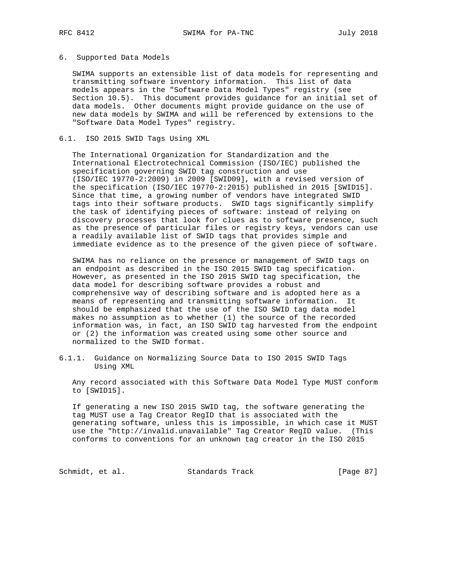#### 6. Supported Data Models

 SWIMA supports an extensible list of data models for representing and transmitting software inventory information. This list of data models appears in the "Software Data Model Types" registry (see Section 10.5). This document provides guidance for an initial set of data models. Other documents might provide guidance on the use of new data models by SWIMA and will be referenced by extensions to the "Software Data Model Types" registry.

#### 6.1. ISO 2015 SWID Tags Using XML

 The International Organization for Standardization and the International Electrotechnical Commission (ISO/IEC) published the specification governing SWID tag construction and use (ISO/IEC 19770-2:2009) in 2009 [SWID09], with a revised version of the specification (ISO/IEC 19770-2:2015) published in 2015 [SWID15]. Since that time, a growing number of vendors have integrated SWID tags into their software products. SWID tags significantly simplify the task of identifying pieces of software: instead of relying on discovery processes that look for clues as to software presence, such as the presence of particular files or registry keys, vendors can use a readily available list of SWID tags that provides simple and immediate evidence as to the presence of the given piece of software.

 SWIMA has no reliance on the presence or management of SWID tags on an endpoint as described in the ISO 2015 SWID tag specification. However, as presented in the ISO 2015 SWID tag specification, the data model for describing software provides a robust and comprehensive way of describing software and is adopted here as a means of representing and transmitting software information. It should be emphasized that the use of the ISO SWID tag data model makes no assumption as to whether (1) the source of the recorded information was, in fact, an ISO SWID tag harvested from the endpoint or (2) the information was created using some other source and normalized to the SWID format.

6.1.1. Guidance on Normalizing Source Data to ISO 2015 SWID Tags Using XML

 Any record associated with this Software Data Model Type MUST conform to [SWID15].

 If generating a new ISO 2015 SWID tag, the software generating the tag MUST use a Tag Creator RegID that is associated with the generating software, unless this is impossible, in which case it MUST use the "http://invalid.unavailable" Tag Creator RegID value. (This conforms to conventions for an unknown tag creator in the ISO 2015

Schmidt, et al. Standards Track [Page 87]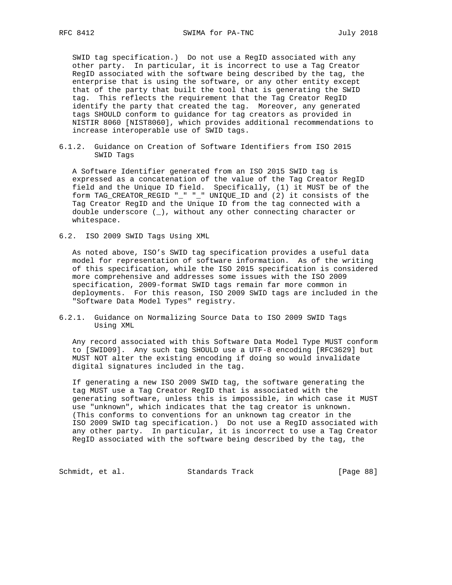SWID tag specification.) Do not use a RegID associated with any other party. In particular, it is incorrect to use a Tag Creator RegID associated with the software being described by the tag, the enterprise that is using the software, or any other entity except that of the party that built the tool that is generating the SWID tag. This reflects the requirement that the Tag Creator RegID identify the party that created the tag. Moreover, any generated tags SHOULD conform to guidance for tag creators as provided in NISTIR 8060 [NIST8060], which provides additional recommendations to increase interoperable use of SWID tags.

6.1.2. Guidance on Creation of Software Identifiers from ISO 2015 SWID Tags

 A Software Identifier generated from an ISO 2015 SWID tag is expressed as a concatenation of the value of the Tag Creator RegID field and the Unique ID field. Specifically, (1) it MUST be of the form TAG\_CREATOR\_REGID "\_" "\_" UNIQUE\_ID and (2) it consists of the Tag Creator RegID and the Unique ID from the tag connected with a double underscore  $(\_)$ , without any other connecting character or whitespace.

6.2. ISO 2009 SWID Tags Using XML

 As noted above, ISO's SWID tag specification provides a useful data model for representation of software information. As of the writing of this specification, while the ISO 2015 specification is considered more comprehensive and addresses some issues with the ISO 2009 specification, 2009-format SWID tags remain far more common in deployments. For this reason, ISO 2009 SWID tags are included in the "Software Data Model Types" registry.

6.2.1. Guidance on Normalizing Source Data to ISO 2009 SWID Tags Using XML

 Any record associated with this Software Data Model Type MUST conform to [SWID09]. Any such tag SHOULD use a UTF-8 encoding [RFC3629] but MUST NOT alter the existing encoding if doing so would invalidate digital signatures included in the tag.

 If generating a new ISO 2009 SWID tag, the software generating the tag MUST use a Tag Creator RegID that is associated with the generating software, unless this is impossible, in which case it MUST use "unknown", which indicates that the tag creator is unknown. (This conforms to conventions for an unknown tag creator in the ISO 2009 SWID tag specification.) Do not use a RegID associated with any other party. In particular, it is incorrect to use a Tag Creator RegID associated with the software being described by the tag, the

Schmidt, et al. Standards Track [Page 88]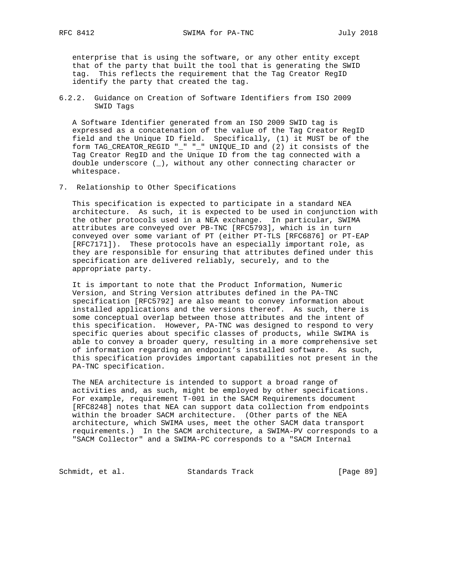enterprise that is using the software, or any other entity except that of the party that built the tool that is generating the SWID tag. This reflects the requirement that the Tag Creator RegID identify the party that created the tag.

6.2.2. Guidance on Creation of Software Identifiers from ISO 2009 SWID Tags

 A Software Identifier generated from an ISO 2009 SWID tag is expressed as a concatenation of the value of the Tag Creator RegID field and the Unique ID field. Specifically, (1) it MUST be of the form TAG\_CREATOR\_REGID "\_" "\_" UNIQUE\_ID and (2) it consists of the Tag Creator RegID and the Unique ID from the tag connected with a double underscore (\_), without any other connecting character or whitespace.

7. Relationship to Other Specifications

 This specification is expected to participate in a standard NEA architecture. As such, it is expected to be used in conjunction with the other protocols used in a NEA exchange. In particular, SWIMA attributes are conveyed over PB-TNC [RFC5793], which is in turn conveyed over some variant of PT (either PT-TLS [RFC6876] or PT-EAP [RFC7171]). These protocols have an especially important role, as they are responsible for ensuring that attributes defined under this specification are delivered reliably, securely, and to the appropriate party.

 It is important to note that the Product Information, Numeric Version, and String Version attributes defined in the PA-TNC specification [RFC5792] are also meant to convey information about installed applications and the versions thereof. As such, there is some conceptual overlap between those attributes and the intent of this specification. However, PA-TNC was designed to respond to very specific queries about specific classes of products, while SWIMA is able to convey a broader query, resulting in a more comprehensive set of information regarding an endpoint's installed software. As such, this specification provides important capabilities not present in the PA-TNC specification.

 The NEA architecture is intended to support a broad range of activities and, as such, might be employed by other specifications. For example, requirement T-001 in the SACM Requirements document [RFC8248] notes that NEA can support data collection from endpoints within the broader SACM architecture. (Other parts of the NEA architecture, which SWIMA uses, meet the other SACM data transport requirements.) In the SACM architecture, a SWIMA-PV corresponds to a "SACM Collector" and a SWIMA-PC corresponds to a "SACM Internal

Schmidt, et al. Standards Track [Page 89]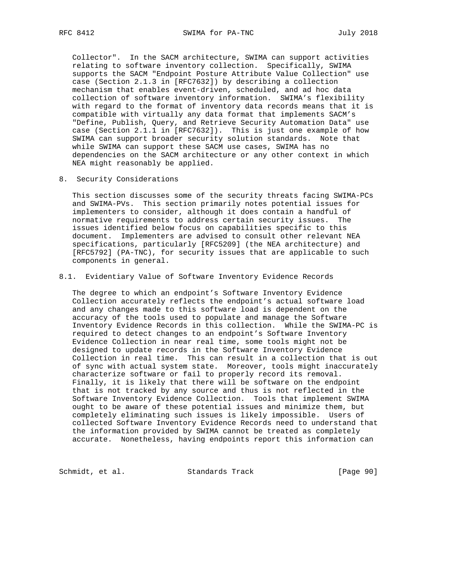Collector". In the SACM architecture, SWIMA can support activities relating to software inventory collection. Specifically, SWIMA supports the SACM "Endpoint Posture Attribute Value Collection" use case (Section 2.1.3 in [RFC7632]) by describing a collection mechanism that enables event-driven, scheduled, and ad hoc data collection of software inventory information. SWIMA's flexibility with regard to the format of inventory data records means that it is compatible with virtually any data format that implements SACM's "Define, Publish, Query, and Retrieve Security Automation Data" use case (Section 2.1.1 in [RFC7632]). This is just one example of how SWIMA can support broader security solution standards. Note that while SWIMA can support these SACM use cases, SWIMA has no dependencies on the SACM architecture or any other context in which NEA might reasonably be applied.

8. Security Considerations

 This section discusses some of the security threats facing SWIMA-PCs and SWIMA-PVs. This section primarily notes potential issues for implementers to consider, although it does contain a handful of normative requirements to address certain security issues. The issues identified below focus on capabilities specific to this document. Implementers are advised to consult other relevant NEA specifications, particularly [RFC5209] (the NEA architecture) and [RFC5792] (PA-TNC), for security issues that are applicable to such components in general.

#### 8.1. Evidentiary Value of Software Inventory Evidence Records

 The degree to which an endpoint's Software Inventory Evidence Collection accurately reflects the endpoint's actual software load and any changes made to this software load is dependent on the accuracy of the tools used to populate and manage the Software Inventory Evidence Records in this collection. While the SWIMA-PC is required to detect changes to an endpoint's Software Inventory Evidence Collection in near real time, some tools might not be designed to update records in the Software Inventory Evidence Collection in real time. This can result in a collection that is out of sync with actual system state. Moreover, tools might inaccurately characterize software or fail to properly record its removal. Finally, it is likely that there will be software on the endpoint that is not tracked by any source and thus is not reflected in the Software Inventory Evidence Collection. Tools that implement SWIMA ought to be aware of these potential issues and minimize them, but completely eliminating such issues is likely impossible. Users of collected Software Inventory Evidence Records need to understand that the information provided by SWIMA cannot be treated as completely accurate. Nonetheless, having endpoints report this information can

Schmidt, et al. Standards Track [Page 90]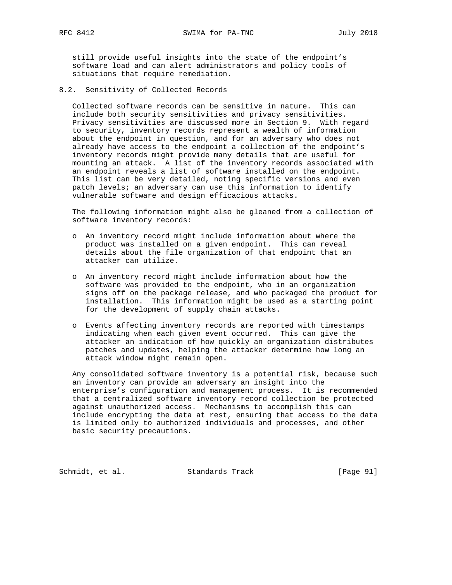still provide useful insights into the state of the endpoint's software load and can alert administrators and policy tools of situations that require remediation.

8.2. Sensitivity of Collected Records

 Collected software records can be sensitive in nature. This can include both security sensitivities and privacy sensitivities. Privacy sensitivities are discussed more in Section 9. With regard to security, inventory records represent a wealth of information about the endpoint in question, and for an adversary who does not already have access to the endpoint a collection of the endpoint's inventory records might provide many details that are useful for mounting an attack. A list of the inventory records associated with an endpoint reveals a list of software installed on the endpoint. This list can be very detailed, noting specific versions and even patch levels; an adversary can use this information to identify vulnerable software and design efficacious attacks.

 The following information might also be gleaned from a collection of software inventory records:

- o An inventory record might include information about where the product was installed on a given endpoint. This can reveal details about the file organization of that endpoint that an attacker can utilize.
- o An inventory record might include information about how the software was provided to the endpoint, who in an organization signs off on the package release, and who packaged the product for installation. This information might be used as a starting point for the development of supply chain attacks.
- o Events affecting inventory records are reported with timestamps indicating when each given event occurred. This can give the attacker an indication of how quickly an organization distributes patches and updates, helping the attacker determine how long an attack window might remain open.

 Any consolidated software inventory is a potential risk, because such an inventory can provide an adversary an insight into the enterprise's configuration and management process. It is recommended that a centralized software inventory record collection be protected against unauthorized access. Mechanisms to accomplish this can include encrypting the data at rest, ensuring that access to the data is limited only to authorized individuals and processes, and other basic security precautions.

Schmidt, et al. Standards Track [Page 91]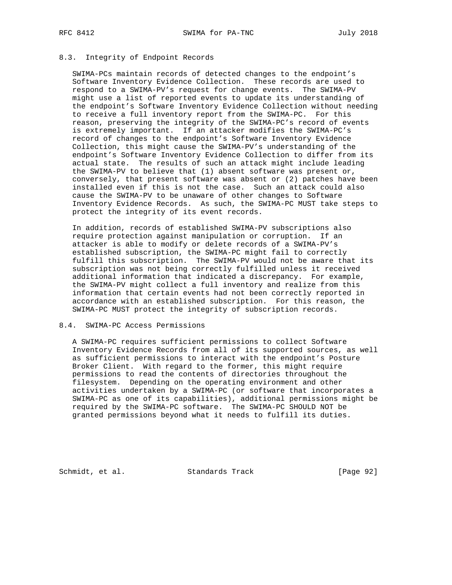# 8.3. Integrity of Endpoint Records

 SWIMA-PCs maintain records of detected changes to the endpoint's Software Inventory Evidence Collection. These records are used to respond to a SWIMA-PV's request for change events. The SWIMA-PV might use a list of reported events to update its understanding of the endpoint's Software Inventory Evidence Collection without needing to receive a full inventory report from the SWIMA-PC. For this reason, preserving the integrity of the SWIMA-PC's record of events is extremely important. If an attacker modifies the SWIMA-PC's record of changes to the endpoint's Software Inventory Evidence Collection, this might cause the SWIMA-PV's understanding of the endpoint's Software Inventory Evidence Collection to differ from its actual state. The results of such an attack might include leading the SWIMA-PV to believe that  $(1)$  absent software was present or, conversely, that present software was absent or (2) patches have been installed even if this is not the case. Such an attack could also cause the SWIMA-PV to be unaware of other changes to Software Inventory Evidence Records. As such, the SWIMA-PC MUST take steps to protect the integrity of its event records.

 In addition, records of established SWIMA-PV subscriptions also require protection against manipulation or corruption. If an attacker is able to modify or delete records of a SWIMA-PV's established subscription, the SWIMA-PC might fail to correctly fulfill this subscription. The SWIMA-PV would not be aware that its subscription was not being correctly fulfilled unless it received additional information that indicated a discrepancy. For example, the SWIMA-PV might collect a full inventory and realize from this information that certain events had not been correctly reported in accordance with an established subscription. For this reason, the SWIMA-PC MUST protect the integrity of subscription records.

# 8.4. SWIMA-PC Access Permissions

 A SWIMA-PC requires sufficient permissions to collect Software Inventory Evidence Records from all of its supported sources, as well as sufficient permissions to interact with the endpoint's Posture Broker Client. With regard to the former, this might require permissions to read the contents of directories throughout the filesystem. Depending on the operating environment and other activities undertaken by a SWIMA-PC (or software that incorporates a SWIMA-PC as one of its capabilities), additional permissions might be required by the SWIMA-PC software. The SWIMA-PC SHOULD NOT be granted permissions beyond what it needs to fulfill its duties.

Schmidt, et al. Standards Track [Page 92]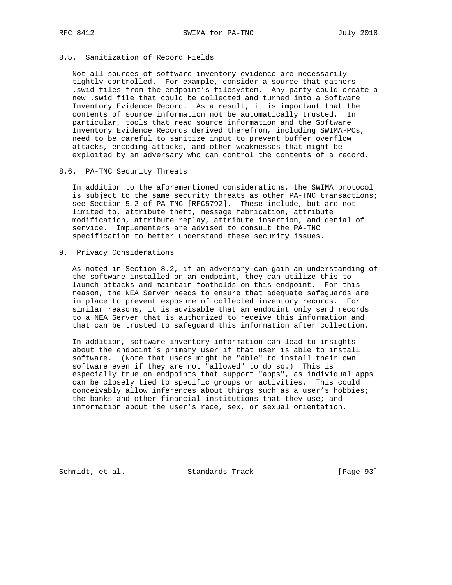# 8.5. Sanitization of Record Fields

 Not all sources of software inventory evidence are necessarily tightly controlled. For example, consider a source that gathers .swid files from the endpoint's filesystem. Any party could create a new .swid file that could be collected and turned into a Software Inventory Evidence Record. As a result, it is important that the contents of source information not be automatically trusted. In particular, tools that read source information and the Software Inventory Evidence Records derived therefrom, including SWIMA-PCs, need to be careful to sanitize input to prevent buffer overflow attacks, encoding attacks, and other weaknesses that might be exploited by an adversary who can control the contents of a record.

# 8.6. PA-TNC Security Threats

 In addition to the aforementioned considerations, the SWIMA protocol is subject to the same security threats as other PA-TNC transactions; see Section 5.2 of PA-TNC [RFC5792]. These include, but are not limited to, attribute theft, message fabrication, attribute modification, attribute replay, attribute insertion, and denial of service. Implementers are advised to consult the PA-TNC specification to better understand these security issues.

#### 9. Privacy Considerations

 As noted in Section 8.2, if an adversary can gain an understanding of the software installed on an endpoint, they can utilize this to launch attacks and maintain footholds on this endpoint. For this reason, the NEA Server needs to ensure that adequate safeguards are in place to prevent exposure of collected inventory records. For similar reasons, it is advisable that an endpoint only send records to a NEA Server that is authorized to receive this information and that can be trusted to safeguard this information after collection.

 In addition, software inventory information can lead to insights about the endpoint's primary user if that user is able to install software. (Note that users might be "able" to install their own software even if they are not "allowed" to do so.) This is especially true on endpoints that support "apps", as individual apps can be closely tied to specific groups or activities. This could conceivably allow inferences about things such as a user's hobbies; the banks and other financial institutions that they use; and information about the user's race, sex, or sexual orientation.

Schmidt, et al. Standards Track [Page 93]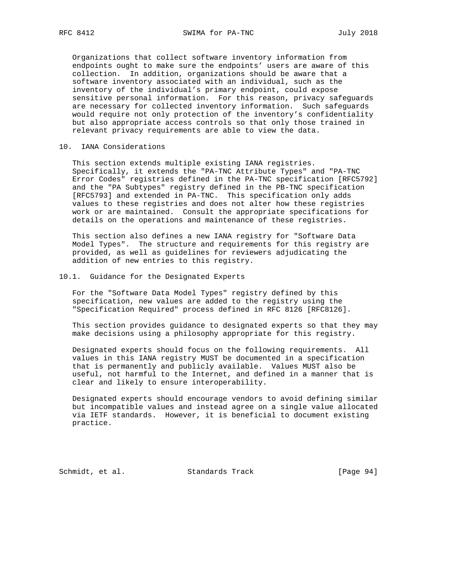Organizations that collect software inventory information from endpoints ought to make sure the endpoints' users are aware of this collection. In addition, organizations should be aware that a software inventory associated with an individual, such as the inventory of the individual's primary endpoint, could expose sensitive personal information. For this reason, privacy safeguards are necessary for collected inventory information. Such safeguards would require not only protection of the inventory's confidentiality but also appropriate access controls so that only those trained in relevant privacy requirements are able to view the data.

#### 10. IANA Considerations

 This section extends multiple existing IANA registries. Specifically, it extends the "PA-TNC Attribute Types" and "PA-TNC Error Codes" registries defined in the PA-TNC specification [RFC5792] and the "PA Subtypes" registry defined in the PB-TNC specification [RFC5793] and extended in PA-TNC. This specification only adds values to these registries and does not alter how these registries work or are maintained. Consult the appropriate specifications for details on the operations and maintenance of these registries.

 This section also defines a new IANA registry for "Software Data Model Types". The structure and requirements for this registry are provided, as well as guidelines for reviewers adjudicating the addition of new entries to this registry.

### 10.1. Guidance for the Designated Experts

 For the "Software Data Model Types" registry defined by this specification, new values are added to the registry using the "Specification Required" process defined in RFC 8126 [RFC8126].

 This section provides guidance to designated experts so that they may make decisions using a philosophy appropriate for this registry.

 Designated experts should focus on the following requirements. All values in this IANA registry MUST be documented in a specification that is permanently and publicly available. Values MUST also be useful, not harmful to the Internet, and defined in a manner that is clear and likely to ensure interoperability.

 Designated experts should encourage vendors to avoid defining similar but incompatible values and instead agree on a single value allocated via IETF standards. However, it is beneficial to document existing practice.

Schmidt, et al. Standards Track [Page 94]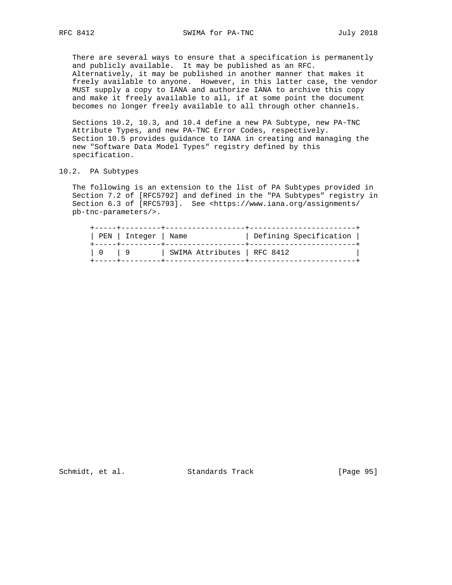There are several ways to ensure that a specification is permanently and publicly available. It may be published as an RFC. Alternatively, it may be published in another manner that makes it freely available to anyone. However, in this latter case, the vendor MUST supply a copy to IANA and authorize IANA to archive this copy and make it freely available to all, if at some point the document becomes no longer freely available to all through other channels.

 Sections 10.2, 10.3, and 10.4 define a new PA Subtype, new PA-TNC Attribute Types, and new PA-TNC Error Codes, respectively. Section 10.5 provides guidance to IANA in creating and managing the new "Software Data Model Types" registry defined by this specification.

## 10.2. PA Subtypes

 The following is an extension to the list of PA Subtypes provided in Section 7.2 of [RFC5792] and defined in the "PA Subtypes" registry in Section 6.3 of [RFC5793]. See <https://www.iana.org/assignments/ pb-tnc-parameters/>.

| +-----+---------+----------------<br>PEN   Integer   Name<br>+-----+---------+------- |                             | Defining Specification |
|---------------------------------------------------------------------------------------|-----------------------------|------------------------|
|                                                                                       | SWIMA Attributes   RFC 8412 |                        |

Schmidt, et al. Standards Track [Page 95]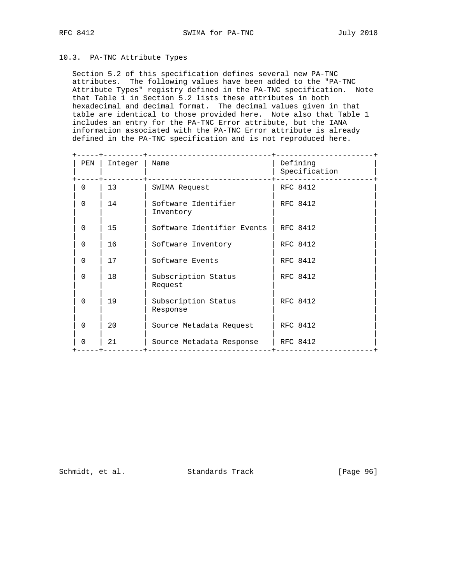# 10.3. PA-TNC Attribute Types

 Section 5.2 of this specification defines several new PA-TNC attributes. The following values have been added to the "PA-TNC Attribute Types" registry defined in the PA-TNC specification. Note that Table 1 in Section 5.2 lists these attributes in both hexadecimal and decimal format. The decimal values given in that table are identical to those provided here. Note also that Table 1 includes an entry for the PA-TNC Error attribute, but the IANA information associated with the PA-TNC Error attribute is already defined in the PA-TNC specification and is not reproduced here.

| PEN          | Integer | Name                             | Defining<br>Specification |
|--------------|---------|----------------------------------|---------------------------|
| $\Omega$     | 13      | SWIMA Request                    | RFC 8412                  |
| $\Omega$     | 14      | Software Identifier<br>Inventory | RFC 8412                  |
| $\mathbf 0$  | 15      | Software Identifier Events       | RFC 8412                  |
| $\Omega$     | 16      | Software Inventory               | RFC 8412                  |
| $\Omega$     | 17      | Software Events                  | RFC 8412                  |
| $\Omega$     | 18      | Subscription Status<br>Request   | RFC 8412                  |
| $\Omega$     | 19      | Subscription Status<br>Response  | RFC 8412                  |
| $\Omega$     | 20      | Source Metadata Request          | RFC 8412                  |
| <sup>0</sup> | 21      | Source Metadata Response         | RFC 8412                  |

Schmidt, et al. Standards Track [Page 96]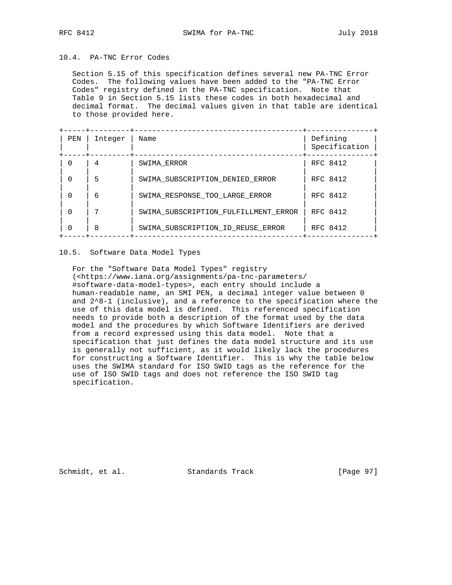# 10.4. PA-TNC Error Codes

 Section 5.15 of this specification defines several new PA-TNC Error Codes. The following values have been added to the "PA-TNC Error Codes" registry defined in the PA-TNC specification. Note that Table 9 in Section 5.15 lists these codes in both hexadecimal and decimal format. The decimal values given in that table are identical to those provided here.

| PEN      | Integer | Name                                 | Defining<br>Specification |
|----------|---------|--------------------------------------|---------------------------|
| $\Omega$ | 4       | SWIMA ERROR                          | RFC 8412                  |
| $\Omega$ | 5       | SWIMA SUBSCRIPTION DENIED ERROR      | RFC 8412                  |
| $\Omega$ | 6       | SWIMA RESPONSE TOO LARGE ERROR       | RFC 8412                  |
| $\Omega$ |         | SWIMA SUBSCRIPTION FULFILLMENT ERROR | RFC 8412                  |
| $\Omega$ | 8       | SWIMA SUBSCRIPTION ID REUSE ERROR    | RFC 8412                  |

# 10.5. Software Data Model Types

 For the "Software Data Model Types" registry (<https://www.iana.org/assignments/pa-tnc-parameters/ #software-data-model-types>, each entry should include a human-readable name, an SMI PEN, a decimal integer value between 0 and 2^8-1 (inclusive), and a reference to the specification where the use of this data model is defined. This referenced specification needs to provide both a description of the format used by the data model and the procedures by which Software Identifiers are derived from a record expressed using this data model. Note that a specification that just defines the data model structure and its use is generally not sufficient, as it would likely lack the procedures for constructing a Software Identifier. This is why the table below uses the SWIMA standard for ISO SWID tags as the reference for the use of ISO SWID tags and does not reference the ISO SWID tag specification.

Schmidt, et al. Standards Track [Page 97]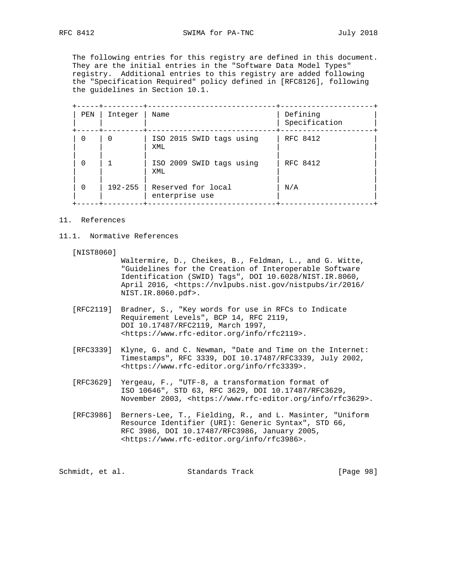The following entries for this registry are defined in this document. They are the initial entries in the "Software Data Model Types" registry. Additional entries to this registry are added following the "Specification Required" policy defined in [RFC8126], following the guidelines in Section 10.1.

| PEN      | Integer     | Name                                 | Defining<br>Specification |
|----------|-------------|--------------------------------------|---------------------------|
| 0        |             | ISO 2015 SWID tags using<br>XML      | RFC 8412                  |
| $\Omega$ |             | ISO 2009 SWID tags using<br>XML      | RFC 8412                  |
| $\Omega$ | $192 - 255$ | Reserved for local<br>enterprise use | N/A                       |

#### 11. References

11.1. Normative References

[NIST8060]

 Waltermire, D., Cheikes, B., Feldman, L., and G. Witte, "Guidelines for the Creation of Interoperable Software Identification (SWID) Tags", DOI 10.6028/NIST.IR.8060, April 2016, <https://nvlpubs.nist.gov/nistpubs/ir/2016/ NIST.IR.8060.pdf>.

- [RFC2119] Bradner, S., "Key words for use in RFCs to Indicate Requirement Levels", BCP 14, RFC 2119, DOI 10.17487/RFC2119, March 1997, <https://www.rfc-editor.org/info/rfc2119>.
- [RFC3339] Klyne, G. and C. Newman, "Date and Time on the Internet: Timestamps", RFC 3339, DOI 10.17487/RFC3339, July 2002, <https://www.rfc-editor.org/info/rfc3339>.
- [RFC3629] Yergeau, F., "UTF-8, a transformation format of ISO 10646", STD 63, RFC 3629, DOI 10.17487/RFC3629, November 2003, <https://www.rfc-editor.org/info/rfc3629>.
- [RFC3986] Berners-Lee, T., Fielding, R., and L. Masinter, "Uniform Resource Identifier (URI): Generic Syntax", STD 66, RFC 3986, DOI 10.17487/RFC3986, January 2005, <https://www.rfc-editor.org/info/rfc3986>.

| Schmidt, et al.<br>Standards Track | [Page 98] |  |
|------------------------------------|-----------|--|
|------------------------------------|-----------|--|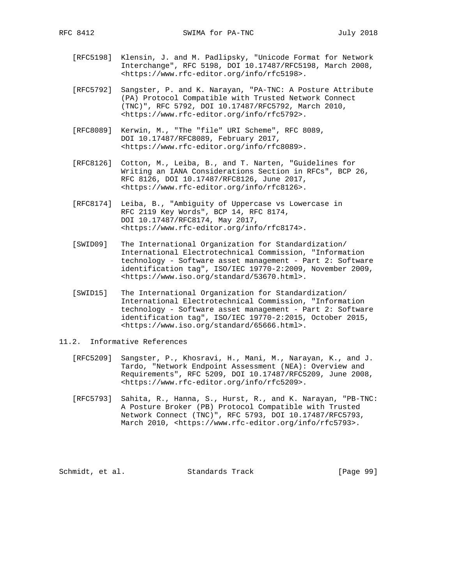- [RFC5198] Klensin, J. and M. Padlipsky, "Unicode Format for Network Interchange", RFC 5198, DOI 10.17487/RFC5198, March 2008, <https://www.rfc-editor.org/info/rfc5198>.
- [RFC5792] Sangster, P. and K. Narayan, "PA-TNC: A Posture Attribute (PA) Protocol Compatible with Trusted Network Connect (TNC)", RFC 5792, DOI 10.17487/RFC5792, March 2010, <https://www.rfc-editor.org/info/rfc5792>.
- [RFC8089] Kerwin, M., "The "file" URI Scheme", RFC 8089, DOI 10.17487/RFC8089, February 2017, <https://www.rfc-editor.org/info/rfc8089>.
- [RFC8126] Cotton, M., Leiba, B., and T. Narten, "Guidelines for Writing an IANA Considerations Section in RFCs", BCP 26, RFC 8126, DOI 10.17487/RFC8126, June 2017, <https://www.rfc-editor.org/info/rfc8126>.
- [RFC8174] Leiba, B., "Ambiguity of Uppercase vs Lowercase in RFC 2119 Key Words", BCP 14, RFC 8174, DOI 10.17487/RFC8174, May 2017, <https://www.rfc-editor.org/info/rfc8174>.
- [SWID09] The International Organization for Standardization/ International Electrotechnical Commission, "Information technology - Software asset management - Part 2: Software identification tag", ISO/IEC 19770-2:2009, November 2009, <https://www.iso.org/standard/53670.html>.
- [SWID15] The International Organization for Standardization/ International Electrotechnical Commission, "Information technology - Software asset management - Part 2: Software identification tag", ISO/IEC 19770-2:2015, October 2015, <https://www.iso.org/standard/65666.html>.
- 11.2. Informative References
	- [RFC5209] Sangster, P., Khosravi, H., Mani, M., Narayan, K., and J. Tardo, "Network Endpoint Assessment (NEA): Overview and Requirements", RFC 5209, DOI 10.17487/RFC5209, June 2008, <https://www.rfc-editor.org/info/rfc5209>.
	- [RFC5793] Sahita, R., Hanna, S., Hurst, R., and K. Narayan, "PB-TNC: A Posture Broker (PB) Protocol Compatible with Trusted Network Connect (TNC)", RFC 5793, DOI 10.17487/RFC5793, March 2010, <https://www.rfc-editor.org/info/rfc5793>.

Schmidt, et al. Standards Track [Page 99]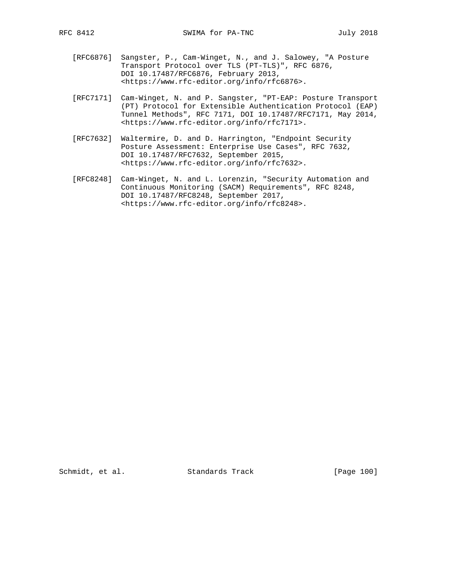- [RFC6876] Sangster, P., Cam-Winget, N., and J. Salowey, "A Posture Transport Protocol over TLS (PT-TLS)", RFC 6876, DOI 10.17487/RFC6876, February 2013, <https://www.rfc-editor.org/info/rfc6876>.
- [RFC7171] Cam-Winget, N. and P. Sangster, "PT-EAP: Posture Transport (PT) Protocol for Extensible Authentication Protocol (EAP) Tunnel Methods", RFC 7171, DOI 10.17487/RFC7171, May 2014, <https://www.rfc-editor.org/info/rfc7171>.
- [RFC7632] Waltermire, D. and D. Harrington, "Endpoint Security Posture Assessment: Enterprise Use Cases", RFC 7632, DOI 10.17487/RFC7632, September 2015, <https://www.rfc-editor.org/info/rfc7632>.
- [RFC8248] Cam-Winget, N. and L. Lorenzin, "Security Automation and Continuous Monitoring (SACM) Requirements", RFC 8248, DOI 10.17487/RFC8248, September 2017, <https://www.rfc-editor.org/info/rfc8248>.

Schmidt, et al. Standards Track [Page 100]